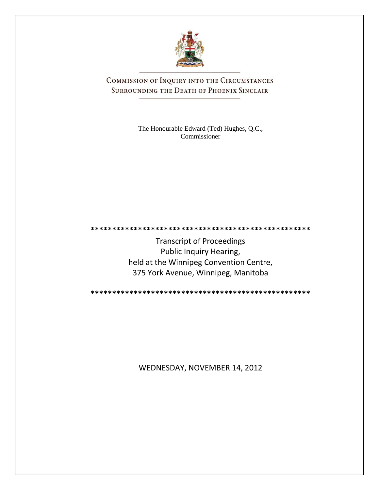

COMMISSION OF INQUIRY INTO THE CIRCUMSTANCES SURROUNDING THE DEATH OF PHOENIX SINCLAIR

> The Honourable Edward (Ted) Hughes, Q.C., Commissioner

Transcript of Proceedings Public Inquiry Hearing, held at the Winnipeg Convention Centre, 375 York Avenue, Winnipeg, Manitoba

**\*\*\*\*\*\*\*\*\*\*\*\*\*\*\*\*\*\*\*\*\*\*\*\*\*\*\*\*\*\*\*\*\*\*\*\*\*\*\*\*\*\*\*\*\*\*\*\*\*\*\***

**\*\*\*\*\*\*\*\*\*\*\*\*\*\*\*\*\*\*\*\*\*\*\*\*\*\*\*\*\*\*\*\*\*\*\*\*\*\*\*\*\*\*\*\*\*\*\*\*\*\*\***

WEDNESDAY, NOVEMBER 14, 2012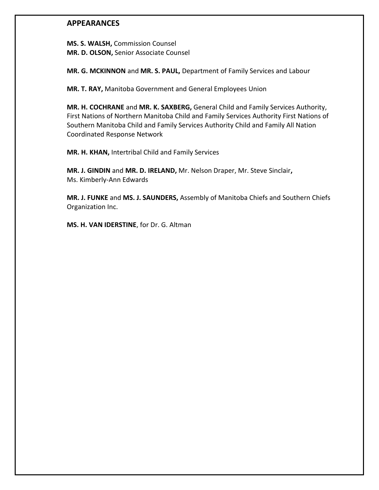# **APPEARANCES**

**MS. S. WALSH,** Commission Counsel **MR. D. OLSON,** Senior Associate Counsel

**MR. G. MCKINNON** and **MR. S. PAUL,** Department of Family Services and Labour

**MR. T. RAY,** Manitoba Government and General Employees Union

**MR. H. COCHRANE** and **MR. K. SAXBERG,** General Child and Family Services Authority, First Nations of Northern Manitoba Child and Family Services Authority First Nations of Southern Manitoba Child and Family Services Authority Child and Family All Nation Coordinated Response Network

**MR. H. KHAN,** Intertribal Child and Family Services

**MR. J. GINDIN** and **MR. D. IRELAND,** Mr. Nelson Draper, Mr. Steve Sinclair**,** Ms. Kimberly-Ann Edwards

**MR. J. FUNKE** and **MS. J. SAUNDERS,** Assembly of Manitoba Chiefs and Southern Chiefs Organization Inc.

**MS. H. VAN IDERSTINE**, for Dr. G. Altman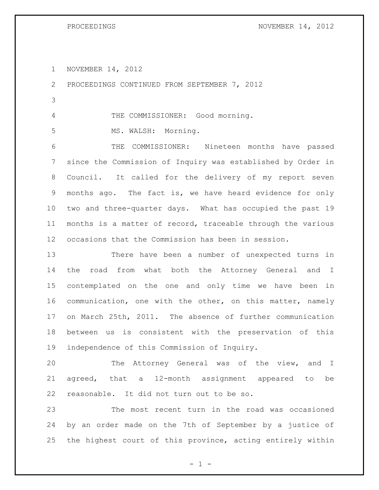PROCEEDINGS NOVEMBER 14, 2012

NOVEMBER 14, 2012

 PROCEEDINGS CONTINUED FROM SEPTEMBER 7, 2012 THE COMMISSIONER: Good morning. 5 MS. WALSH: Morning. THE COMMISSIONER: Nineteen months have passed since the Commission of Inquiry was established by Order in Council. It called for the delivery of my report seven months ago. The fact is, we have heard evidence for only two and three-quarter days. What has occupied the past 19 months is a matter of record, traceable through the various occasions that the Commission has been in session. There have been a number of unexpected turns in

 the road from what both the Attorney General and I contemplated on the one and only time we have been in communication, one with the other, on this matter, namely on March 25th, 2011. The absence of further communication between us is consistent with the preservation of this independence of this Commission of Inquiry.

 The Attorney General was of the view, and I agreed, that a 12-month assignment appeared to be reasonable. It did not turn out to be so.

 The most recent turn in the road was occasioned by an order made on the 7th of September by a justice of the highest court of this province, acting entirely within

 $- 1 -$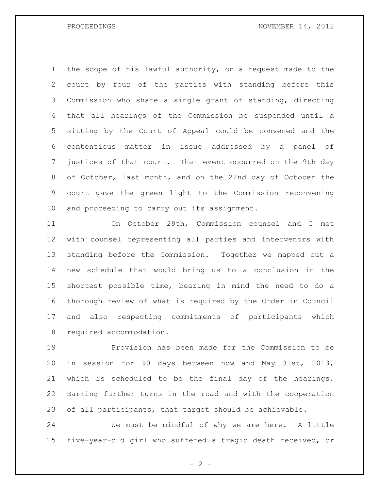PROCEEDINGS NOVEMBER 14, 2012

 the scope of his lawful authority, on a request made to the court by four of the parties with standing before this Commission who share a single grant of standing, directing that all hearings of the Commission be suspended until a sitting by the Court of Appeal could be convened and the contentious matter in issue addressed by a panel of justices of that court. That event occurred on the 9th day of October, last month, and on the 22nd day of October the court gave the green light to the Commission reconvening and proceeding to carry out its assignment.

 On October 29th, Commission counsel and I met with counsel representing all parties and intervenors with standing before the Commission. Together we mapped out a new schedule that would bring us to a conclusion in the shortest possible time, bearing in mind the need to do a thorough review of what is required by the Order in Council and also respecting commitments of participants which required accommodation.

 Provision has been made for the Commission to be in session for 90 days between now and May 31st, 2013, which is scheduled to be the final day of the hearings. Barring further turns in the road and with the cooperation of all participants, that target should be achievable.

 We must be mindful of why we are here. A little five-year-old girl who suffered a tragic death received, or

 $- 2 -$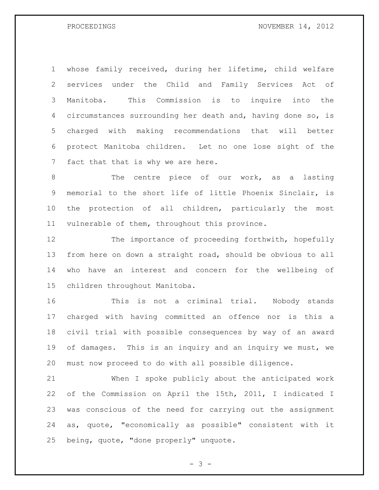whose family received, during her lifetime, child welfare services under the Child and Family Services Act of Manitoba. This Commission is to inquire into the circumstances surrounding her death and, having done so, is charged with making recommendations that will better protect Manitoba children. Let no one lose sight of the fact that that is why we are here.

8 The centre piece of our work, as a lasting memorial to the short life of little Phoenix Sinclair, is the protection of all children, particularly the most vulnerable of them, throughout this province.

12 The importance of proceeding forthwith, hopefully from here on down a straight road, should be obvious to all who have an interest and concern for the wellbeing of children throughout Manitoba.

 This is not a criminal trial. Nobody stands charged with having committed an offence nor is this a civil trial with possible consequences by way of an award 19 of damages. This is an inquiry and an inquiry we must, we must now proceed to do with all possible diligence.

 When I spoke publicly about the anticipated work of the Commission on April the 15th, 2011, I indicated I was conscious of the need for carrying out the assignment as, quote, "economically as possible" consistent with it being, quote, "done properly" unquote.

- 3 -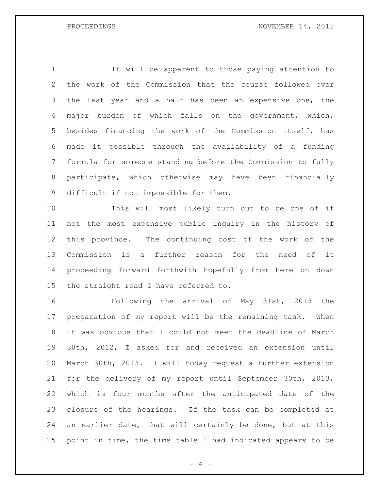It will be apparent to those paying attention to the work of the Commission that the course followed over 3 the last year and a half has been an expensive one, the major burden of which falls on the government, which, besides financing the work of the Commission itself, has made it possible through the availability of a funding formula for someone standing before the Commission to fully participate, which otherwise may have been financially difficult if not impossible for them.

 This will most likely turn out to be one of if not the most expensive public inquiry in the history of this province. The continuing cost of the work of the Commission is a further reason for the need of it proceeding forward forthwith hopefully from here on down the straight road I have referred to.

 Following the arrival of May 31st, 2013 the preparation of my report will be the remaining task. When it was obvious that I could not meet the deadline of March 30th, 2012, I asked for and received an extension until March 30th, 2013. I will today request a further extension for the delivery of my report until September 30th, 2013, which is four months after the anticipated date of the closure of the hearings. If the task can be completed at an earlier date, that will certainly be done, but at this point in time, the time table I had indicated appears to be

 $- 4 -$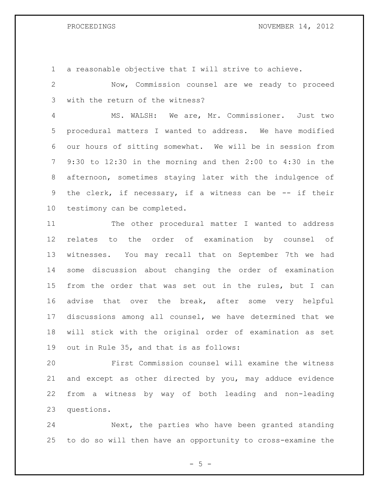### PROCEEDINGS NOVEMBER 14, 2012

a reasonable objective that I will strive to achieve.

 Now, Commission counsel are we ready to proceed with the return of the witness?

 MS. WALSH: We are, Mr. Commissioner. Just two procedural matters I wanted to address. We have modified our hours of sitting somewhat. We will be in session from 9:30 to 12:30 in the morning and then 2:00 to 4:30 in the afternoon, sometimes staying later with the indulgence of 9 the clerk, if necessary, if a witness can be -- if their testimony can be completed.

 The other procedural matter I wanted to address relates to the order of examination by counsel of witnesses. You may recall that on September 7th we had some discussion about changing the order of examination from the order that was set out in the rules, but I can advise that over the break, after some very helpful discussions among all counsel, we have determined that we will stick with the original order of examination as set out in Rule 35, and that is as follows:

 First Commission counsel will examine the witness and except as other directed by you, may adduce evidence from a witness by way of both leading and non-leading questions.

 Next, the parties who have been granted standing to do so will then have an opportunity to cross-examine the

 $- 5 -$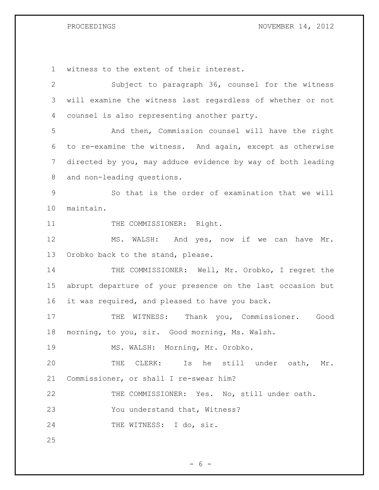PROCEEDINGS NOVEMBER 14, 2012

witness to the extent of their interest.

 Subject to paragraph 36, counsel for the witness will examine the witness last regardless of whether or not counsel is also representing another party. And then, Commission counsel will have the right to re-examine the witness. And again, except as otherwise directed by you, may adduce evidence by way of both leading and non-leading questions. So that is the order of examination that we will maintain. 11 THE COMMISSIONER: Right. 12 MS. WALSH: And yes, now if we can have Mr. Orobko back to the stand, please. 14 THE COMMISSIONER: Well, Mr. Orobko, I regret the abrupt departure of your presence on the last occasion but it was required, and pleased to have you back. 17 THE WITNESS: Thank you, Commissioner. Good morning, to you, sir. Good morning, Ms. Walsh. MS. WALSH: Morning, Mr. Orobko. THE CLERK: Is he still under oath, Mr. Commissioner, or shall I re-swear him? THE COMMISSIONER: Yes. No, still under oath. You understand that, Witness? 24 THE WITNESS: I do, sir. 

 $- 6 -$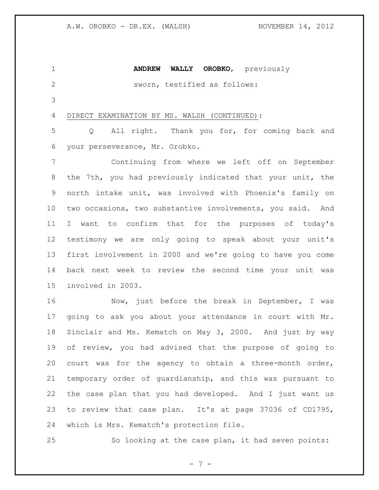**ANDREW WALLY OROBKO**, previously sworn, testified as follows: DIRECT EXAMINATION BY MS. WALSH (CONTINUED): Q All right. Thank you for, for coming back and your perseverance, Mr. Orobko. Continuing from where we left off on September the 7th, you had previously indicated that your unit, the north intake unit, was involved with Phoenix's family on two occasions, two substantive involvements, you said. And I want to confirm that for the purposes of today's testimony we are only going to speak about your unit's first involvement in 2000 and we're going to have you come back next week to review the second time your unit was involved in 2003. 16 Now, just before the break in September, I was going to ask you about your attendance in court with Mr. Sinclair and Ms. Kematch on May 3, 2000. And just by way of review, you had advised that the purpose of going to court was for the agency to obtain a three-month order, temporary order of guardianship, and this was pursuant to the case plan that you had developed. And I just want us to review that case plan. It's at page 37036 of CD1795, which is Mrs. Kematch's protection file. So looking at the case plan, it had seven points:

 $- 7 -$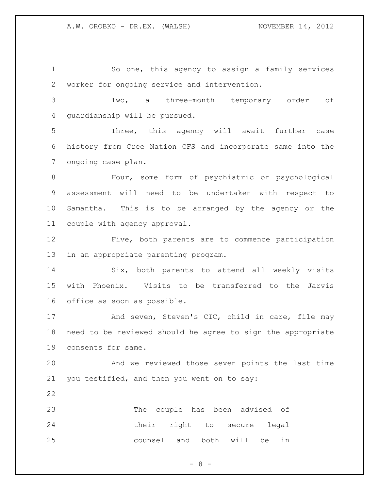So one, this agency to assign a family services worker for ongoing service and intervention.

 Two, a three-month temporary order of guardianship will be pursued.

 Three, this agency will await further case history from Cree Nation CFS and incorporate same into the ongoing case plan.

 Four, some form of psychiatric or psychological assessment will need to be undertaken with respect to Samantha. This is to be arranged by the agency or the couple with agency approval.

 Five, both parents are to commence participation in an appropriate parenting program.

 Six, both parents to attend all weekly visits with Phoenix. Visits to be transferred to the Jarvis office as soon as possible.

17 And seven, Steven's CIC, child in care, file may need to be reviewed should he agree to sign the appropriate consents for same.

 And we reviewed those seven points the last time you testified, and then you went on to say:

 The couple has been advised of their right to secure legal counsel and both will be in

 $- 8 -$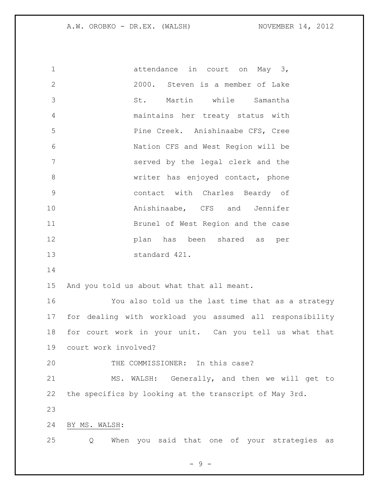A.W. OROBKO - DR.EX. (WALSH) NOVEMBER 14, 2012

1 attendance in court on May 3, 2000. Steven is a member of Lake St. Martin while Samantha maintains her treaty status with Pine Creek. Anishinaabe CFS, Cree Nation CFS and West Region will be served by the legal clerk and the 8 writer has enjoyed contact, phone contact with Charles Beardy of **Anishinaabe, CFS** and Jennifer Brunel of West Region and the case plan has been shared as per standard 421. And you told us about what that all meant. You also told us the last time that as a strategy for dealing with workload you assumed all responsibility for court work in your unit. Can you tell us what that court work involved? 20 THE COMMISSIONER: In this case? MS. WALSH: Generally, and then we will get to the specifics by looking at the transcript of May 3rd. BY MS. WALSH: Q When you said that one of your strategies as

- 9 -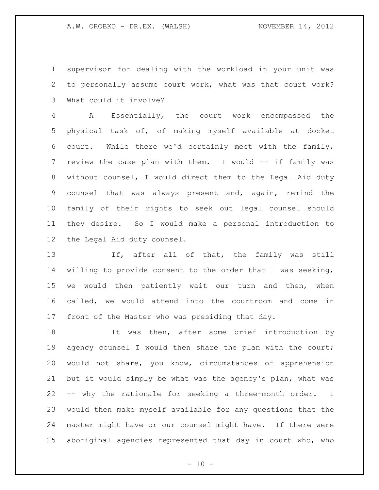supervisor for dealing with the workload in your unit was to personally assume court work, what was that court work? What could it involve?

 A Essentially, the court work encompassed the physical task of, of making myself available at docket court. While there we'd certainly meet with the family, 7 review the case plan with them. I would -- if family was without counsel, I would direct them to the Legal Aid duty counsel that was always present and, again, remind the family of their rights to seek out legal counsel should they desire. So I would make a personal introduction to the Legal Aid duty counsel.

13 If, after all of that, the family was still willing to provide consent to the order that I was seeking, 15 we would then patiently wait our turn and then, when called, we would attend into the courtroom and come in front of the Master who was presiding that day.

18 It was then, after some brief introduction by agency counsel I would then share the plan with the court; would not share, you know, circumstances of apprehension but it would simply be what was the agency's plan, what was -- why the rationale for seeking a three-month order. I would then make myself available for any questions that the master might have or our counsel might have. If there were aboriginal agencies represented that day in court who, who

 $- 10 -$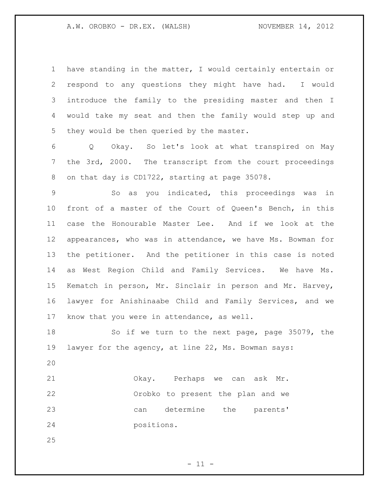have standing in the matter, I would certainly entertain or respond to any questions they might have had. I would introduce the family to the presiding master and then I would take my seat and then the family would step up and they would be then queried by the master.

 Q Okay. So let's look at what transpired on May the 3rd, 2000. The transcript from the court proceedings on that day is CD1722, starting at page 35078.

 So as you indicated, this proceedings was in front of a master of the Court of Queen's Bench, in this case the Honourable Master Lee. And if we look at the appearances, who was in attendance, we have Ms. Bowman for the petitioner. And the petitioner in this case is noted as West Region Child and Family Services. We have Ms. Kematch in person, Mr. Sinclair in person and Mr. Harvey, lawyer for Anishinaabe Child and Family Services, and we know that you were in attendance, as well.

 So if we turn to the next page, page 35079, the lawyer for the agency, at line 22, Ms. Bowman says:

 Okay. Perhaps we can ask Mr. Orobko to present the plan and we can determine the parents' positions.

 $- 11 -$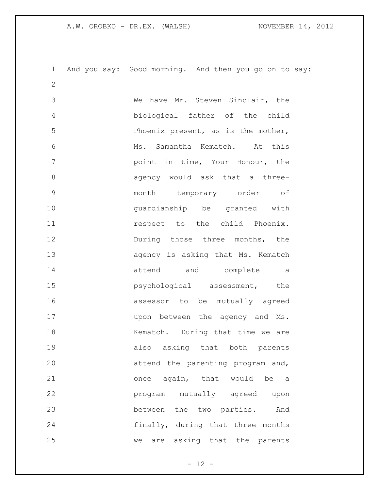A.W. OROBKO - DR.EX. (WALSH) NOVEMBER 14, 2012

 And you say: Good morning. And then you go on to say: We have Mr. Steven Sinclair, the biological father of the child Phoenix present, as is the mother, Ms. Samantha Kematch. At this point in time, Your Honour, the agency would ask that a three- month temporary order of guardianship be granted with **11** respect to the child Phoenix. 12 During those three months, the **agency** is asking that Ms. Kematch attend and complete a **psychological** assessment, the assessor to be mutually agreed 17 upon between the agency and Ms. 18 Kematch. During that time we are also asking that both parents attend the parenting program and, once again, that would be a program mutually agreed upon between the two parties. And finally, during that three months we are asking that the parents

 $- 12 -$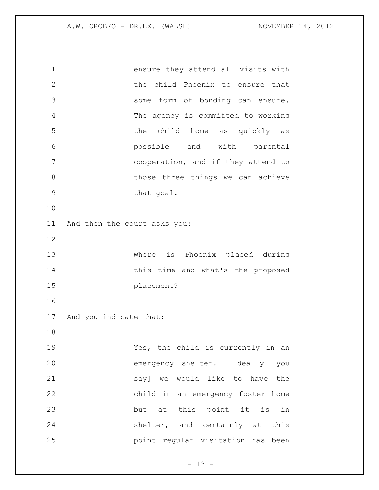ensure they attend all visits with the child Phoenix to ensure that some form of bonding can ensure. The agency is committed to working the child home as quickly as possible and with parental cooperation, and if they attend to 8 bhose three things we can achieve 9 that goal. And then the court asks you: Where is Phoenix placed during 14 this time and what's the proposed placement? And you indicate that: 19 Yes, the child is currently in an emergency shelter. Ideally [you say] we would like to have the child in an emergency foster home but at this point it is in shelter, and certainly at this point regular visitation has been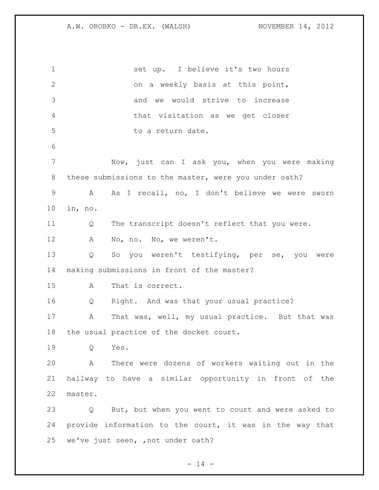set up. I believe it's two hours on a weekly basis at this point, and we would strive to increase that visitation as we get closer 5 to a return date. Now, just can I ask you, when you were making these submissions to the master, were you under oath? A As I recall, no, I don't believe we were sworn in, no. Q The transcript doesn't reflect that you were. A No, no. No, we weren't. Q So you weren't testifying, per se, you were making submissions in front of the master? A That is correct. Q Right. And was that your usual practice? A That was, well, my usual practice. But that was the usual practice of the docket court. Q Yes. A There were dozens of workers waiting out in the hallway to have a similar opportunity in front of the master. Q But, but when you went to court and were asked to provide information to the court, it was in the way that we've just seen, ,not under oath?

 $- 14 -$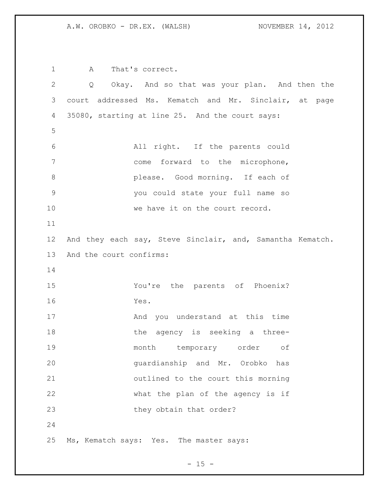A.W. OROBKO - DR.EX. (WALSH) NOVEMBER 14, 2012

 A That's correct. Q Okay. And so that was your plan. And then the court addressed Ms. Kematch and Mr. Sinclair, at page 35080, starting at line 25. And the court says: All right. If the parents could come forward to the microphone, please. Good morning. If each of you could state your full name so 10 we have it on the court record. And they each say, Steve Sinclair, and, Samantha Kematch. And the court confirms: You're the parents of Phoenix? Yes. And you understand at this time 18 the agency is seeking a three- month temporary order of guardianship and Mr. Orobko has outlined to the court this morning what the plan of the agency is if 23 they obtain that order? Ms, Kematch says: Yes. The master says:

 $- 15 -$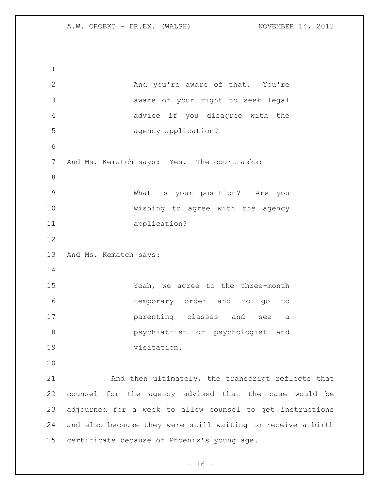And you're aware of that. You're aware of your right to seek legal advice if you disagree with the agency application? And Ms. Kematch says: Yes. The court asks: What is your position? Are you wishing to agree with the agency application? And Ms. Kematch says: Yeah, we agree to the three-month 16 temporary order and to go to parenting classes and see a psychiatrist or psychologist and visitation. And then ultimately, the transcript reflects that counsel for the agency advised that the case would be adjourned for a week to allow counsel to get instructions and also because they were still waiting to receive a birth certificate because of Phoenix's young age.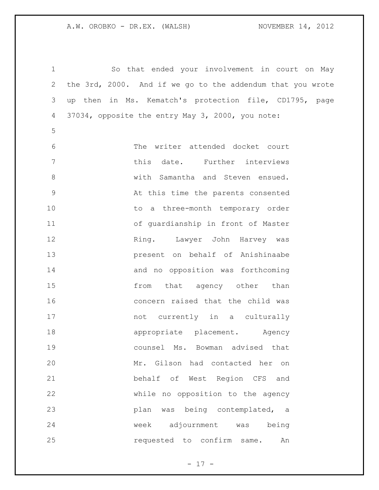So that ended your involvement in court on May the 3rd, 2000. And if we go to the addendum that you wrote up then in Ms. Kematch's protection file, CD1795, page 37034, opposite the entry May 3, 2000, you note: The writer attended docket court **buyier 1997** this date. Further interviews with Samantha and Steven ensued. At this time the parents consented 10 to a three-month temporary order of guardianship in front of Master 12 Ring. Lawyer John Harvey was present on behalf of Anishinaabe and no opposition was forthcoming 15 from that agency other than concern raised that the child was not currently in a culturally **appropriate** placement. Agency counsel Ms. Bowman advised that Mr. Gilson had contacted her on behalf of West Region CFS and while no opposition to the agency plan was being contemplated, a week adjournment was being requested to confirm same. An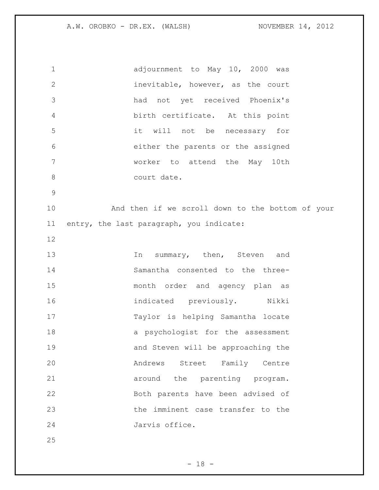A.W. OROBKO - DR.EX. (WALSH) NOVEMBER 14, 2012

| $\mathbf 1$  | adjournment to May 10, 2000 was                  |
|--------------|--------------------------------------------------|
| $\mathbf{2}$ | inevitable, however, as the court                |
| 3            | had not yet received Phoenix's                   |
| $\sqrt{4}$   | birth certificate. At this point                 |
| 5            | it will not be necessary for                     |
| 6            | either the parents or the assigned               |
| 7            | worker to attend the May 10th                    |
| 8            | court date.                                      |
| $\mathsf 9$  |                                                  |
| 10           | And then if we scroll down to the bottom of your |
| 11           | entry, the last paragraph, you indicate:         |
| 12           |                                                  |
| 13           | In summary, then, Steven and                     |
| 14           | Samantha consented to the three-                 |
| 15           | month order and agency plan as                   |
| 16           | indicated previously. Nikki                      |
| 17           | Taylor is helping Samantha locate                |
| 18           | a psychologist for the assessment                |
| 19           | and Steven will be approaching the               |
| 20           | Andrews Street Family Centre                     |
| 21           | around the parenting program.                    |
| 22           | Both parents have been advised of                |
| 23           | the imminent case transfer to the                |
| 24           | Jarvis office.                                   |
| 25           |                                                  |

- 18 -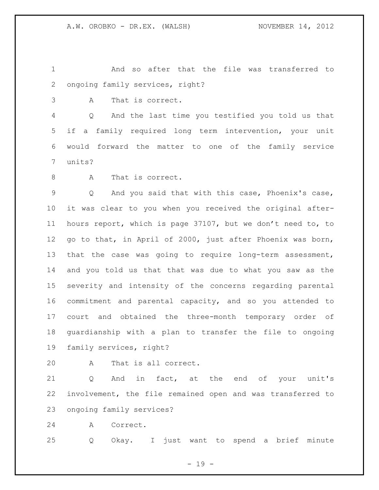And so after that the file was transferred to ongoing family services, right?

A That is correct.

 Q And the last time you testified you told us that if a family required long term intervention, your unit would forward the matter to one of the family service units?

8 A That is correct.

 Q And you said that with this case, Phoenix's case, it was clear to you when you received the original after- hours report, which is page 37107, but we don't need to, to go to that, in April of 2000, just after Phoenix was born, that the case was going to require long-term assessment, and you told us that that was due to what you saw as the severity and intensity of the concerns regarding parental commitment and parental capacity, and so you attended to court and obtained the three-month temporary order of guardianship with a plan to transfer the file to ongoing family services, right?

A That is all correct.

21 Q And in fact, at the end of your unit's involvement, the file remained open and was transferred to ongoing family services?

A Correct.

Q Okay. I just want to spend a brief minute

- 19 -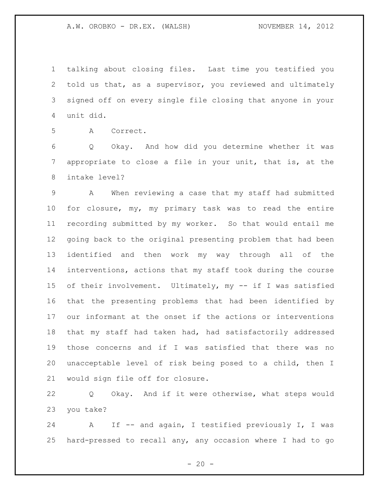talking about closing files. Last time you testified you told us that, as a supervisor, you reviewed and ultimately signed off on every single file closing that anyone in your unit did.

A Correct.

 Q Okay. And how did you determine whether it was appropriate to close a file in your unit, that is, at the intake level?

 A When reviewing a case that my staff had submitted for closure, my, my primary task was to read the entire recording submitted by my worker. So that would entail me going back to the original presenting problem that had been identified and then work my way through all of the interventions, actions that my staff took during the course of their involvement. Ultimately, my -- if I was satisfied that the presenting problems that had been identified by our informant at the onset if the actions or interventions that my staff had taken had, had satisfactorily addressed those concerns and if I was satisfied that there was no unacceptable level of risk being posed to a child, then I would sign file off for closure.

 Q Okay. And if it were otherwise, what steps would you take?

 A If -- and again, I testified previously I, I was hard-pressed to recall any, any occasion where I had to go

 $- 20 -$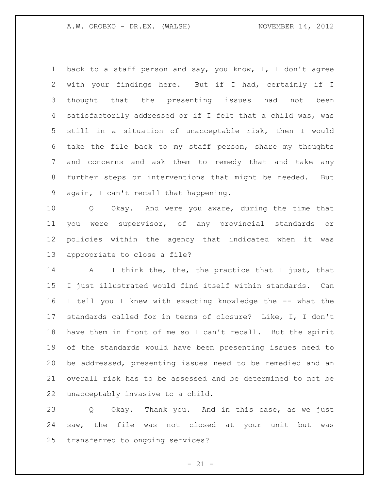back to a staff person and say, you know, I, I don't agree with your findings here. But if I had, certainly if I thought that the presenting issues had not been satisfactorily addressed or if I felt that a child was, was still in a situation of unacceptable risk, then I would take the file back to my staff person, share my thoughts and concerns and ask them to remedy that and take any further steps or interventions that might be needed. But again, I can't recall that happening.

 Q Okay. And were you aware, during the time that you were supervisor, of any provincial standards or policies within the agency that indicated when it was appropriate to close a file?

14 A I think the, the, the practice that I just, that I just illustrated would find itself within standards. Can I tell you I knew with exacting knowledge the -- what the standards called for in terms of closure? Like, I, I don't have them in front of me so I can't recall. But the spirit of the standards would have been presenting issues need to be addressed, presenting issues need to be remedied and an overall risk has to be assessed and be determined to not be unacceptably invasive to a child.

 Q Okay. Thank you. And in this case, as we just saw, the file was not closed at your unit but was transferred to ongoing services?

 $- 21 -$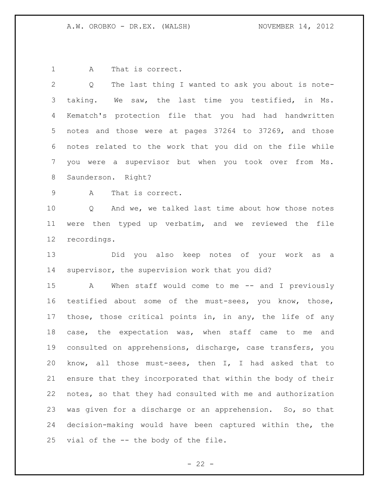1 A That is correct.

 Q The last thing I wanted to ask you about is note- taking. We saw, the last time you testified, in Ms. 4 Kematch's protection file that you had had handwritten notes and those were at pages 37264 to 37269, and those notes related to the work that you did on the file while you were a supervisor but when you took over from Ms. Saunderson. Right? A That is correct. Q And we, we talked last time about how those notes were then typed up verbatim, and we reviewed the file recordings. Did you also keep notes of your work as a supervisor, the supervision work that you did? A When staff would come to me -- and I previously testified about some of the must-sees, you know, those, those, those critical points in, in any, the life of any case, the expectation was, when staff came to me and consulted on apprehensions, discharge, case transfers, you know, all those must-sees, then I, I had asked that to ensure that they incorporated that within the body of their notes, so that they had consulted with me and authorization was given for a discharge or an apprehension. So, so that decision-making would have been captured within the, the vial of the -- the body of the file.

 $- 22 -$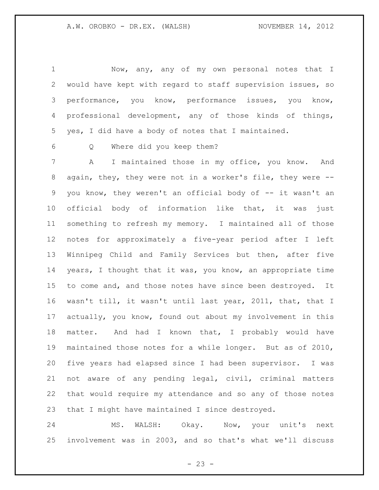Now, any, any of my own personal notes that I would have kept with regard to staff supervision issues, so performance, you know, performance issues, you know, professional development, any of those kinds of things, yes, I did have a body of notes that I maintained.

Q Where did you keep them?

 A I maintained those in my office, you know. And again, they, they were not in a worker's file, they were -- you know, they weren't an official body of -- it wasn't an official body of information like that, it was just something to refresh my memory. I maintained all of those notes for approximately a five-year period after I left Winnipeg Child and Family Services but then, after five years, I thought that it was, you know, an appropriate time 15 to come and, and those notes have since been destroyed. It wasn't till, it wasn't until last year, 2011, that, that I actually, you know, found out about my involvement in this matter. And had I known that, I probably would have maintained those notes for a while longer. But as of 2010, five years had elapsed since I had been supervisor. I was not aware of any pending legal, civil, criminal matters that would require my attendance and so any of those notes that I might have maintained I since destroyed.

 MS. WALSH: Okay. Now, your unit's next involvement was in 2003, and so that's what we'll discuss

 $- 23 -$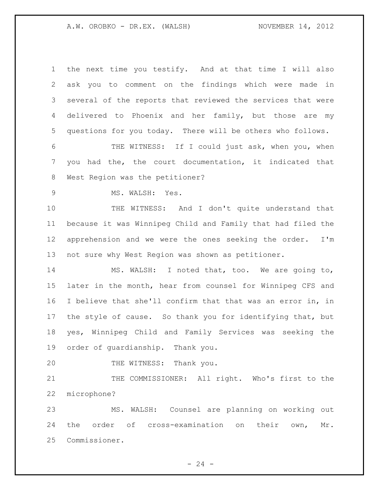A.W. OROBKO - DR.EX. (WALSH) NOVEMBER 14, 2012

 the next time you testify. And at that time I will also ask you to comment on the findings which were made in several of the reports that reviewed the services that were delivered to Phoenix and her family, but those are my questions for you today. There will be others who follows. THE WITNESS: If I could just ask, when you, when you had the, the court documentation, it indicated that West Region was the petitioner? MS. WALSH: Yes. THE WITNESS: And I don't quite understand that because it was Winnipeg Child and Family that had filed the apprehension and we were the ones seeking the order. I'm not sure why West Region was shown as petitioner. MS. WALSH: I noted that, too. We are going to, later in the month, hear from counsel for Winnipeg CFS and I believe that she'll confirm that that was an error in, in 17 the style of cause. So thank you for identifying that, but yes, Winnipeg Child and Family Services was seeking the order of guardianship. Thank you. 20 THE WITNESS: Thank you. THE COMMISSIONER: All right. Who's first to the microphone? MS. WALSH: Counsel are planning on working out the order of cross-examination on their own, Mr.

Commissioner.

 $- 24 -$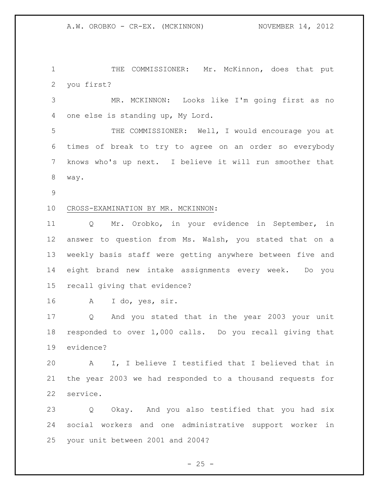THE COMMISSIONER: Mr. McKinnon, does that put you first?

 MR. MCKINNON: Looks like I'm going first as no one else is standing up, My Lord.

 THE COMMISSIONER: Well, I would encourage you at times of break to try to agree on an order so everybody knows who's up next. I believe it will run smoother that way.

## CROSS-EXAMINATION BY MR. MCKINNON:

 Q Mr. Orobko, in your evidence in September, in answer to question from Ms. Walsh, you stated that on a weekly basis staff were getting anywhere between five and eight brand new intake assignments every week. Do you recall giving that evidence?

A I do, yes, sir.

 Q And you stated that in the year 2003 your unit responded to over 1,000 calls. Do you recall giving that evidence?

 A I, I believe I testified that I believed that in the year 2003 we had responded to a thousand requests for service.

 Q Okay. And you also testified that you had six social workers and one administrative support worker in your unit between 2001 and 2004?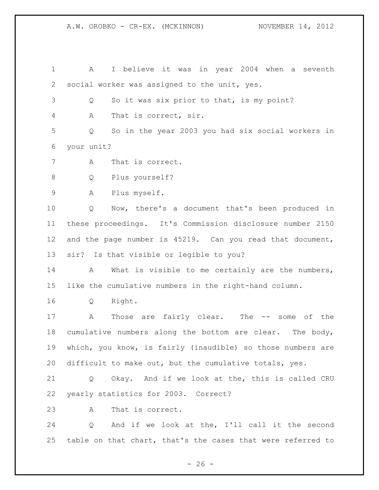A.W. OROBKO - CR-EX. (MCKINNON) NOVEMBER 14, 2012

 A I believe it was in year 2004 when a seventh social worker was assigned to the unit, yes. Q So it was six prior to that, is my point? A That is correct, sir. Q So in the year 2003 you had six social workers in your unit? A That is correct. Q Plus yourself? A Plus myself. Q Now, there's a document that's been produced in these proceedings. It's Commission disclosure number 2150 and the page number is 45219. Can you read that document, sir? Is that visible or legible to you? 14 A What is visible to me certainly are the numbers, like the cumulative numbers in the right-hand column. Q Right. A Those are fairly clear. The -- some of the cumulative numbers along the bottom are clear. The body, which, you know, is fairly (inaudible) so those numbers are difficult to make out, but the cumulative totals, yes. Q Okay. And if we look at the, this is called CRU yearly statistics for 2003. Correct? A That is correct. Q And if we look at the, I'll call it the second table on that chart, that's the cases that were referred to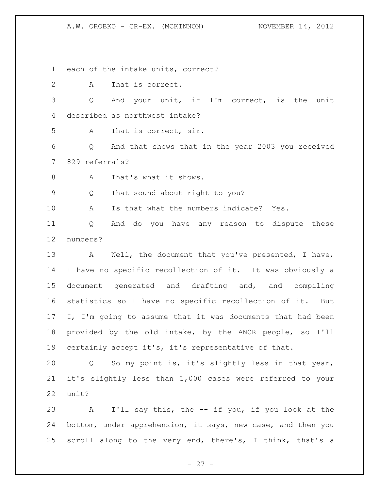A.W. OROBKO - CR-EX. (MCKINNON) NOVEMBER 14, 2012

each of the intake units, correct?

 A That is correct. Q And your unit, if I'm correct, is the unit described as northwest intake? A That is correct, sir. Q And that shows that in the year 2003 you received 829 referrals? 8 A That's what it shows. Q That sound about right to you? A Is that what the numbers indicate? Yes. Q And do you have any reason to dispute these numbers? 13 A Well, the document that you've presented, I have, I have no specific recollection of it. It was obviously a document generated and drafting and, and compiling statistics so I have no specific recollection of it. But 17 I, I'm going to assume that it was documents that had been provided by the old intake, by the ANCR people, so I'll certainly accept it's, it's representative of that. Q So my point is, it's slightly less in that year, it's slightly less than 1,000 cases were referred to your unit?

 A I'll say this, the -- if you, if you look at the bottom, under apprehension, it says, new case, and then you scroll along to the very end, there's, I think, that's a

 $- 27 -$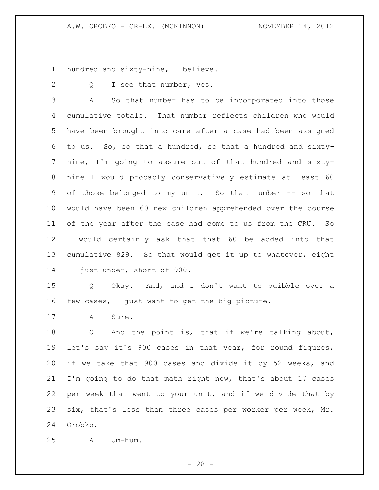hundred and sixty-nine, I believe.

2 Q I see that number, yes.

 A So that number has to be incorporated into those cumulative totals. That number reflects children who would have been brought into care after a case had been assigned to us. So, so that a hundred, so that a hundred and sixty- nine, I'm going to assume out of that hundred and sixty- nine I would probably conservatively estimate at least 60 of those belonged to my unit. So that number -- so that would have been 60 new children apprehended over the course of the year after the case had come to us from the CRU. So I would certainly ask that that 60 be added into that cumulative 829. So that would get it up to whatever, eight -- just under, short of 900.

 Q Okay. And, and I don't want to quibble over a few cases, I just want to get the big picture.

17 A Sure.

 Q And the point is, that if we're talking about, let's say it's 900 cases in that year, for round figures, if we take that 900 cases and divide it by 52 weeks, and I'm going to do that math right now, that's about 17 cases per week that went to your unit, and if we divide that by six, that's less than three cases per worker per week, Mr. Orobko.

A Um-hum.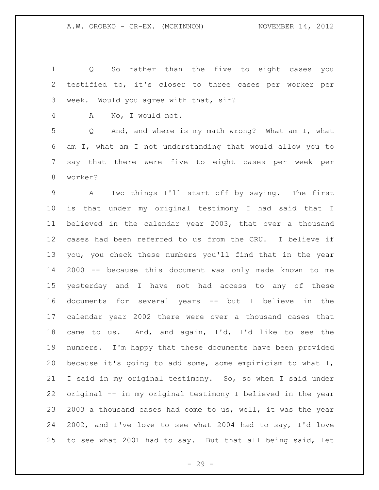| $\mathbf 1$ | So rather than the five to eight cases you<br>Q                |
|-------------|----------------------------------------------------------------|
| 2           | testified to, it's closer to three cases per worker per        |
| 3           | week. Would you agree with that, sir?                          |
| 4           | No, I would not.<br>A                                          |
| 5           | Q And, and where is my math wrong? What am I, what             |
| 6           | am I, what am I not understanding that would allow you to      |
| 7           | say that there were five to eight cases per week per           |
| 8           | worker?                                                        |
| 9           | Two things I'll start off by saying. The first<br>$\mathbf{A}$ |
| $10 \,$     | is that under my original testimony I had said that I          |
| 11          | believed in the calendar year 2003, that over a thousand       |
| 12          | cases had been referred to us from the CRU. I believe if       |
| 13          | you, you check these numbers you'll find that in the year      |
| 14          | 2000 -- because this document was only made known to me        |
| 15          | yesterday and I have not had access to any of these            |
| 16          | documents for several years -- but I believe in the            |
| 17          | calendar year 2002 there were over a thousand cases that       |
| 18          | came to us. And, and again, I'd, I'd like to see the           |
| 19          | numbers. I'm happy that these documents have been provided     |
| 20          | because it's going to add some, some empiricism to what I,     |
| 21          | I said in my original testimony. So, so when I said under      |
| 22          | original -- in my original testimony I believed in the year    |
| 23          | 2003 a thousand cases had come to us, well, it was the year    |
| 24          | 2002, and I've love to see what 2004 had to say, I'd love      |
| 25          | to see what 2001 had to say. But that all being said, let      |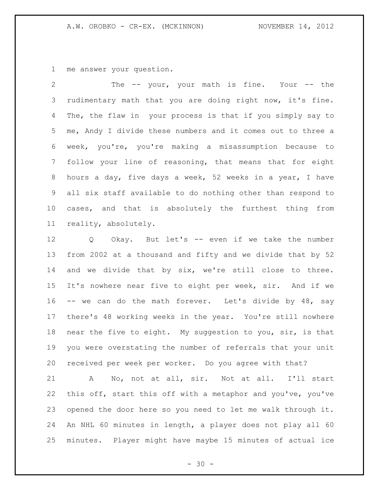me answer your question.

 The -- your, your math is fine. Your -- the rudimentary math that you are doing right now, it's fine. The, the flaw in your process is that if you simply say to me, Andy I divide these numbers and it comes out to three a week, you're, you're making a misassumption because to follow your line of reasoning, that means that for eight hours a day, five days a week, 52 weeks in a year, I have all six staff available to do nothing other than respond to cases, and that is absolutely the furthest thing from reality, absolutely.

 Q Okay. But let's -- even if we take the number from 2002 at a thousand and fifty and we divide that by 52 and we divide that by six, we're still close to three. It's nowhere near five to eight per week, sir. And if we 16 -- we can do the math forever. Let's divide by 48, say there's 48 working weeks in the year. You're still nowhere near the five to eight. My suggestion to you, sir, is that you were overstating the number of referrals that your unit received per week per worker. Do you agree with that?

 A No, not at all, sir. Not at all. I'll start this off, start this off with a metaphor and you've, you've opened the door here so you need to let me walk through it. An NHL 60 minutes in length, a player does not play all 60 minutes. Player might have maybe 15 minutes of actual ice

 $- 30 -$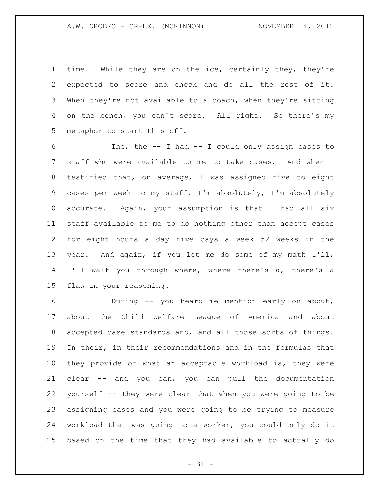time. While they are on the ice, certainly they, they're expected to score and check and do all the rest of it. When they're not available to a coach, when they're sitting 4 on the bench, you can't score. All right. So there's my metaphor to start this off.

 The, the -- I had -- I could only assign cases to staff who were available to me to take cases. And when I testified that, on average, I was assigned five to eight cases per week to my staff, I'm absolutely, I'm absolutely accurate. Again, your assumption is that I had all six staff available to me to do nothing other than accept cases for eight hours a day five days a week 52 weeks in the year. And again, if you let me do some of my math I'll, I'll walk you through where, where there's a, there's a flaw in your reasoning.

 During -- you heard me mention early on about, about the Child Welfare League of America and about accepted case standards and, and all those sorts of things. In their, in their recommendations and in the formulas that they provide of what an acceptable workload is, they were clear -- and you can, you can pull the documentation yourself -- they were clear that when you were going to be assigning cases and you were going to be trying to measure workload that was going to a worker, you could only do it based on the time that they had available to actually do

 $- 31 -$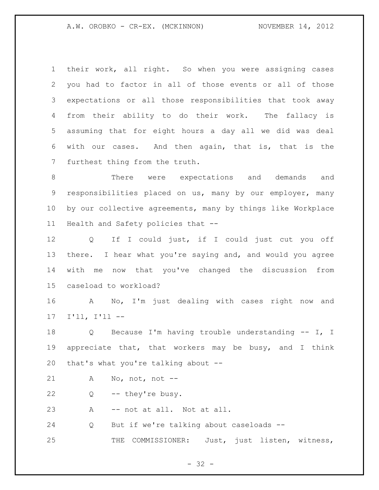A.W. OROBKO - CR-EX. (MCKINNON) NOVEMBER 14, 2012

 their work, all right. So when you were assigning cases you had to factor in all of those events or all of those expectations or all those responsibilities that took away from their ability to do their work. The fallacy is assuming that for eight hours a day all we did was deal with our cases. And then again, that is, that is the furthest thing from the truth.

 There were expectations and demands and responsibilities placed on us, many by our employer, many by our collective agreements, many by things like Workplace Health and Safety policies that --

 Q If I could just, if I could just cut you off there. I hear what you're saying and, and would you agree with me now that you've changed the discussion from caseload to workload?

 A No, I'm just dealing with cases right now and I'll, I'll --

 Q Because I'm having trouble understanding -- I, I appreciate that, that workers may be busy, and I think that's what you're talking about --

A No, not, not --

Q -- they're busy.

A -- not at all. Not at all.

Q But if we're talking about caseloads --

THE COMMISSIONER: Just, just listen, witness,

- 32 -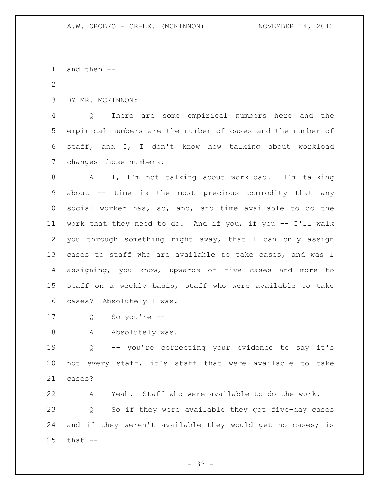and then --

BY MR. MCKINNON:

 Q There are some empirical numbers here and the empirical numbers are the number of cases and the number of staff, and I, I don't know how talking about workload changes those numbers.

 A I, I'm not talking about workload. I'm talking about -- time is the most precious commodity that any social worker has, so, and, and time available to do the work that they need to do. And if you, if you -- I'll walk you through something right away, that I can only assign cases to staff who are available to take cases, and was I assigning, you know, upwards of five cases and more to staff on a weekly basis, staff who were available to take cases? Absolutely I was.

Q So you're --

18 A Absolutely was.

 Q -- you're correcting your evidence to say it's not every staff, it's staff that were available to take cases?

 A Yeah. Staff who were available to do the work. Q So if they were available they got five-day cases 24 and if they weren't available they would get no cases; is that  $-$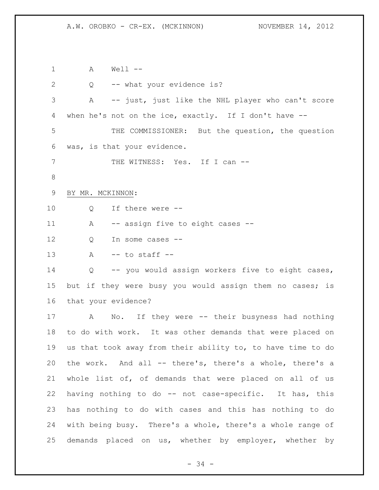A Well -- Q -- what your evidence is? A -- just, just like the NHL player who can't score when he's not on the ice, exactly. If I don't have -- THE COMMISSIONER: But the question, the question was, is that your evidence. 7 THE WITNESS: Yes. If I can -- BY MR. MCKINNON: 10 0 If there were --11 A -- assign five to eight cases --12 O In some cases -- A -- to staff -- Q -- you would assign workers five to eight cases, 15 but if they were busy you would assign them no cases; is that your evidence? A No. If they were -- their busyness had nothing to do with work. It was other demands that were placed on us that took away from their ability to, to have time to do the work. And all -- there's, there's a whole, there's a whole list of, of demands that were placed on all of us having nothing to do -- not case-specific. It has, this has nothing to do with cases and this has nothing to do with being busy. There's a whole, there's a whole range of demands placed on us, whether by employer, whether by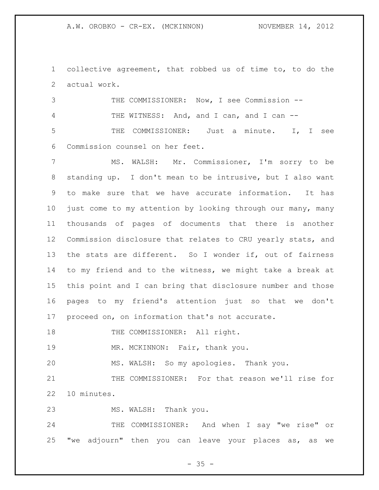collective agreement, that robbed us of time to, to do the actual work.

 THE COMMISSIONER: Now, I see Commission -- 4 THE WITNESS: And, and I can, and I can -- THE COMMISSIONER: Just a minute. I, I see Commission counsel on her feet.

 MS. WALSH: Mr. Commissioner, I'm sorry to be standing up. I don't mean to be intrusive, but I also want to make sure that we have accurate information. It has just come to my attention by looking through our many, many thousands of pages of documents that there is another Commission disclosure that relates to CRU yearly stats, and the stats are different. So I wonder if, out of fairness to my friend and to the witness, we might take a break at this point and I can bring that disclosure number and those pages to my friend's attention just so that we don't proceed on, on information that's not accurate.

18 THE COMMISSIONER: All right.

19 MR. MCKINNON: Fair, thank you.

MS. WALSH: So my apologies. Thank you.

 THE COMMISSIONER: For that reason we'll rise for 10 minutes.

MS. WALSH: Thank you.

 THE COMMISSIONER: And when I say "we rise" or "we adjourn" then you can leave your places as, as we

 $- 35 -$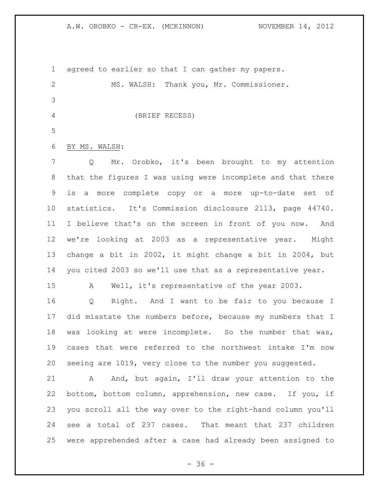A.W. OROBKO - CR-EX. (MCKINNON) NOVEMBER 14, 2012

 agreed to earlier so that I can gather my papers. MS. WALSH: Thank you, Mr. Commissioner. (BRIEF RECESS) BY MS. WALSH: Q Mr. Orobko, it's been brought to my attention that the figures I was using were incomplete and that there is a more complete copy or a more up-to-date set of statistics. It's Commission disclosure 2113, page 44740. I believe that's on the screen in front of you now. And we're looking at 2003 as a representative year. Might change a bit in 2002, it might change a bit in 2004, but you cited 2003 so we'll use that as a representative year. A Well, it's representative of the year 2003. Q Right. And I want to be fair to you because I 17 did misstate the numbers before, because my numbers that I was looking at were incomplete. So the number that was, cases that were referred to the northwest intake I'm now seeing are 1019, very close to the number you suggested. 21 A And, but again, I'll draw your attention to the bottom, bottom column, apprehension, new case. If you, if you scroll all the way over to the right-hand column you'll see a total of 237 cases. That meant that 237 children

 $- 36 -$ 

were apprehended after a case had already been assigned to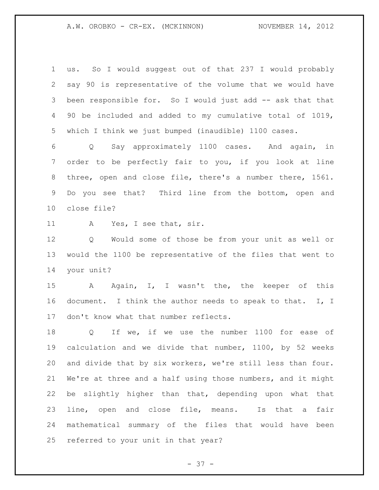A.W. OROBKO - CR-EX. (MCKINNON) NOVEMBER 14, 2012

 us. So I would suggest out of that 237 I would probably say 90 is representative of the volume that we would have been responsible for. So I would just add -- ask that that 90 be included and added to my cumulative total of 1019, which I think we just bumped (inaudible) 1100 cases.

 Q Say approximately 1100 cases. And again, in order to be perfectly fair to you, if you look at line three, open and close file, there's a number there, 1561. Do you see that? Third line from the bottom, open and close file?

A Yes, I see that, sir.

 Q Would some of those be from your unit as well or would the 1100 be representative of the files that went to your unit?

 A Again, I, I wasn't the, the keeper of this 16 document. I think the author needs to speak to that. I, I don't know what that number reflects.

18 Q If we, if we use the number 1100 for ease of calculation and we divide that number, 1100, by 52 weeks and divide that by six workers, we're still less than four. We're at three and a half using those numbers, and it might be slightly higher than that, depending upon what that line, open and close file, means. Is that a fair mathematical summary of the files that would have been referred to your unit in that year?

 $- 37 -$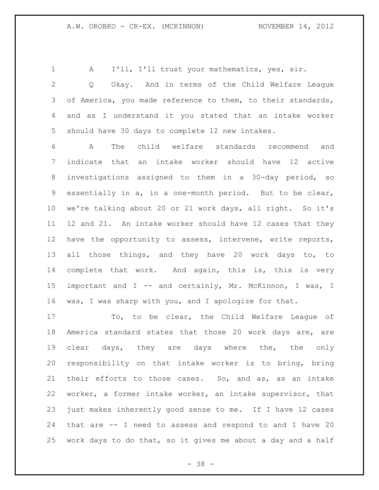A I'll, I'll trust your mathematics, yes, sir.

 Q Okay. And in terms of the Child Welfare League 3 of America, you made reference to them, to their standards, and as I understand it you stated that an intake worker should have 30 days to complete 12 new intakes.

 A The child welfare standards recommend and indicate that an intake worker should have 12 active investigations assigned to them in a 30-day period, so essentially in a, in a one-month period. But to be clear, we're talking about 20 or 21 work days, all right. So it's 12 and 21. An intake worker should have 12 cases that they have the opportunity to assess, intervene, write reports, all those things, and they have 20 work days to, to complete that work. And again, this is, this is very important and I -- and certainly, Mr. McKinnon, I was, I was, I was sharp with you, and I apologize for that.

 To, to be clear, the Child Welfare League of America standard states that those 20 work days are, are clear days, they are days where the, the only responsibility on that intake worker is to bring, bring their efforts to those cases. So, and as, as an intake worker, a former intake worker, an intake supervisor, that just makes inherently good sense to me. If I have 12 cases that are -- I need to assess and respond to and I have 20 work days to do that, so it gives me about a day and a half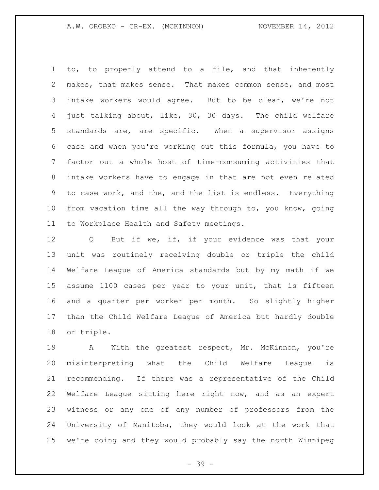to, to properly attend to a file, and that inherently makes, that makes sense. That makes common sense, and most intake workers would agree. But to be clear, we're not just talking about, like, 30, 30 days. The child welfare standards are, are specific. When a supervisor assigns case and when you're working out this formula, you have to factor out a whole host of time-consuming activities that intake workers have to engage in that are not even related to case work, and the, and the list is endless. Everything from vacation time all the way through to, you know, going to Workplace Health and Safety meetings.

 Q But if we, if, if your evidence was that your unit was routinely receiving double or triple the child Welfare League of America standards but by my math if we assume 1100 cases per year to your unit, that is fifteen and a quarter per worker per month. So slightly higher than the Child Welfare League of America but hardly double or triple.

 A With the greatest respect, Mr. McKinnon, you're misinterpreting what the Child Welfare League is recommending. If there was a representative of the Child Welfare League sitting here right now, and as an expert witness or any one of any number of professors from the University of Manitoba, they would look at the work that we're doing and they would probably say the north Winnipeg

- 39 -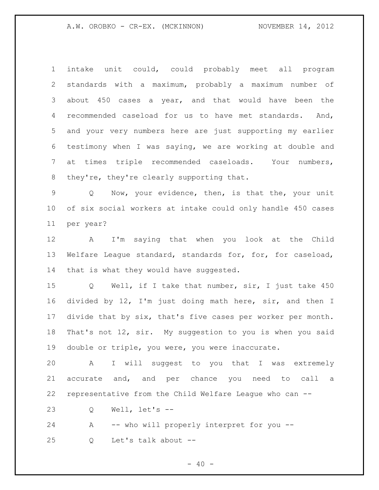A.W. OROBKO - CR-EX. (MCKINNON) NOVEMBER 14, 2012

 intake unit could, could probably meet all program standards with a maximum, probably a maximum number of about 450 cases a year, and that would have been the recommended caseload for us to have met standards. And, and your very numbers here are just supporting my earlier testimony when I was saying, we are working at double and at times triple recommended caseloads. Your numbers, 8 they're, they're clearly supporting that.

 Q Now, your evidence, then, is that the, your unit of six social workers at intake could only handle 450 cases per year?

 A I'm saying that when you look at the Child Welfare League standard, standards for, for, for caseload, 14 that is what they would have suggested.

 Q Well, if I take that number, sir, I just take 450 divided by 12, I'm just doing math here, sir, and then I divide that by six, that's five cases per worker per month. That's not 12, sir. My suggestion to you is when you said double or triple, you were, you were inaccurate.

 A I will suggest to you that I was extremely accurate and, and per chance you need to call a representative from the Child Welfare League who can --

Q Well, let's --

 A -- who will properly interpret for you -- Q Let's talk about --

 $- 40 -$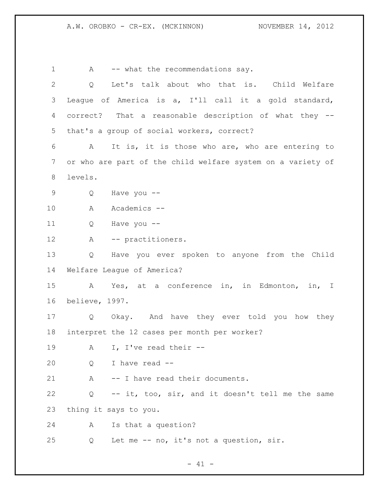A.W. OROBKO - CR-EX. (MCKINNON) NOVEMBER 14, 2012

1 A -- what the recommendations say. Q Let's talk about who that is. Child Welfare League of America is a, I'll call it a gold standard, correct? That a reasonable description of what they -- that's a group of social workers, correct? A It is, it is those who are, who are entering to or who are part of the child welfare system on a variety of levels. Q Have you -- A Academics -- Q Have you -- A -- practitioners. Q Have you ever spoken to anyone from the Child Welfare League of America? A Yes, at a conference in, in Edmonton, in, I believe, 1997. Q Okay. And have they ever told you how they interpret the 12 cases per month per worker? A I, I've read their -- Q I have read -- 21 A -- I have read their documents. Q -- it, too, sir, and it doesn't tell me the same thing it says to you. A Is that a question? Q Let me -- no, it's not a question, sir.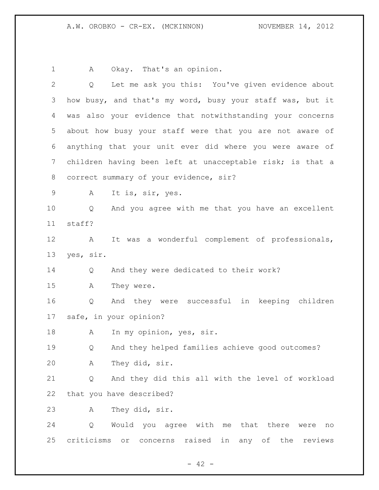A Okay. That's an opinion.

| $\mathbf{2}$ | Let me ask you this: You've given evidence about<br>$Q \qquad \qquad$ |
|--------------|-----------------------------------------------------------------------|
| 3            | how busy, and that's my word, busy your staff was, but it             |
| 4            | was also your evidence that notwithstanding your concerns             |
| 5            | about how busy your staff were that you are not aware of              |
| 6            | anything that your unit ever did where you were aware of              |
| 7            | children having been left at unacceptable risk; is that a             |
| 8            | correct summary of your evidence, sir?                                |
| 9            | It is, sir, yes.<br>A                                                 |
| 10           | And you agree with me that you have an excellent<br>Q                 |
| 11           | staff?                                                                |
| 12           | It was a wonderful complement of professionals,<br>A                  |
| 13           | yes, sir.                                                             |
| 14           | And they were dedicated to their work?<br>Q                           |
| 15           | They were.<br>Α                                                       |
| 16           | And they were successful in keeping children<br>Q                     |
| 17           | safe, in your opinion?                                                |
| 18           | In my opinion, yes, sir.<br>A                                         |
| 19           | And they helped families achieve good outcomes?<br>Q                  |
| 20           | A They did, sir.                                                      |
| 21           | And they did this all with the level of workload<br>Q                 |
| 22           | that you have described?                                              |
| 23           | They did, sir.<br>Α                                                   |
| 24           | Would you agree with me that there were<br>Q<br>no                    |
| 25           | criticisms or<br>raised in any of the reviews<br>concerns             |

- 42 -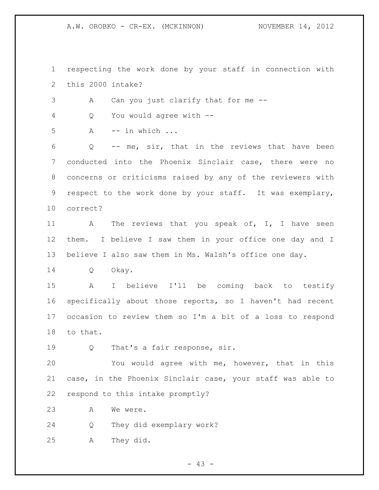A.W. OROBKO - CR-EX. (MCKINNON) NOVEMBER 14, 2012

 respecting the work done by your staff in connection with this 2000 intake? A Can you just clarify that for me -- Q You would agree with -- A -- in which ... Q -- me, sir, that in the reviews that have been conducted into the Phoenix Sinclair case, there were no concerns or criticisms raised by any of the reviewers with respect to the work done by your staff. It was exemplary, correct? 11 A The reviews that you speak of, I, I have seen them. I believe I saw them in your office one day and I believe I also saw them in Ms. Walsh's office one day. Q Okay. A I believe I'll be coming back to testify specifically about those reports, so I haven't had recent occasion to review them so I'm a bit of a loss to respond to that. 19 0 That's a fair response, sir. You would agree with me, however, that in this case, in the Phoenix Sinclair case, your staff was able to respond to this intake promptly? 23 A We were. Q They did exemplary work? A They did.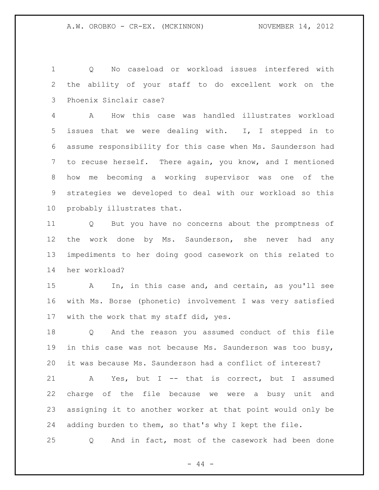Q No caseload or workload issues interfered with the ability of your staff to do excellent work on the Phoenix Sinclair case?

 A How this case was handled illustrates workload issues that we were dealing with. I, I stepped in to assume responsibility for this case when Ms. Saunderson had to recuse herself. There again, you know, and I mentioned how me becoming a working supervisor was one of the strategies we developed to deal with our workload so this probably illustrates that.

 Q But you have no concerns about the promptness of the work done by Ms. Saunderson, she never had any impediments to her doing good casework on this related to her workload?

 A In, in this case and, and certain, as you'll see with Ms. Borse (phonetic) involvement I was very satisfied with the work that my staff did, yes.

 Q And the reason you assumed conduct of this file in this case was not because Ms. Saunderson was too busy, it was because Ms. Saunderson had a conflict of interest?

 A Yes, but I -- that is correct, but I assumed charge of the file because we were a busy unit and assigning it to another worker at that point would only be adding burden to them, so that's why I kept the file.

Q And in fact, most of the casework had been done

 $-44 -$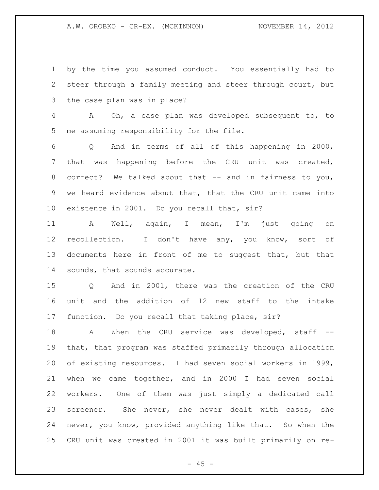A.W. OROBKO - CR-EX. (MCKINNON) NOVEMBER 14, 2012

 by the time you assumed conduct. You essentially had to steer through a family meeting and steer through court, but the case plan was in place?

 A Oh, a case plan was developed subsequent to, to me assuming responsibility for the file.

 Q And in terms of all of this happening in 2000, that was happening before the CRU unit was created, correct? We talked about that -- and in fairness to you, we heard evidence about that, that the CRU unit came into existence in 2001. Do you recall that, sir?

 A Well, again, I mean, I'm just going on recollection. I don't have any, you know, sort of documents here in front of me to suggest that, but that sounds, that sounds accurate.

 Q And in 2001, there was the creation of the CRU unit and the addition of 12 new staff to the intake function. Do you recall that taking place, sir?

18 A When the CRU service was developed, staff -- that, that program was staffed primarily through allocation of existing resources. I had seven social workers in 1999, when we came together, and in 2000 I had seven social workers. One of them was just simply a dedicated call screener. She never, she never dealt with cases, she never, you know, provided anything like that. So when the CRU unit was created in 2001 it was built primarily on re-

 $- 45 -$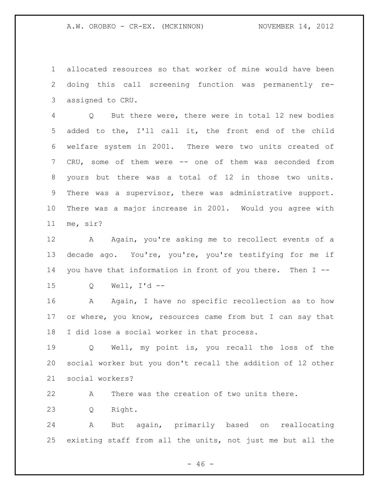A.W. OROBKO - CR-EX. (MCKINNON) NOVEMBER 14, 2012

 allocated resources so that worker of mine would have been doing this call screening function was permanently re-assigned to CRU.

 Q But there were, there were in total 12 new bodies added to the, I'll call it, the front end of the child welfare system in 2001. There were two units created of CRU, some of them were -- one of them was seconded from yours but there was a total of 12 in those two units. There was a supervisor, there was administrative support. There was a major increase in 2001. Would you agree with me, sir?

12 A Again, you're asking me to recollect events of a decade ago. You're, you're, you're testifying for me if you have that information in front of you there. Then I --

Q Well, I'd --

 A Again, I have no specific recollection as to how 17 or where, you know, resources came from but I can say that I did lose a social worker in that process.

 Q Well, my point is, you recall the loss of the social worker but you don't recall the addition of 12 other social workers?

A There was the creation of two units there.

Q Right.

 A But again, primarily based on reallocating existing staff from all the units, not just me but all the

 $- 46 -$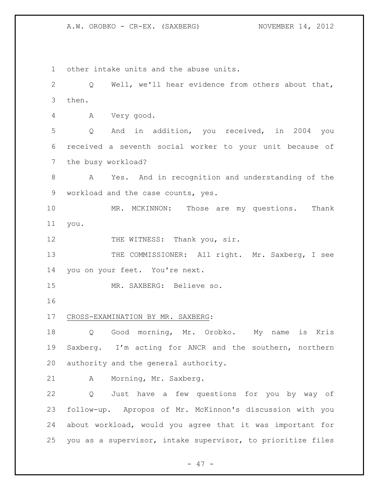other intake units and the abuse units. Q Well, we'll hear evidence from others about that, then. A Very good. Q And in addition, you received, in 2004 you received a seventh social worker to your unit because of the busy workload? A Yes. And in recognition and understanding of the workload and the case counts, yes. MR. MCKINNON: Those are my questions. Thank you. 12 THE WITNESS: Thank you, sir. 13 THE COMMISSIONER: All right. Mr. Saxberg, I see you on your feet. You're next. MR. SAXBERG: Believe so. CROSS-EXAMINATION BY MR. SAXBERG: Q Good morning, Mr. Orobko. My name is Kris Saxberg. I'm acting for ANCR and the southern, northern authority and the general authority. A Morning, Mr. Saxberg. Q Just have a few questions for you by way of follow-up. Apropos of Mr. McKinnon's discussion with you about workload, would you agree that it was important for you as a supervisor, intake supervisor, to prioritize files

 $- 47 -$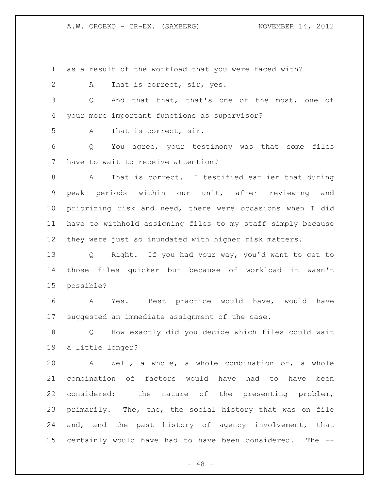as a result of the workload that you were faced with?

2 A That is correct, sir, yes.

 Q And that that, that's one of the most, one of your more important functions as supervisor?

A That is correct, sir.

 Q You agree, your testimony was that some files have to wait to receive attention?

 A That is correct. I testified earlier that during peak periods within our unit, after reviewing and priorizing risk and need, there were occasions when I did have to withhold assigning files to my staff simply because they were just so inundated with higher risk matters.

 Q Right. If you had your way, you'd want to get to those files quicker but because of workload it wasn't possible?

 A Yes. Best practice would have, would have suggested an immediate assignment of the case.

 Q How exactly did you decide which files could wait a little longer?

 A Well, a whole, a whole combination of, a whole combination of factors would have had to have been considered: the nature of the presenting problem, primarily. The, the, the social history that was on file 24 and, and the past history of agency involvement, that certainly would have had to have been considered. The --

 $- 48 -$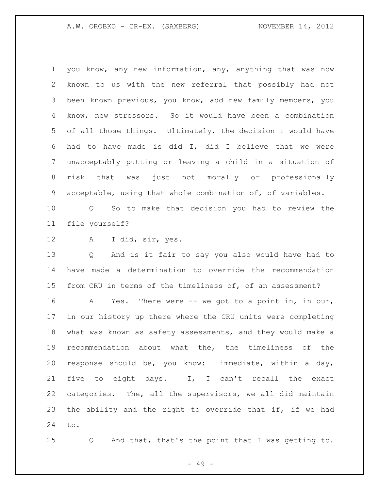you know, any new information, any, anything that was now known to us with the new referral that possibly had not been known previous, you know, add new family members, you know, new stressors. So it would have been a combination of all those things. Ultimately, the decision I would have had to have made is did I, did I believe that we were unacceptably putting or leaving a child in a situation of risk that was just not morally or professionally acceptable, using that whole combination of, of variables.

 Q So to make that decision you had to review the file yourself?

A I did, sir, yes.

 Q And is it fair to say you also would have had to have made a determination to override the recommendation from CRU in terms of the timeliness of, of an assessment?

 A Yes. There were -- we got to a point in, in our, in our history up there where the CRU units were completing what was known as safety assessments, and they would make a recommendation about what the, the timeliness of the response should be, you know: immediate, within a day, five to eight days. I, I can't recall the exact categories. The, all the supervisors, we all did maintain the ability and the right to override that if, if we had to.

Q And that, that's the point that I was getting to.

- 49 -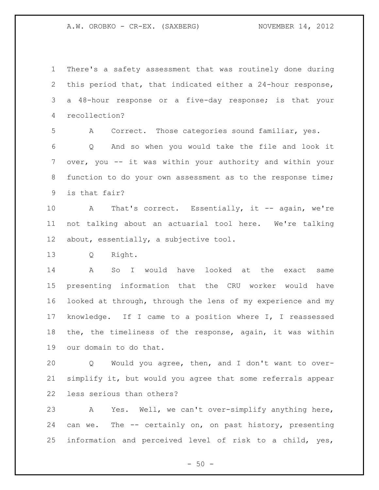There's a safety assessment that was routinely done during this period that, that indicated either a 24-hour response, a 48-hour response or a five-day response; is that your recollection?

A Correct. Those categories sound familiar, yes.

 Q And so when you would take the file and look it over, you -- it was within your authority and within your function to do your own assessment as to the response time; is that fair?

10 A That's correct. Essentially, it -- again, we're not talking about an actuarial tool here. We're talking about, essentially, a subjective tool.

Q Right.

 A So I would have looked at the exact same presenting information that the CRU worker would have looked at through, through the lens of my experience and my knowledge. If I came to a position where I, I reassessed the, the timeliness of the response, again, it was within our domain to do that.

 Q Would you agree, then, and I don't want to over- simplify it, but would you agree that some referrals appear less serious than others?

 A Yes. Well, we can't over-simplify anything here, can we. The -- certainly on, on past history, presenting information and perceived level of risk to a child, yes,

 $-50 -$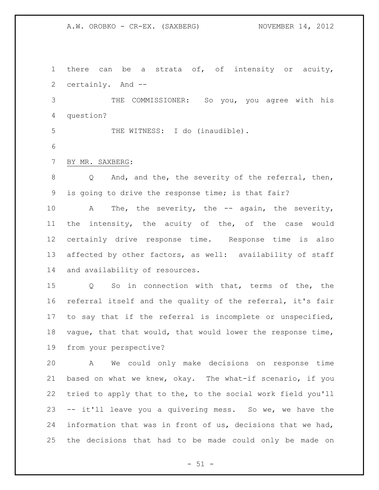there can be a strata of, of intensity or acuity, certainly. And --

 THE COMMISSIONER: So you, you agree with his question?

5 THE WITNESS: I do (inaudible).

BY MR. SAXBERG:

8 Q And, and the, the severity of the referral, then, is going to drive the response time; is that fair?

10 A The, the severity, the -- again, the severity, the intensity, the acuity of the, of the case would certainly drive response time. Response time is also affected by other factors, as well: availability of staff and availability of resources.

 Q So in connection with that, terms of the, the referral itself and the quality of the referral, it's fair to say that if the referral is incomplete or unspecified, vague, that that would, that would lower the response time, from your perspective?

 A We could only make decisions on response time based on what we knew, okay. The what-if scenario, if you tried to apply that to the, to the social work field you'll -- it'll leave you a quivering mess. So we, we have the information that was in front of us, decisions that we had, the decisions that had to be made could only be made on

 $-51 -$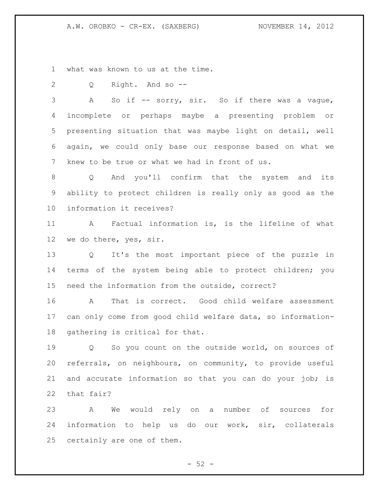what was known to us at the time.

Q Right. And so --

3 A So if -- sorry, sir. So if there was a vague, incomplete or perhaps maybe a presenting problem or presenting situation that was maybe light on detail, well again, we could only base our response based on what we knew to be true or what we had in front of us.

 Q And you'll confirm that the system and its ability to protect children is really only as good as the information it receives?

 A Factual information is, is the lifeline of what we do there, yes, sir.

 Q It's the most important piece of the puzzle in terms of the system being able to protect children; you need the information from the outside, correct?

 A That is correct. Good child welfare assessment can only come from good child welfare data, so information-gathering is critical for that.

 Q So you count on the outside world, on sources of referrals, on neighbours, on community, to provide useful and accurate information so that you can do your job; is that fair?

 A We would rely on a number of sources for information to help us do our work, sir, collaterals certainly are one of them.

 $-52 -$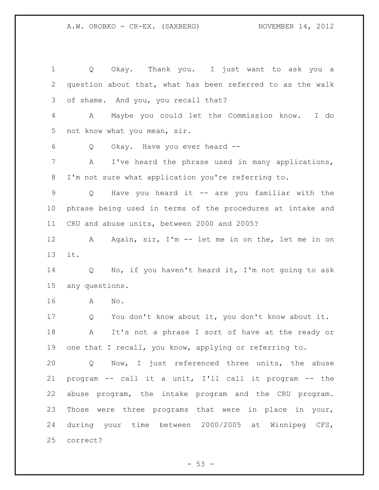Q Okay. Thank you. I just want to ask you a question about that, what has been referred to as the walk of shame. And you, you recall that? A Maybe you could let the Commission know. I do not know what you mean, sir. Q Okay. Have you ever heard -- A I've heard the phrase used in many applications, I'm not sure what application you're referring to. Q Have you heard it -- are you familiar with the phrase being used in terms of the procedures at intake and CRU and abuse units, between 2000 and 2005? A Again, sir, I'm -- let me in on the, let me in on it. Q No, if you haven't heard it, I'm not going to ask any questions. A No. Q You don't know about it, you don't know about it. A It's not a phrase I sort of have at the ready or one that I recall, you know, applying or referring to. Q Now, I just referenced three units, the abuse program -- call it a unit, I'll call it program -- the abuse program, the intake program and the CRU program. Those were three programs that were in place in your, during your time between 2000/2005 at Winnipeg CFS, correct?

 $-53 -$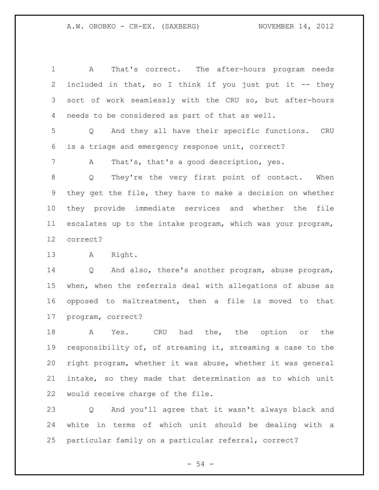A That's correct. The after-hours program needs included in that, so I think if you just put it -- they sort of work seamlessly with the CRU so, but after-hours needs to be considered as part of that as well. Q And they all have their specific functions. CRU is a triage and emergency response unit, correct? A That's, that's a good description, yes. Q They're the very first point of contact. When they get the file, they have to make a decision on whether they provide immediate services and whether the file escalates up to the intake program, which was your program, correct? A Right. Q And also, there's another program, abuse program, when, when the referrals deal with allegations of abuse as opposed to maltreatment, then a file is moved to that program, correct?

 A Yes. CRU had the, the option or the responsibility of, of streaming it, streaming a case to the right program, whether it was abuse, whether it was general intake, so they made that determination as to which unit would receive charge of the file.

 Q And you'll agree that it wasn't always black and white in terms of which unit should be dealing with a particular family on a particular referral, correct?

 $-54 -$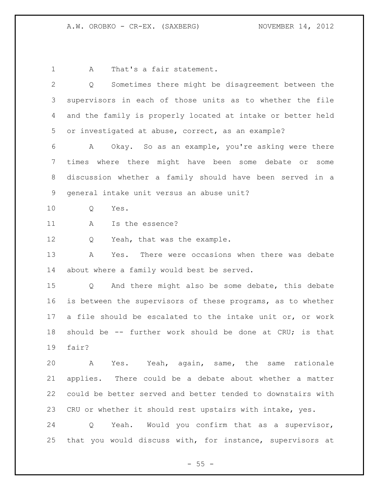1 A That's a fair statement.

 Q Sometimes there might be disagreement between the supervisors in each of those units as to whether the file and the family is properly located at intake or better held or investigated at abuse, correct, as an example? A Okay. So as an example, you're asking were there times where there might have been some debate or some discussion whether a family should have been served in a general intake unit versus an abuse unit? Q Yes. 11 A Is the essence? 12 Q Yeah, that was the example. A Yes. There were occasions when there was debate about where a family would best be served. Q And there might also be some debate, this debate is between the supervisors of these programs, as to whether a file should be escalated to the intake unit or, or work should be -- further work should be done at CRU; is that fair? A Yes. Yeah, again, same, the same rationale applies. There could be a debate about whether a matter could be better served and better tended to downstairs with CRU or whether it should rest upstairs with intake, yes. Q Yeah. Would you confirm that as a supervisor, that you would discuss with, for instance, supervisors at

 $- 55 -$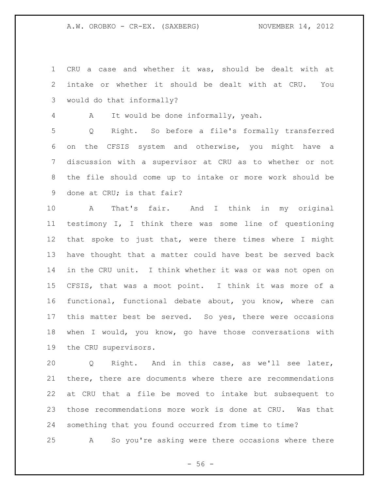CRU a case and whether it was, should be dealt with at intake or whether it should be dealt with at CRU. You would do that informally?

A It would be done informally, yeah.

 Q Right. So before a file's formally transferred on the CFSIS system and otherwise, you might have a discussion with a supervisor at CRU as to whether or not the file should come up to intake or more work should be done at CRU; is that fair?

 A That's fair. And I think in my original testimony I, I think there was some line of questioning that spoke to just that, were there times where I might have thought that a matter could have best be served back in the CRU unit. I think whether it was or was not open on CFSIS, that was a moot point. I think it was more of a functional, functional debate about, you know, where can this matter best be served. So yes, there were occasions when I would, you know, go have those conversations with the CRU supervisors.

 Q Right. And in this case, as we'll see later, there, there are documents where there are recommendations at CRU that a file be moved to intake but subsequent to those recommendations more work is done at CRU. Was that something that you found occurred from time to time?

A So you're asking were there occasions where there

 $-56 -$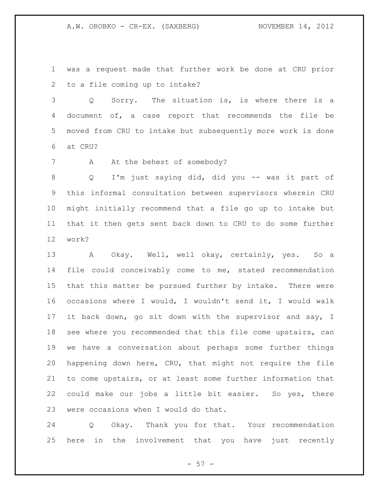was a request made that further work be done at CRU prior to a file coming up to intake?

 Q Sorry. The situation is, is where there is a document of, a case report that recommends the file be moved from CRU to intake but subsequently more work is done at CRU?

7 A At the behest of somebody?

 Q I'm just saying did, did you -- was it part of this informal consultation between supervisors wherein CRU might initially recommend that a file go up to intake but that it then gets sent back down to CRU to do some further work?

 A Okay. Well, well okay, certainly, yes. So a file could conceivably come to me, stated recommendation that this matter be pursued further by intake. There were occasions where I would, I wouldn't send it, I would walk it back down, go sit down with the supervisor and say, I see where you recommended that this file come upstairs, can we have a conversation about perhaps some further things happening down here, CRU, that might not require the file to come upstairs, or at least some further information that could make our jobs a little bit easier. So yes, there were occasions when I would do that.

 Q Okay. Thank you for that. Your recommendation here in the involvement that you have just recently

 $-57 -$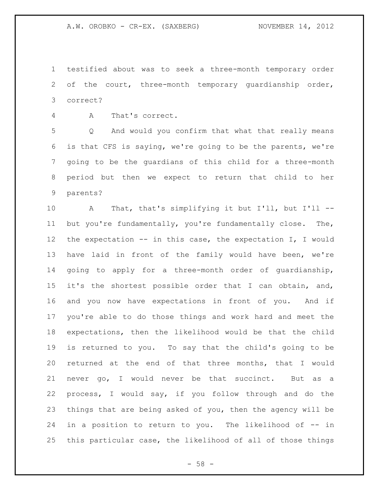testified about was to seek a three-month temporary order of the court, three-month temporary guardianship order, correct?

A That's correct.

 Q And would you confirm that what that really means is that CFS is saying, we're going to be the parents, we're going to be the guardians of this child for a three-month period but then we expect to return that child to her parents?

 A That, that's simplifying it but I'll, but I'll -- but you're fundamentally, you're fundamentally close. The, the expectation -- in this case, the expectation I, I would have laid in front of the family would have been, we're going to apply for a three-month order of guardianship, it's the shortest possible order that I can obtain, and, and you now have expectations in front of you. And if you're able to do those things and work hard and meet the expectations, then the likelihood would be that the child is returned to you. To say that the child's going to be returned at the end of that three months, that I would never go, I would never be that succinct. But as a process, I would say, if you follow through and do the things that are being asked of you, then the agency will be in a position to return to you. The likelihood of -- in this particular case, the likelihood of all of those things

 $- 58 -$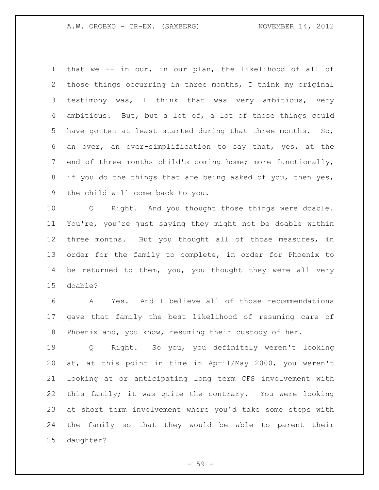that we -- in our, in our plan, the likelihood of all of those things occurring in three months, I think my original testimony was, I think that was very ambitious, very ambitious. But, but a lot of, a lot of those things could have gotten at least started during that three months. So, an over, an over-simplification to say that, yes, at the 7 end of three months child's coming home; more functionally, 8 if you do the things that are being asked of you, then yes, the child will come back to you.

 Q Right. And you thought those things were doable. You're, you're just saying they might not be doable within three months. But you thought all of those measures, in order for the family to complete, in order for Phoenix to be returned to them, you, you thought they were all very doable?

 A Yes. And I believe all of those recommendations gave that family the best likelihood of resuming care of Phoenix and, you know, resuming their custody of her.

 Q Right. So you, you definitely weren't looking at, at this point in time in April/May 2000, you weren't looking at or anticipating long term CFS involvement with this family; it was quite the contrary. You were looking at short term involvement where you'd take some steps with the family so that they would be able to parent their daughter?

 $-59 -$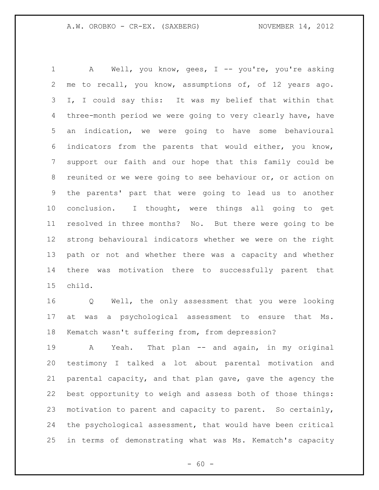1 A Well, you know, gees, I -- you're, you're asking me to recall, you know, assumptions of, of 12 years ago. I, I could say this: It was my belief that within that three-month period we were going to very clearly have, have an indication, we were going to have some behavioural indicators from the parents that would either, you know, support our faith and our hope that this family could be reunited or we were going to see behaviour or, or action on the parents' part that were going to lead us to another conclusion. I thought, were things all going to get resolved in three months? No. But there were going to be strong behavioural indicators whether we were on the right path or not and whether there was a capacity and whether there was motivation there to successfully parent that child.

 Q Well, the only assessment that you were looking at was a psychological assessment to ensure that Ms. Kematch wasn't suffering from, from depression?

 A Yeah. That plan -- and again, in my original testimony I talked a lot about parental motivation and parental capacity, and that plan gave, gave the agency the best opportunity to weigh and assess both of those things: motivation to parent and capacity to parent. So certainly, the psychological assessment, that would have been critical in terms of demonstrating what was Ms. Kematch's capacity

 $- 60 -$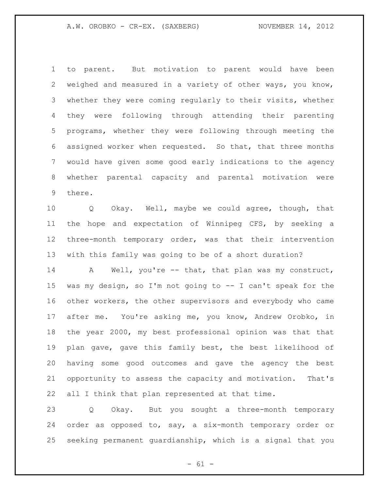to parent. But motivation to parent would have been weighed and measured in a variety of other ways, you know, whether they were coming regularly to their visits, whether they were following through attending their parenting programs, whether they were following through meeting the assigned worker when requested. So that, that three months would have given some good early indications to the agency whether parental capacity and parental motivation were there.

 Q Okay. Well, maybe we could agree, though, that the hope and expectation of Winnipeg CFS, by seeking a three-month temporary order, was that their intervention with this family was going to be of a short duration?

14 A Well, you're -- that, that plan was my construct, was my design, so I'm not going to -- I can't speak for the other workers, the other supervisors and everybody who came after me. You're asking me, you know, Andrew Orobko, in the year 2000, my best professional opinion was that that plan gave, gave this family best, the best likelihood of having some good outcomes and gave the agency the best opportunity to assess the capacity and motivation. That's all I think that plan represented at that time.

 Q Okay. But you sought a three-month temporary order as opposed to, say, a six-month temporary order or seeking permanent guardianship, which is a signal that you

 $- 61 -$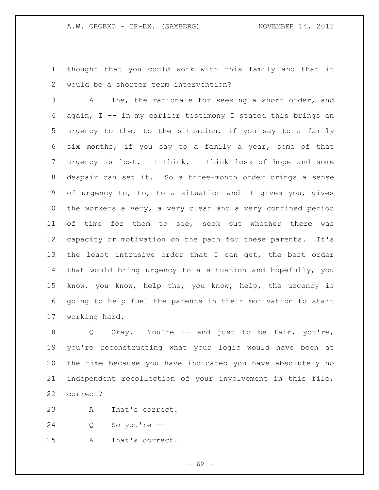thought that you could work with this family and that it would be a shorter term intervention?

 A The, the rationale for seeking a short order, and again, I -- in my earlier testimony I stated this brings an urgency to the, to the situation, if you say to a family six months, if you say to a family a year, some of that urgency is lost. I think, I think loss of hope and some despair can set it. So a three-month order brings a sense of urgency to, to, to a situation and it gives you, gives the workers a very, a very clear and a very confined period of time for them to see, seek out whether there was capacity or motivation on the path for these parents. It's the least intrusive order that I can get, the best order that would bring urgency to a situation and hopefully, you know, you know, help the, you know, help, the urgency is going to help fuel the parents in their motivation to start working hard.

 Q Okay. You're -- and just to be fair, you're, you're reconstructing what your logic would have been at the time because you have indicated you have absolutely no independent recollection of your involvement in this file, correct?

A That's correct.

Q So you're --

A That's correct.

 $- 62 -$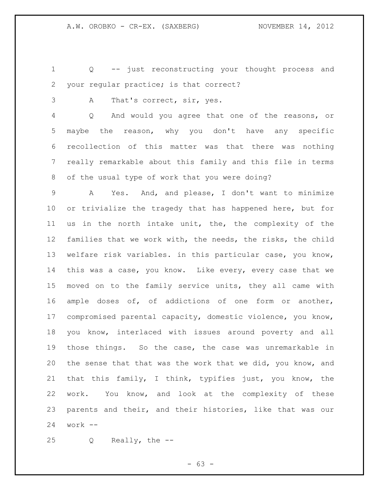Q -- just reconstructing your thought process and your regular practice; is that correct?

A That's correct, sir, yes.

 Q And would you agree that one of the reasons, or maybe the reason, why you don't have any specific recollection of this matter was that there was nothing really remarkable about this family and this file in terms of the usual type of work that you were doing?

 A Yes. And, and please, I don't want to minimize or trivialize the tragedy that has happened here, but for us in the north intake unit, the, the complexity of the families that we work with, the needs, the risks, the child welfare risk variables. in this particular case, you know, this was a case, you know. Like every, every case that we moved on to the family service units, they all came with ample doses of, of addictions of one form or another, compromised parental capacity, domestic violence, you know, you know, interlaced with issues around poverty and all those things. So the case, the case was unremarkable in the sense that that was the work that we did, you know, and that this family, I think, typifies just, you know, the work. You know, and look at the complexity of these parents and their, and their histories, like that was our work --

Q Really, the --

 $- 63 -$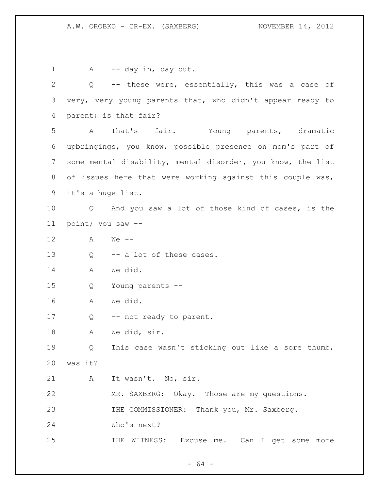1 A -- day in, day out. Q -- these were, essentially, this was a case of very, very young parents that, who didn't appear ready to parent; is that fair? A That's fair. Young parents, dramatic upbringings, you know, possible presence on mom's part of some mental disability, mental disorder, you know, the list of issues here that were working against this couple was, it's a huge list. Q And you saw a lot of those kind of cases, is the point; you saw -- A We -- 13 Q -- a lot of these cases. A We did. Q Young parents -- A We did. 17 Q -- not ready to parent. A We did, sir. Q This case wasn't sticking out like a sore thumb, was it? A It wasn't. No, sir. MR. SAXBERG: Okay. Those are my questions. 23 THE COMMISSIONER: Thank you, Mr. Saxberg. Who's next? 25 THE WITNESS: Excuse me. Can I get some more

- 64 -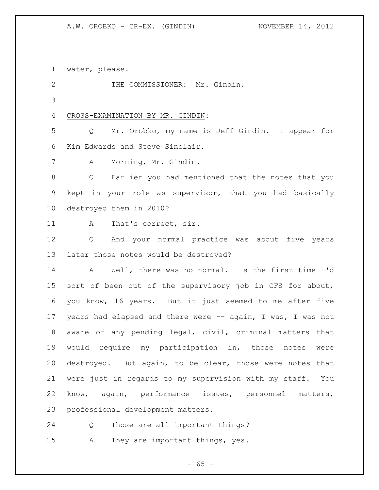A.W. OROBKO - CR-EX. (GINDIN) NOVEMBER 14, 2012

water, please.

2 THE COMMISSIONER: Mr. Gindin. 

CROSS-EXAMINATION BY MR. GINDIN:

 Q Mr. Orobko, my name is Jeff Gindin. I appear for Kim Edwards and Steve Sinclair.

A Morning, Mr. Gindin.

 Q Earlier you had mentioned that the notes that you kept in your role as supervisor, that you had basically destroyed them in 2010?

11 A That's correct, sir.

 Q And your normal practice was about five years later those notes would be destroyed?

 A Well, there was no normal. Is the first time I'd sort of been out of the supervisory job in CFS for about, you know, 16 years. But it just seemed to me after five 17 years had elapsed and there were -- again, I was, I was not aware of any pending legal, civil, criminal matters that would require my participation in, those notes were destroyed. But again, to be clear, those were notes that were just in regards to my supervision with my staff. You know, again, performance issues, personnel matters, professional development matters.

Q Those are all important things?

A They are important things, yes.

 $- 65 -$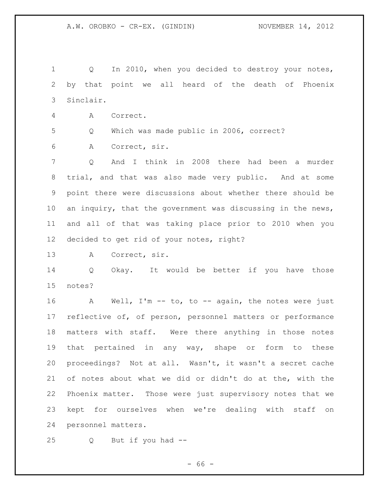Q In 2010, when you decided to destroy your notes, by that point we all heard of the death of Phoenix Sinclair. A Correct. Q Which was made public in 2006, correct? A Correct, sir. Q And I think in 2008 there had been a murder trial, and that was also made very public. And at some point there were discussions about whether there should be 10 an inquiry, that the government was discussing in the news, and all of that was taking place prior to 2010 when you decided to get rid of your notes, right? A Correct, sir. Q Okay. It would be better if you have those notes? A Well, I'm -- to, to -- again, the notes were just reflective of, of person, personnel matters or performance matters with staff. Were there anything in those notes that pertained in any way, shape or form to these proceedings? Not at all. Wasn't, it wasn't a secret cache of notes about what we did or didn't do at the, with the Phoenix matter. Those were just supervisory notes that we kept for ourselves when we're dealing with staff on personnel matters. Q But if you had --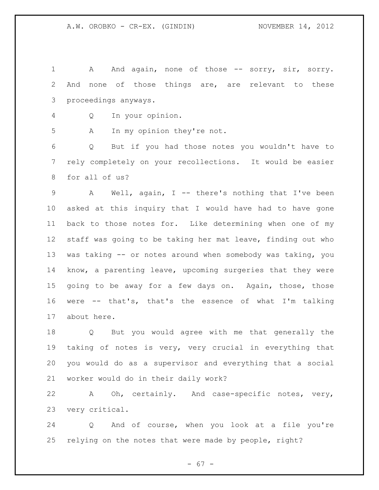1 A And again, none of those -- sorry, sir, sorry. And none of those things are, are relevant to these proceedings anyways.

Q In your opinion.

A In my opinion they're not.

 Q But if you had those notes you wouldn't have to rely completely on your recollections. It would be easier for all of us?

 A Well, again, I -- there's nothing that I've been asked at this inquiry that I would have had to have gone back to those notes for. Like determining when one of my staff was going to be taking her mat leave, finding out who was taking -- or notes around when somebody was taking, you know, a parenting leave, upcoming surgeries that they were going to be away for a few days on. Again, those, those were -- that's, that's the essence of what I'm talking about here.

 Q But you would agree with me that generally the taking of notes is very, very crucial in everything that you would do as a supervisor and everything that a social worker would do in their daily work?

 A Oh, certainly. And case-specific notes, very, very critical.

 Q And of course, when you look at a file you're relying on the notes that were made by people, right?

 $- 67 -$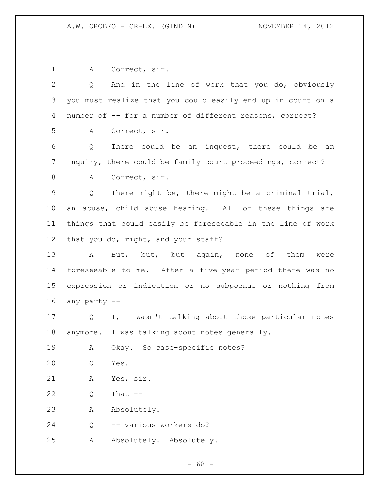A Correct, sir. Q And in the line of work that you do, obviously you must realize that you could easily end up in court on a number of -- for a number of different reasons, correct? A Correct, sir. Q There could be an inquest, there could be an inquiry, there could be family court proceedings, correct? A Correct, sir. Q There might be, there might be a criminal trial, an abuse, child abuse hearing. All of these things are things that could easily be foreseeable in the line of work that you do, right, and your staff? 13 A But, but, but again, none of them were foreseeable to me. After a five-year period there was no expression or indication or no subpoenas or nothing from any party -- Q I, I wasn't talking about those particular notes anymore. I was talking about notes generally. A Okay. So case-specific notes? Q Yes. A Yes, sir. Q That -- A Absolutely. Q -- various workers do? A Absolutely. Absolutely.

- 68 -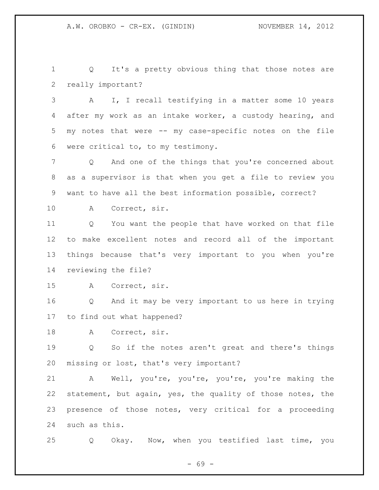1 Q It's a pretty obvious thing that those notes are really important?

 A I, I recall testifying in a matter some 10 years after my work as an intake worker, a custody hearing, and my notes that were -- my case-specific notes on the file were critical to, to my testimony.

 Q And one of the things that you're concerned about as a supervisor is that when you get a file to review you want to have all the best information possible, correct?

A Correct, sir.

 Q You want the people that have worked on that file to make excellent notes and record all of the important things because that's very important to you when you're reviewing the file?

A Correct, sir.

 Q And it may be very important to us here in trying to find out what happened?

A Correct, sir.

 Q So if the notes aren't great and there's things missing or lost, that's very important?

 A Well, you're, you're, you're, you're making the statement, but again, yes, the quality of those notes, the presence of those notes, very critical for a proceeding such as this.

Q Okay. Now, when you testified last time, you

- 69 -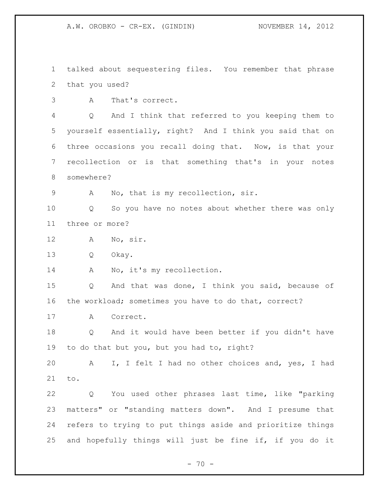talked about sequestering files. You remember that phrase that you used?

A That's correct.

 Q And I think that referred to you keeping them to yourself essentially, right? And I think you said that on three occasions you recall doing that. Now, is that your recollection or is that something that's in your notes somewhere?

A No, that is my recollection, sir.

 Q So you have no notes about whether there was only three or more?

A No, sir.

Q Okay.

14 A No, it's my recollection.

 Q And that was done, I think you said, because of the workload; sometimes you have to do that, correct?

A Correct.

 Q And it would have been better if you didn't have to do that but you, but you had to, right?

 A I, I felt I had no other choices and, yes, I had to.

 Q You used other phrases last time, like "parking matters" or "standing matters down". And I presume that refers to trying to put things aside and prioritize things and hopefully things will just be fine if, if you do it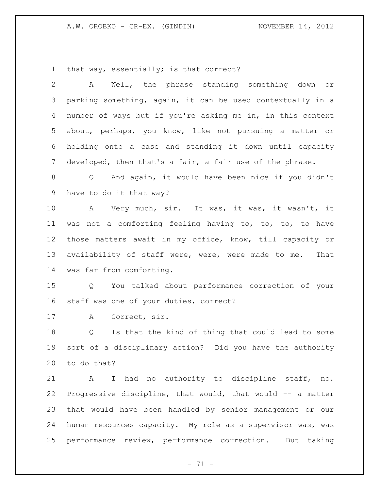A.W. OROBKO - CR-EX. (GINDIN) NOVEMBER 14, 2012

that way, essentially; is that correct?

| 2               | Well, the phrase standing something down or<br>A            |
|-----------------|-------------------------------------------------------------|
| 3               | parking something, again, it can be used contextually in a  |
| 4               | number of ways but if you're asking me in, in this context  |
| 5               | about, perhaps, you know, like not pursuing a matter or     |
| 6               | holding onto a case and standing it down until capacity     |
| 7               | developed, then that's a fair, a fair use of the phrase.    |
| 8               | Q And again, it would have been nice if you didn't          |
| 9               | have to do it that way?                                     |
| 10              | A Very much, sir. It was, it was, it wasn't, it             |
| 11              | was not a comforting feeling having to, to, to, to have     |
| 12 <sup>°</sup> | those matters await in my office, know, till capacity or    |
| 13              | availability of staff were, were, were made to me.<br>That  |
| 14              | was far from comforting.                                    |
| 15              | You talked about performance correction of your<br>Q        |
| 16              | staff was one of your duties, correct?                      |
| 17              | Correct, sir.<br>A                                          |
| 18              | Is that the kind of thing that could lead to some<br>Q      |
| 19              | sort of a disciplinary action? Did you have the authority   |
| 20              | to do that?                                                 |
| 21              | I had no authority to discipline staff, no.<br>$\mathbf{A}$ |
| 22              | Progressive discipline, that would, that would -- a matter  |
| 23              | that would have been handled by senior management or our    |
| 24              | human resources capacity. My role as a supervisor was, was  |
| 25              | performance review, performance correction. But taking      |
|                 |                                                             |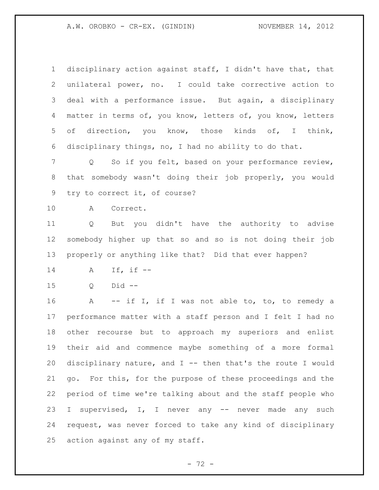A.W. OROBKO - CR-EX. (GINDIN) NOVEMBER 14, 2012

 disciplinary action against staff, I didn't have that, that unilateral power, no. I could take corrective action to deal with a performance issue. But again, a disciplinary matter in terms of, you know, letters of, you know, letters of direction, you know, those kinds of, I think, disciplinary things, no, I had no ability to do that.

 Q So if you felt, based on your performance review, that somebody wasn't doing their job properly, you would try to correct it, of course?

A Correct.

 Q But you didn't have the authority to advise somebody higher up that so and so is not doing their job properly or anything like that? Did that ever happen?

- A If, if --
- Q Did --

16 A -- if I, if I was not able to, to, to remedy a performance matter with a staff person and I felt I had no other recourse but to approach my superiors and enlist their aid and commence maybe something of a more formal disciplinary nature, and I -- then that's the route I would go. For this, for the purpose of these proceedings and the period of time we're talking about and the staff people who I supervised, I, I never any -- never made any such request, was never forced to take any kind of disciplinary action against any of my staff.

 $- 72 -$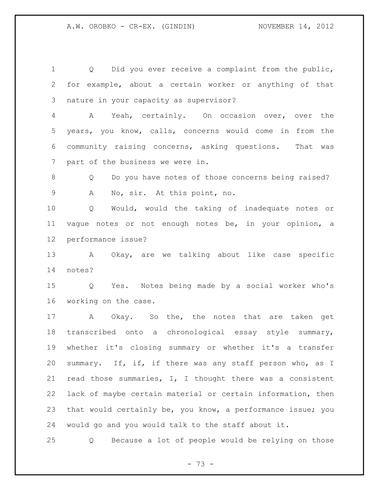Q Did you ever receive a complaint from the public, for example, about a certain worker or anything of that nature in your capacity as supervisor? A Yeah, certainly. On occasion over, over the years, you know, calls, concerns would come in from the community raising concerns, asking questions. That was part of the business we were in. 8 O Do you have notes of those concerns being raised? A No, sir. At this point, no. Q Would, would the taking of inadequate notes or vague notes or not enough notes be, in your opinion, a performance issue? A Okay, are we talking about like case specific notes? Q Yes. Notes being made by a social worker who's working on the case. A Okay. So the, the notes that are taken get transcribed onto a chronological essay style summary, whether it's closing summary or whether it's a transfer 20 summary. If, if, if there was any staff person who, as I read those summaries, I, I thought there was a consistent lack of maybe certain material or certain information, then that would certainly be, you know, a performance issue; you would go and you would talk to the staff about it.

Q Because a lot of people would be relying on those

 $- 73 -$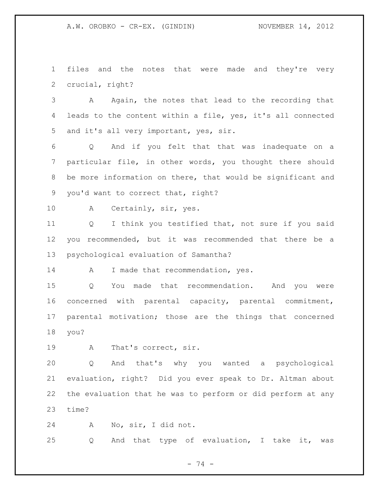A.W. OROBKO - CR-EX. (GINDIN) NOVEMBER 14, 2012

 files and the notes that were made and they're very crucial, right?

 A Again, the notes that lead to the recording that leads to the content within a file, yes, it's all connected and it's all very important, yes, sir.

 Q And if you felt that that was inadequate on a particular file, in other words, you thought there should be more information on there, that would be significant and you'd want to correct that, right?

A Certainly, sir, yes.

 Q I think you testified that, not sure if you said you recommended, but it was recommended that there be a psychological evaluation of Samantha?

14 A I made that recommendation, yes.

 Q You made that recommendation. And you were concerned with parental capacity, parental commitment, parental motivation; those are the things that concerned you?

A That's correct, sir.

 Q And that's why you wanted a psychological evaluation, right? Did you ever speak to Dr. Altman about the evaluation that he was to perform or did perform at any time?

A No, sir, I did not.

Q And that type of evaluation, I take it, was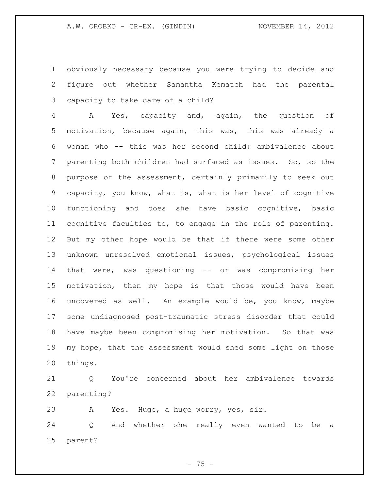obviously necessary because you were trying to decide and figure out whether Samantha Kematch had the parental capacity to take care of a child?

 A Yes, capacity and, again, the question of motivation, because again, this was, this was already a woman who -- this was her second child; ambivalence about parenting both children had surfaced as issues. So, so the purpose of the assessment, certainly primarily to seek out capacity, you know, what is, what is her level of cognitive functioning and does she have basic cognitive, basic cognitive faculties to, to engage in the role of parenting. But my other hope would be that if there were some other unknown unresolved emotional issues, psychological issues that were, was questioning -- or was compromising her motivation, then my hope is that those would have been uncovered as well. An example would be, you know, maybe some undiagnosed post-traumatic stress disorder that could have maybe been compromising her motivation. So that was my hope, that the assessment would shed some light on those things.

 Q You're concerned about her ambivalence towards parenting?

A Yes. Huge, a huge worry, yes, sir.

 Q And whether she really even wanted to be a parent?

 $- 75 -$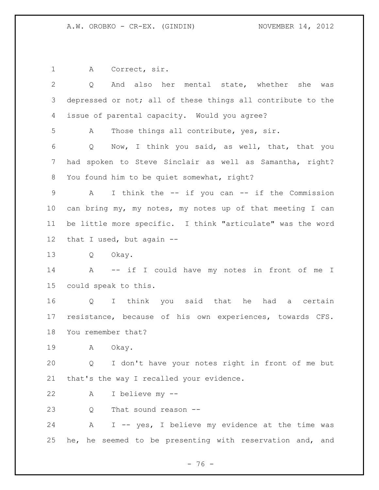A Correct, sir.

 Q And also her mental state, whether she was depressed or not; all of these things all contribute to the issue of parental capacity. Would you agree? A Those things all contribute, yes, sir. Q Now, I think you said, as well, that, that you had spoken to Steve Sinclair as well as Samantha, right? You found him to be quiet somewhat, right? A I think the -- if you can -- if the Commission can bring my, my notes, my notes up of that meeting I can be little more specific. I think "articulate" was the word that I used, but again -- Q Okay. A -- if I could have my notes in front of me I could speak to this. Q I think you said that he had a certain resistance, because of his own experiences, towards CFS. You remember that? A Okay. Q I don't have your notes right in front of me but that's the way I recalled your evidence. A I believe my -- 23 O That sound reason -- A I -- yes, I believe my evidence at the time was he, he seemed to be presenting with reservation and, and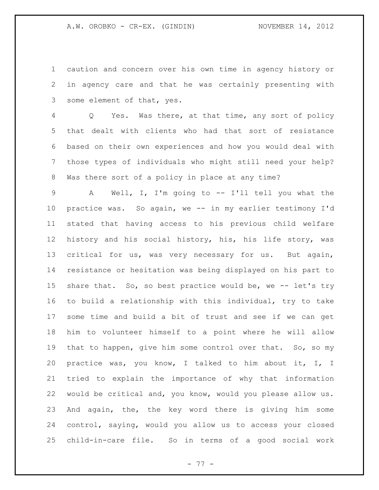caution and concern over his own time in agency history or in agency care and that he was certainly presenting with some element of that, yes.

 Q Yes. Was there, at that time, any sort of policy that dealt with clients who had that sort of resistance based on their own experiences and how you would deal with those types of individuals who might still need your help? Was there sort of a policy in place at any time?

 A Well, I, I'm going to -- I'll tell you what the practice was. So again, we -- in my earlier testimony I'd stated that having access to his previous child welfare history and his social history, his, his life story, was critical for us, was very necessary for us. But again, resistance or hesitation was being displayed on his part to 15 share that. So, so best practice would be, we -- let's try to build a relationship with this individual, try to take some time and build a bit of trust and see if we can get him to volunteer himself to a point where he will allow 19 that to happen, give him some control over that. So, so my practice was, you know, I talked to him about it, I, I tried to explain the importance of why that information would be critical and, you know, would you please allow us. And again, the, the key word there is giving him some control, saying, would you allow us to access your closed child-in-care file. So in terms of a good social work

- 77 -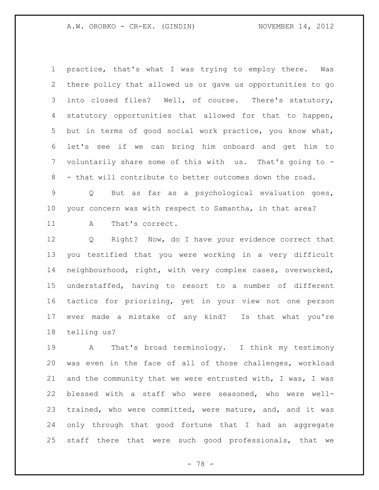A.W. OROBKO - CR-EX. (GINDIN) NOVEMBER 14, 2012

 practice, that's what I was trying to employ there. Was there policy that allowed us or gave us opportunities to go into closed files? Well, of course. There's statutory, statutory opportunities that allowed for that to happen, but in terms of good social work practice, you know what, let's see if we can bring him onboard and get him to voluntarily share some of this with us. That's going to - - that will contribute to better outcomes down the road.

 Q But as far as a psychological evaluation goes, your concern was with respect to Samantha, in that area?

11 A That's correct.

 Q Right? Now, do I have your evidence correct that you testified that you were working in a very difficult neighbourhood, right, with very complex cases, overworked, understaffed, having to resort to a number of different tactics for priorizing, yet in your view not one person ever made a mistake of any kind? Is that what you're telling us?

 A That's broad terminology. I think my testimony was even in the face of all of those challenges, workload and the community that we were entrusted with, I was, I was blessed with a staff who were seasoned, who were well- trained, who were committed, were mature, and, and it was only through that good fortune that I had an aggregate staff there that were such good professionals, that we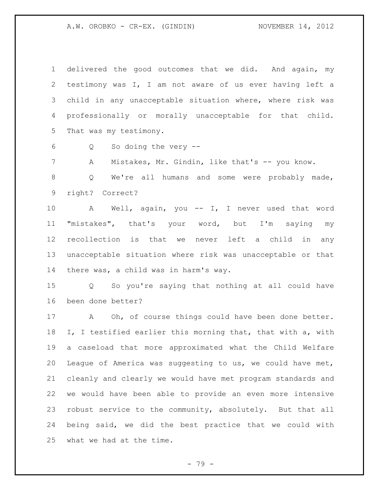A.W. OROBKO - CR-EX. (GINDIN) NOVEMBER 14, 2012

 delivered the good outcomes that we did. And again, my testimony was I, I am not aware of us ever having left a child in any unacceptable situation where, where risk was professionally or morally unacceptable for that child. That was my testimony.

Q So doing the very --

7 A Mistakes, Mr. Gindin, like that's -- you know.

8 Q We're all humans and some were probably made, right? Correct?

 A Well, again, you -- I, I never used that word "mistakes", that's your word, but I'm saying my recollection is that we never left a child in any unacceptable situation where risk was unacceptable or that there was, a child was in harm's way.

 Q So you're saying that nothing at all could have been done better?

17 A Oh, of course things could have been done better. I, I testified earlier this morning that, that with a, with a caseload that more approximated what the Child Welfare League of America was suggesting to us, we could have met, cleanly and clearly we would have met program standards and we would have been able to provide an even more intensive robust service to the community, absolutely. But that all being said, we did the best practice that we could with what we had at the time.

- 79 -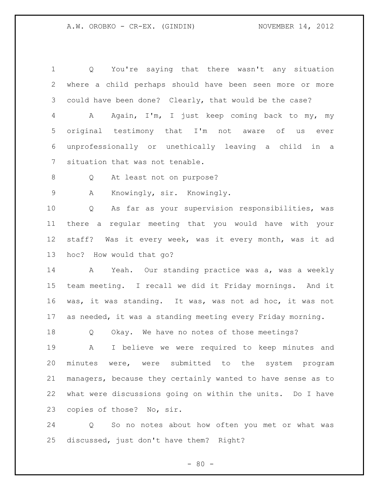Q You're saying that there wasn't any situation where a child perhaps should have been seen more or more could have been done? Clearly, that would be the case? A Again, I'm, I just keep coming back to my, my original testimony that I'm not aware of us ever unprofessionally or unethically leaving a child in a situation that was not tenable. Q At least not on purpose? A Knowingly, sir. Knowingly. Q As far as your supervision responsibilities, was there a regular meeting that you would have with your staff? Was it every week, was it every month, was it ad hoc? How would that go? A Yeah. Our standing practice was a, was a weekly team meeting. I recall we did it Friday mornings. And it was, it was standing. It was, was not ad hoc, it was not as needed, it was a standing meeting every Friday morning. Q Okay. We have no notes of those meetings? A I believe we were required to keep minutes and minutes were, were submitted to the system program managers, because they certainly wanted to have sense as to

 what were discussions going on within the units. Do I have copies of those? No, sir.

 Q So no notes about how often you met or what was discussed, just don't have them? Right?

 $- 80 -$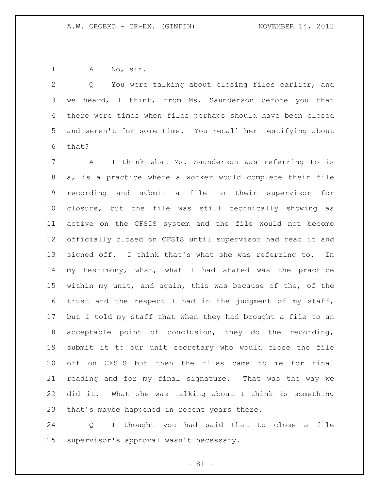A No, sir.

 Q You were talking about closing files earlier, and we heard, I think, from Ms. Saunderson before you that there were times when files perhaps should have been closed and weren't for some time. You recall her testifying about that?

 A I think what Ms. Saunderson was referring to is a, is a practice where a worker would complete their file recording and submit a file to their supervisor for closure, but the file was still technically showing as active on the CFSIS system and the file would not become officially closed on CFSIS until supervisor had read it and signed off. I think that's what she was referring to. In my testimony, what, what I had stated was the practice within my unit, and again, this was because of the, of the trust and the respect I had in the judgment of my staff, but I told my staff that when they had brought a file to an acceptable point of conclusion, they do the recording, submit it to our unit secretary who would close the file off on CFSIS but then the files came to me for final reading and for my final signature. That was the way we did it. What she was talking about I think is something that's maybe happened in recent years there.

 Q I thought you had said that to close a file supervisor's approval wasn't necessary.

 $- 81 -$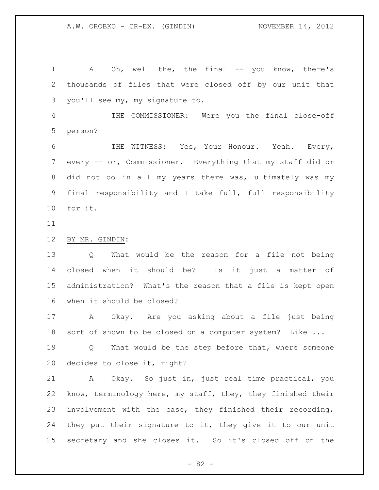1 A Oh, well the, the final -- you know, there's thousands of files that were closed off by our unit that you'll see my, my signature to. THE COMMISSIONER: Were you the final close-off person? 6 THE WITNESS: Yes, Your Honour. Yeah. Every, every -- or, Commissioner. Everything that my staff did or did not do in all my years there was, ultimately was my final responsibility and I take full, full responsibility for it. BY MR. GINDIN: Q What would be the reason for a file not being closed when it should be? Is it just a matter of administration? What's the reason that a file is kept open when it should be closed? A Okay. Are you asking about a file just being sort of shown to be closed on a computer system? Like ... 19 0 What would be the step before that, where someone decides to close it, right? A Okay. So just in, just real time practical, you know, terminology here, my staff, they, they finished their involvement with the case, they finished their recording, they put their signature to it, they give it to our unit secretary and she closes it. So it's closed off on the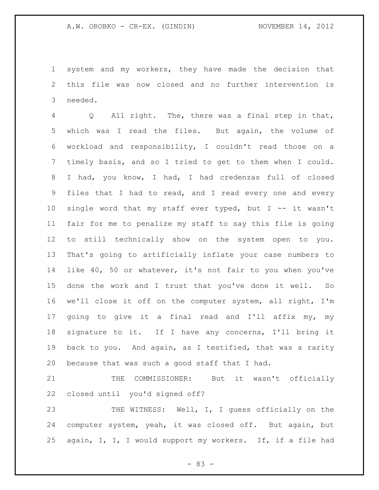system and my workers, they have made the decision that this file was now closed and no further intervention is needed.

 Q All right. The, there was a final step in that, which was I read the files. But again, the volume of workload and responsibility, I couldn't read those on a timely basis, and so I tried to get to them when I could. I had, you know, I had, I had credenzas full of closed files that I had to read, and I read every one and every single word that my staff ever typed, but I -- it wasn't fair for me to penalize my staff to say this file is going to still technically show on the system open to you. That's going to artificially inflate your case numbers to like 40, 50 or whatever, it's not fair to you when you've done the work and I trust that you've done it well. So we'll close it off on the computer system, all right, I'm going to give it a final read and I'll affix my, my signature to it. If I have any concerns, I'll bring it back to you. And again, as I testified, that was a rarity because that was such a good staff that I had.

 THE COMMISSIONER: But it wasn't officially closed until you'd signed off?

 THE WITNESS: Well, I, I guess officially on the computer system, yeah, it was closed off. But again, but again, I, I, I would support my workers. If, if a file had

 $- 83 -$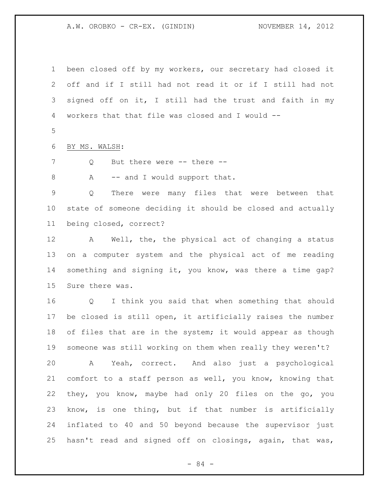A.W. OROBKO - CR-EX. (GINDIN) NOVEMBER 14, 2012

 been closed off by my workers, our secretary had closed it off and if I still had not read it or if I still had not signed off on it, I still had the trust and faith in my workers that that file was closed and I would -- 

BY MS. WALSH:

7 Q But there were -- there --

8 A -- and I would support that.

 Q There were many files that were between that state of someone deciding it should be closed and actually being closed, correct?

 A Well, the, the physical act of changing a status on a computer system and the physical act of me reading something and signing it, you know, was there a time gap? Sure there was.

 Q I think you said that when something that should be closed is still open, it artificially raises the number 18 of files that are in the system; it would appear as though someone was still working on them when really they weren't? A Yeah, correct. And also just a psychological comfort to a staff person as well, you know, knowing that they, you know, maybe had only 20 files on the go, you know, is one thing, but if that number is artificially inflated to 40 and 50 beyond because the supervisor just hasn't read and signed off on closings, again, that was,

- 84 -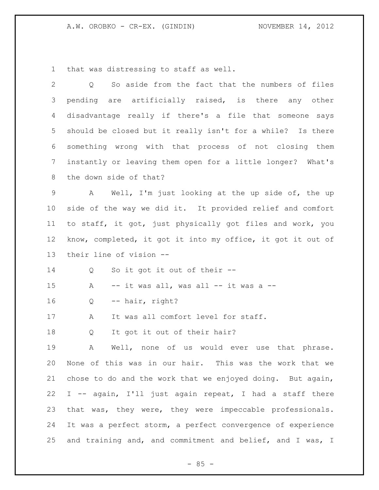that was distressing to staff as well.

| $\mathbf{2}$   | So aside from the fact that the numbers of files<br>Q       |  |  |
|----------------|-------------------------------------------------------------|--|--|
| 3              | pending are artificially raised, is there any other         |  |  |
| 4              | disadvantage really if there's a file that someone says     |  |  |
| 5              | should be closed but it really isn't for a while? Is there  |  |  |
| 6              | something wrong with that process of not closing them       |  |  |
| $7\phantom{.}$ | instantly or leaving them open for a little longer? What's  |  |  |
| 8              | the down side of that?                                      |  |  |
| 9              | A Well, I'm just looking at the up side of, the up          |  |  |
| 10             | side of the way we did it. It provided relief and comfort   |  |  |
| 11             | to staff, it got, just physically got files and work, you   |  |  |
| 12             | know, completed, it got it into my office, it got it out of |  |  |
| 13             | their line of vision --                                     |  |  |
| 14             | So it got it out of their --<br>Q                           |  |  |
| 15             | -- it was all, was all -- it was a --<br>A                  |  |  |
| 16             | -- hair, right?<br>Q                                        |  |  |
| 17             | It was all comfort level for staff.<br>A                    |  |  |
| 18             | It got it out of their hair?<br>Q                           |  |  |
| 19             | Well, none of us would ever use that phrase.<br>Α           |  |  |
| 20             | None of this was in our hair. This was the work that we     |  |  |
| 21             | chose to do and the work that we enjoyed doing. But again,  |  |  |
| 22             | I -- again, I'll just again repeat, I had a staff there     |  |  |
| 23             | that was, they were, they were impeccable professionals.    |  |  |
| 24             | It was a perfect storm, a perfect convergence of experience |  |  |
| 25             | and training and, and commitment and belief, and I was, I   |  |  |

- 85 -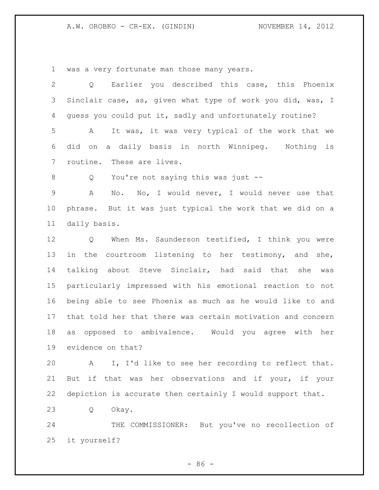## A.W. OROBKO - CR-EX. (GINDIN) NOVEMBER 14, 2012

was a very fortunate man those many years.

| $\overline{2}$ | Q Earlier you described this case, this Phoenix              |  |  |
|----------------|--------------------------------------------------------------|--|--|
|                | 3 Sinclair case, as, given what type of work you did, was, I |  |  |
| 4              | quess you could put it, sadly and unfortunately routine?     |  |  |
| $5 -$          | It was, it was very typical of the work that we<br>A         |  |  |
|                | 6 did on a daily basis in north Winnipeg. Nothing is         |  |  |
|                | 7 routine. These are lives.                                  |  |  |

Q You're not saying this was just --

 A No. No, I would never, I would never use that phrase. But it was just typical the work that we did on a daily basis.

 Q When Ms. Saunderson testified, I think you were in the courtroom listening to her testimony, and she, talking about Steve Sinclair, had said that she was particularly impressed with his emotional reaction to not being able to see Phoenix as much as he would like to and that told her that there was certain motivation and concern as opposed to ambivalence. Would you agree with her evidence on that?

 A I, I'd like to see her recording to reflect that. But if that was her observations and if your, if your depiction is accurate then certainly I would support that.

Q Okay.

 THE COMMISSIONER: But you've no recollection of it yourself?

 $-86 -$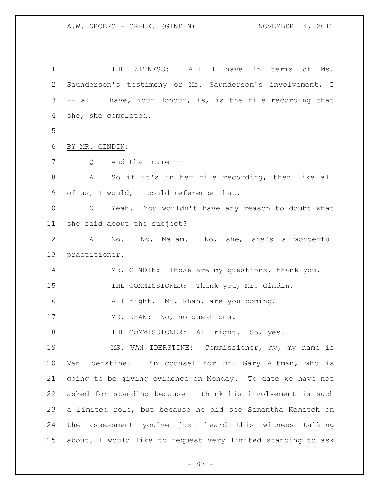| 1              | WITNESS:<br>All I have<br>THE<br>in<br>terms<br>оf<br>Ms.             |  |  |
|----------------|-----------------------------------------------------------------------|--|--|
| $\overline{2}$ | Saunderson's testimony or Ms. Saunderson's involvement, I             |  |  |
| 3              | -- all I have, Your Honour, is, is the file recording that            |  |  |
| 4              | she, she completed.                                                   |  |  |
| 5              |                                                                       |  |  |
| $\sqrt{6}$     | BY MR. GINDIN:                                                        |  |  |
| 7              | And that came --<br>Q                                                 |  |  |
| $\,8\,$        | So if it's in her file recording, then like all<br>A                  |  |  |
| 9              | of us, I would, I could reference that.                               |  |  |
| 10             | Yeah. You wouldn't have any reason to doubt what<br>$Q \qquad \qquad$ |  |  |
| 11             | she said about the subject?                                           |  |  |
| 12             | A No. No, Ma'am. No, she, she's a wonderful                           |  |  |
| 13             | practitioner.                                                         |  |  |
| 14             | MR. GINDIN: Those are my questions, thank you.                        |  |  |
| 15             | THE COMMISSIONER: Thank you, Mr. Gindin.                              |  |  |
| 16             | All right. Mr. Khan, are you coming?                                  |  |  |
| 17             | MR. KHAN: No, no questions.                                           |  |  |
| 18             | THE COMMISSIONER: All right. So, yes.                                 |  |  |
| 19             | MS. VAN IDERSTINE: Commissioner, my, my name is                       |  |  |
| 20             | Van Iderstine. I'm counsel for Dr. Gary Altman, who is                |  |  |
| 21             | going to be giving evidence on Monday. To date we have not            |  |  |
| 22             | asked for standing because I think his involvement is such            |  |  |
| 23             | a limited role, but because he did see Samantha Kematch on            |  |  |
| 24             | the assessment you've just heard this witness talking                 |  |  |
| 25             | about, I would like to request very limited standing to ask           |  |  |

- 87 -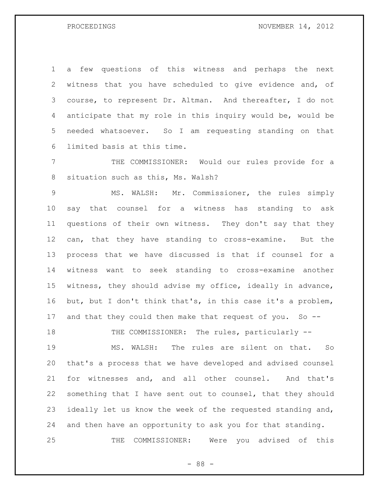a few questions of this witness and perhaps the next witness that you have scheduled to give evidence and, of course, to represent Dr. Altman. And thereafter, I do not anticipate that my role in this inquiry would be, would be needed whatsoever. So I am requesting standing on that limited basis at this time.

 THE COMMISSIONER: Would our rules provide for a situation such as this, Ms. Walsh?

 MS. WALSH: Mr. Commissioner, the rules simply say that counsel for a witness has standing to ask questions of their own witness. They don't say that they can, that they have standing to cross-examine. But the process that we have discussed is that if counsel for a witness want to seek standing to cross-examine another witness, they should advise my office, ideally in advance, but, but I don't think that's, in this case it's a problem, and that they could then make that request of you. So --

18 THE COMMISSIONER: The rules, particularly --

 MS. WALSH: The rules are silent on that. So that's a process that we have developed and advised counsel for witnesses and, and all other counsel. And that's something that I have sent out to counsel, that they should ideally let us know the week of the requested standing and, and then have an opportunity to ask you for that standing. THE COMMISSIONER: Were you advised of this

- 88 -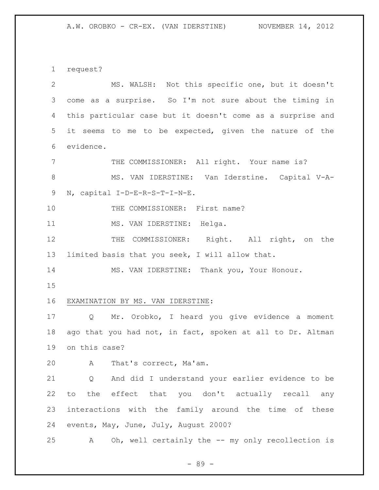request?

| 2               | MS. WALSH: Not this specific one, but it doesn't           |  |
|-----------------|------------------------------------------------------------|--|
| 3               | come as a surprise. So I'm not sure about the timing in    |  |
| 4               | this particular case but it doesn't come as a surprise and |  |
| 5               | it seems to me to be expected, given the nature of the     |  |
| 6               | evidence.                                                  |  |
| $7\phantom{.0}$ | THE COMMISSIONER: All right. Your name is?                 |  |
| 8               | MS. VAN IDERSTINE: Van Iderstine. Capital V-A-             |  |
| $\mathsf 9$     | N, capital I-D-E-R-S-T-I-N-E.                              |  |
| 10              | THE COMMISSIONER: First name?                              |  |
| 11              | MS. VAN IDERSTINE: Helga.                                  |  |
| 12              | THE COMMISSIONER: Right. All right, on the                 |  |
| 13              | limited basis that you seek, I will allow that.            |  |
| 14              | MS. VAN IDERSTINE: Thank you, Your Honour.                 |  |
| 15              |                                                            |  |
| 16              | EXAMINATION BY MS. VAN IDERSTINE:                          |  |
| 17              | Mr. Orobko, I heard you give evidence a moment<br>Q        |  |
| 18              | ago that you had not, in fact, spoken at all to Dr. Altman |  |
| 19              | on this case?                                              |  |
| 20              | A That's correct, Ma'am.                                   |  |
| 21              | And did I understand your earlier evidence to be<br>Q      |  |
| 22              | the effect that you don't actually recall any<br>to        |  |
| 23              | interactions with the family around the time of these      |  |
| 24              | events, May, June, July, August 2000?                      |  |
| 25              | Oh, well certainly the -- my only recollection is<br>A     |  |

- 89 -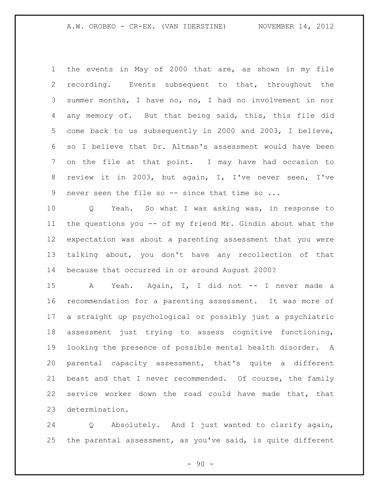the events in May of 2000 that are, as shown in my file recording. Events subsequent to that, throughout the summer months, I have no, no, I had no involvement in nor any memory of. But that being said, this, this file did come back to us subsequently in 2000 and 2003, I believe, so I believe that Dr. Altman's assessment would have been on the file at that point. I may have had occasion to review it in 2003, but again, I, I've never seen, I've never seen the file so -- since that time so ...

 Q Yeah. So what I was asking was, in response to the questions you -- of my friend Mr. Gindin about what the expectation was about a parenting assessment that you were talking about, you don't have any recollection of that because that occurred in or around August 2000?

15 A Yeah. Again, I, I did not -- I never made a recommendation for a parenting assessment. It was more of a straight up psychological or possibly just a psychiatric assessment just trying to assess cognitive functioning, looking the presence of possible mental health disorder. A parental capacity assessment, that's quite a different beast and that I never recommended. Of course, the family service worker down the road could have made that, that determination.

 Q Absolutely. And I just wanted to clarify again, the parental assessment, as you've said, is quite different

 $-90 -$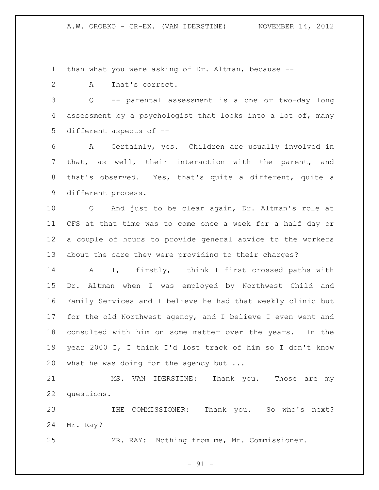than what you were asking of Dr. Altman, because --

A That's correct.

 Q -- parental assessment is a one or two-day long assessment by a psychologist that looks into a lot of, many different aspects of --

 A Certainly, yes. Children are usually involved in that, as well, their interaction with the parent, and that's observed. Yes, that's quite a different, quite a different process.

 Q And just to be clear again, Dr. Altman's role at CFS at that time was to come once a week for a half day or a couple of hours to provide general advice to the workers about the care they were providing to their charges?

 A I, I firstly, I think I first crossed paths with Dr. Altman when I was employed by Northwest Child and Family Services and I believe he had that weekly clinic but for the old Northwest agency, and I believe I even went and consulted with him on some matter over the years. In the year 2000 I, I think I'd lost track of him so I don't know 20 what he was doing for the agency but ...

21 MS. VAN IDERSTINE: Thank you. Those are my questions.

 THE COMMISSIONER: Thank you. So who's next? Mr. Ray?

MR. RAY: Nothing from me, Mr. Commissioner.

 $-91 -$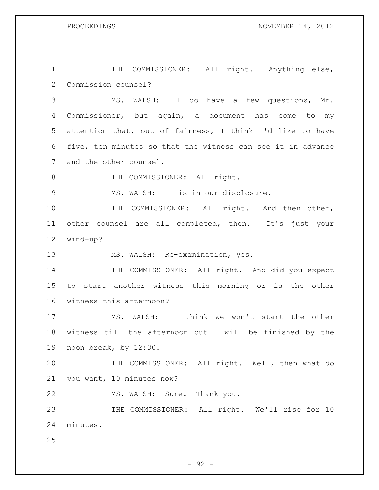1 THE COMMISSIONER: All right. Anything else, Commission counsel?

 MS. WALSH: I do have a few questions, Mr. Commissioner, but again, a document has come to my attention that, out of fairness, I think I'd like to have five, ten minutes so that the witness can see it in advance and the other counsel.

8 THE COMMISSIONER: All right.

MS. WALSH: It is in our disclosure.

10 THE COMMISSIONER: All right. And then other, other counsel are all completed, then. It's just your wind-up?

MS. WALSH: Re-examination, yes.

14 THE COMMISSIONER: All right. And did you expect to start another witness this morning or is the other witness this afternoon?

 MS. WALSH: I think we won't start the other witness till the afternoon but I will be finished by the noon break, by 12:30.

 THE COMMISSIONER: All right. Well, then what do you want, 10 minutes now?

MS. WALSH: Sure. Thank you.

23 THE COMMISSIONER: All right. We'll rise for 10 minutes.

 $-92 -$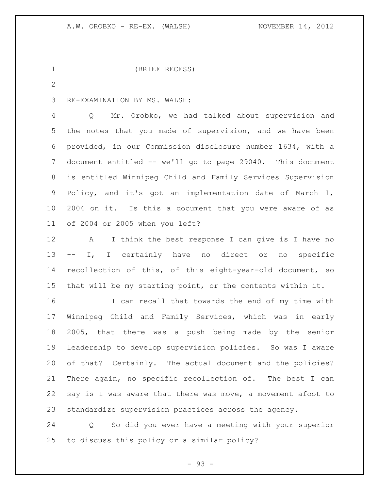(BRIEF RECESS)

## RE-EXAMINATION BY MS. WALSH:

 Q Mr. Orobko, we had talked about supervision and the notes that you made of supervision, and we have been provided, in our Commission disclosure number 1634, with a document entitled -- we'll go to page 29040. This document is entitled Winnipeg Child and Family Services Supervision Policy, and it's got an implementation date of March 1, 2004 on it. Is this a document that you were aware of as of 2004 or 2005 when you left?

 A I think the best response I can give is I have no -- I, I certainly have no direct or no specific recollection of this, of this eight-year-old document, so that will be my starting point, or the contents within it.

 I can recall that towards the end of my time with Winnipeg Child and Family Services, which was in early 2005, that there was a push being made by the senior leadership to develop supervision policies. So was I aware of that? Certainly. The actual document and the policies? There again, no specific recollection of. The best I can 22 say is I was aware that there was move, a movement afoot to standardize supervision practices across the agency.

 Q So did you ever have a meeting with your superior to discuss this policy or a similar policy?

 $-93 -$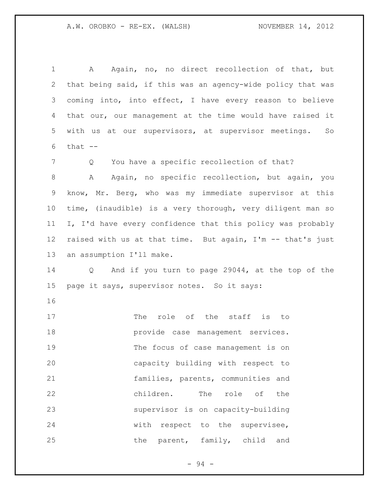A Again, no, no direct recollection of that, but that being said, if this was an agency-wide policy that was coming into, into effect, I have every reason to believe that our, our management at the time would have raised it with us at our supervisors, at supervisor meetings. So that  $--$ 7 Q You have a specific recollection of that? 8 A Again, no specific recollection, but again, you know, Mr. Berg, who was my immediate supervisor at this time, (inaudible) is a very thorough, very diligent man so I, I'd have every confidence that this policy was probably raised with us at that time. But again, I'm -- that's just an assumption I'll make. Q And if you turn to page 29044, at the top of the page it says, supervisor notes. So it says: 17 The role of the staff is to provide case management services. The focus of case management is on capacity building with respect to families, parents, communities and children. The role of the supervisor is on capacity-building with respect to the supervisee, 25 the parent, family, child and

- 94 -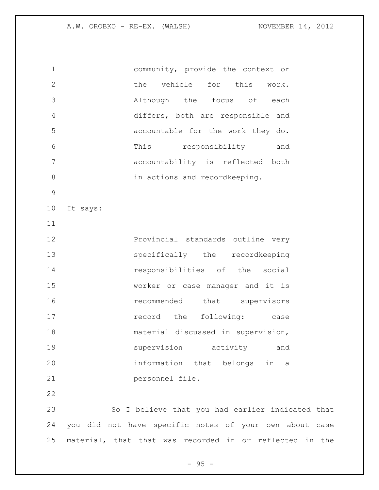A.W. OROBKO - RE-EX. (WALSH) NOVEMBER 14, 2012

 community, provide the context or the vehicle for this work. Although the focus of each differs, both are responsible and accountable for the work they do. This responsibility and accountability is reflected both 8 in actions and recordkeeping. It says: **Provincial standards outline very**  specifically the recordkeeping responsibilities of the social worker or case manager and it is *recommended* that supervisors **record** the following: case material discussed in supervision, supervision activity and information that belongs in a personnel file. So I believe that you had earlier indicated that you did not have specific notes of your own about case material, that that was recorded in or reflected in the

 $-95 -$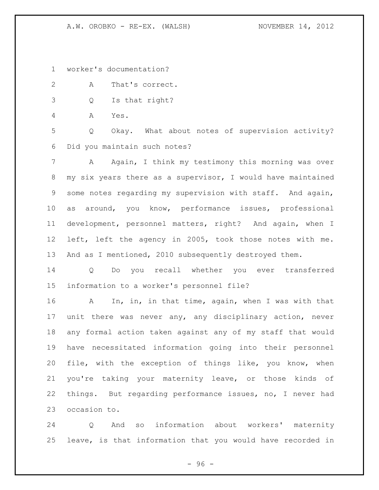A.W. OROBKO - RE-EX. (WALSH) NOVEMBER 14, 2012

worker's documentation?

A That's correct.

Q Is that right?

A Yes.

 Q Okay. What about notes of supervision activity? Did you maintain such notes?

 A Again, I think my testimony this morning was over my six years there as a supervisor, I would have maintained some notes regarding my supervision with staff. And again, as around, you know, performance issues, professional development, personnel matters, right? And again, when I left, left the agency in 2005, took those notes with me. And as I mentioned, 2010 subsequently destroyed them.

 Q Do you recall whether you ever transferred information to a worker's personnel file?

 A In, in, in that time, again, when I was with that unit there was never any, any disciplinary action, never any formal action taken against any of my staff that would have necessitated information going into their personnel file, with the exception of things like, you know, when you're taking your maternity leave, or those kinds of things. But regarding performance issues, no, I never had occasion to.

 Q And so information about workers' maternity leave, is that information that you would have recorded in

 $-96 -$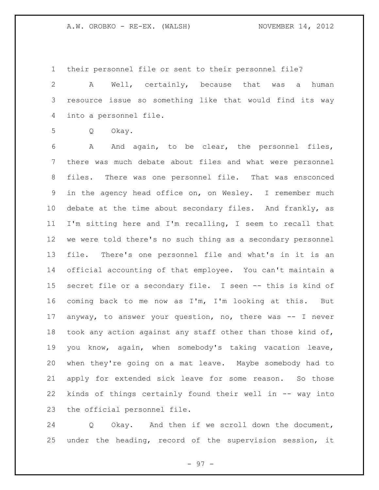their personnel file or sent to their personnel file?

 A Well, certainly, because that was a human resource issue so something like that would find its way into a personnel file.

Q Okay.

 A And again, to be clear, the personnel files, there was much debate about files and what were personnel files. There was one personnel file. That was ensconced in the agency head office on, on Wesley. I remember much debate at the time about secondary files. And frankly, as I'm sitting here and I'm recalling, I seem to recall that we were told there's no such thing as a secondary personnel file. There's one personnel file and what's in it is an official accounting of that employee. You can't maintain a secret file or a secondary file. I seen -- this is kind of coming back to me now as I'm, I'm looking at this. But anyway, to answer your question, no, there was -- I never took any action against any staff other than those kind of, you know, again, when somebody's taking vacation leave, when they're going on a mat leave. Maybe somebody had to apply for extended sick leave for some reason. So those kinds of things certainly found their well in -- way into the official personnel file.

 Q Okay. And then if we scroll down the document, under the heading, record of the supervision session, it

- 97 -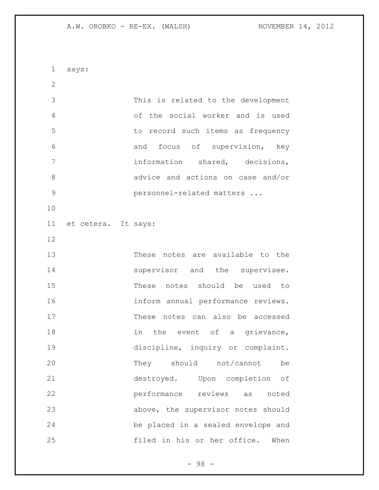A.W. OROBKO - RE-EX. (WALSH) NOVEMBER 14, 2012

 says: This is related to the development of the social worker and is used to record such items as frequency and focus of supervision, key information shared, decisions, advice and actions on case and/or personnel-related matters ... et cetera. It says: These notes are available to the 14 supervisor and the supervisee. These notes should be used to inform annual performance reviews. These notes can also be accessed 18 in the event of a grievance, discipline, inquiry or complaint. 20 They should not/cannot be destroyed. Upon completion of performance reviews as noted above, the supervisor notes should be placed in a sealed envelope and filed in his or her office. When

- 98 -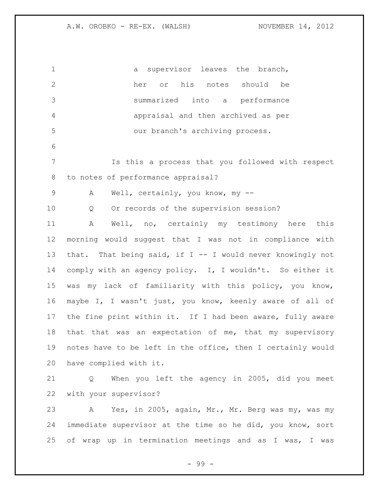1 a supervisor leaves the branch, her or his notes should be summarized into a performance appraisal and then archived as per our branch's archiving process. Is this a process that you followed with respect to notes of performance appraisal? 9 A Well, certainly, you know, my -- Q Or records of the supervision session? A Well, no, certainly my testimony here this morning would suggest that I was not in compliance with that. That being said, if I -- I would never knowingly not comply with an agency policy. I, I wouldn't. So either it was my lack of familiarity with this policy, you know, maybe I, I wasn't just, you know, keenly aware of all of 17 the fine print within it. If I had been aware, fully aware that that was an expectation of me, that my supervisory notes have to be left in the office, then I certainly would have complied with it. Q When you left the agency in 2005, did you meet with your supervisor? A Yes, in 2005, again, Mr., Mr. Berg was my, was my immediate supervisor at the time so he did, you know, sort of wrap up in termination meetings and as I was, I was

- 99 -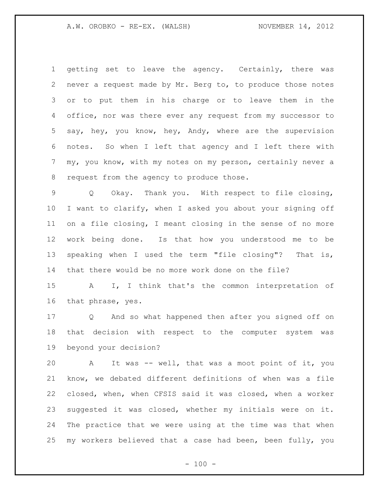getting set to leave the agency. Certainly, there was never a request made by Mr. Berg to, to produce those notes or to put them in his charge or to leave them in the office, nor was there ever any request from my successor to say, hey, you know, hey, Andy, where are the supervision notes. So when I left that agency and I left there with my, you know, with my notes on my person, certainly never a 8 request from the agency to produce those.

 Q Okay. Thank you. With respect to file closing, I want to clarify, when I asked you about your signing off on a file closing, I meant closing in the sense of no more work being done. Is that how you understood me to be speaking when I used the term "file closing"? That is, that there would be no more work done on the file?

 A I, I think that's the common interpretation of that phrase, yes.

 Q And so what happened then after you signed off on that decision with respect to the computer system was beyond your decision?

 A It was -- well, that was a moot point of it, you know, we debated different definitions of when was a file closed, when, when CFSIS said it was closed, when a worker suggested it was closed, whether my initials were on it. The practice that we were using at the time was that when my workers believed that a case had been, been fully, you

 $- 100 -$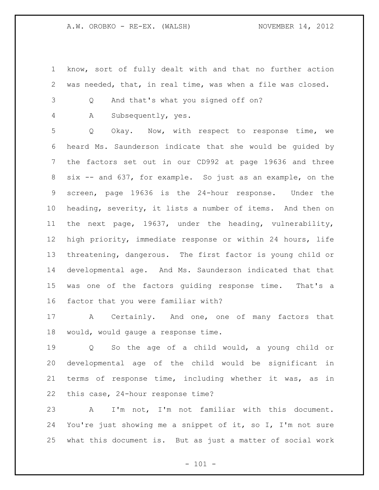- know, sort of fully dealt with and that no further action was needed, that, in real time, was when a file was closed.
- Q And that's what you signed off on?

A Subsequently, yes.

 Q Okay. Now, with respect to response time, we heard Ms. Saunderson indicate that she would be guided by the factors set out in our CD992 at page 19636 and three six -- and 637, for example. So just as an example, on the screen, page 19636 is the 24-hour response. Under the heading, severity, it lists a number of items. And then on the next page, 19637, under the heading, vulnerability, high priority, immediate response or within 24 hours, life threatening, dangerous. The first factor is young child or developmental age. And Ms. Saunderson indicated that that was one of the factors guiding response time. That's a factor that you were familiar with?

17 A Certainly. And one, one of many factors that would, would gauge a response time.

 Q So the age of a child would, a young child or developmental age of the child would be significant in terms of response time, including whether it was, as in this case, 24-hour response time?

 A I'm not, I'm not familiar with this document. You're just showing me a snippet of it, so I, I'm not sure what this document is. But as just a matter of social work

 $- 101 -$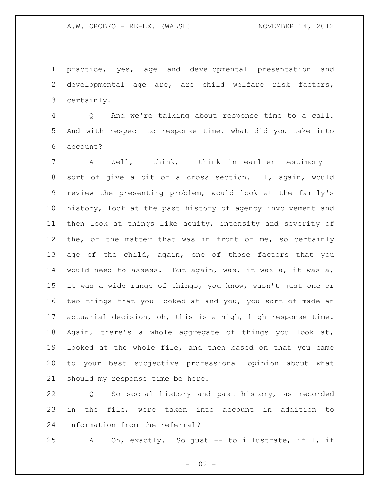practice, yes, age and developmental presentation and developmental age are, are child welfare risk factors, certainly.

 Q And we're talking about response time to a call. And with respect to response time, what did you take into account?

 A Well, I think, I think in earlier testimony I sort of give a bit of a cross section. I, again, would review the presenting problem, would look at the family's history, look at the past history of agency involvement and then look at things like acuity, intensity and severity of the, of the matter that was in front of me, so certainly age of the child, again, one of those factors that you would need to assess. But again, was, it was a, it was a, it was a wide range of things, you know, wasn't just one or two things that you looked at and you, you sort of made an actuarial decision, oh, this is a high, high response time. Again, there's a whole aggregate of things you look at, looked at the whole file, and then based on that you came to your best subjective professional opinion about what should my response time be here.

 Q So social history and past history, as recorded in the file, were taken into account in addition to information from the referral?

A Oh, exactly. So just -- to illustrate, if I, if

 $- 102 -$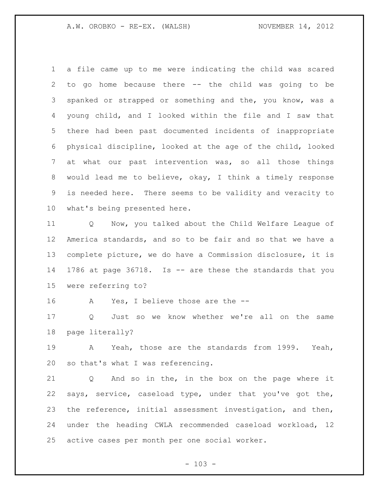a file came up to me were indicating the child was scared to go home because there -- the child was going to be spanked or strapped or something and the, you know, was a young child, and I looked within the file and I saw that there had been past documented incidents of inappropriate physical discipline, looked at the age of the child, looked at what our past intervention was, so all those things would lead me to believe, okay, I think a timely response is needed here. There seems to be validity and veracity to what's being presented here.

 Q Now, you talked about the Child Welfare League of America standards, and so to be fair and so that we have a complete picture, we do have a Commission disclosure, it is 1786 at page 36718. Is -- are these the standards that you were referring to?

A Yes, I believe those are the --

 Q Just so we know whether we're all on the same page literally?

 A Yeah, those are the standards from 1999. Yeah, so that's what I was referencing.

 Q And so in the, in the box on the page where it says, service, caseload type, under that you've got the, the reference, initial assessment investigation, and then, under the heading CWLA recommended caseload workload, 12 active cases per month per one social worker.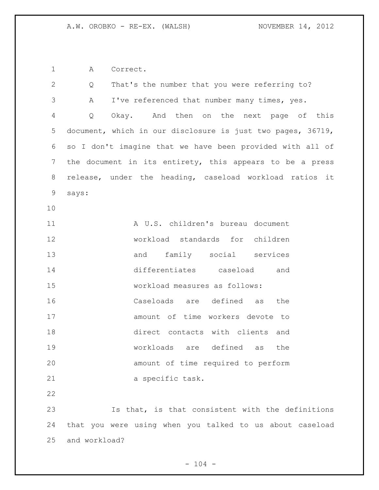A Correct.

| 2  | Q                                                        | That's the number that you were referring to?               |  |
|----|----------------------------------------------------------|-------------------------------------------------------------|--|
| 3  | Α                                                        | I've referenced that number many times, yes.                |  |
| 4  | Q                                                        | Okay. And then on the next page of this                     |  |
| 5  |                                                          | document, which in our disclosure is just two pages, 36719, |  |
| 6  |                                                          | so I don't imagine that we have been provided with all of   |  |
| 7  | the document in its entirety, this appears to be a press |                                                             |  |
| 8  |                                                          | release, under the heading, caseload workload ratios it     |  |
| 9  | says:                                                    |                                                             |  |
| 10 |                                                          |                                                             |  |
| 11 |                                                          | A U.S. children's bureau document                           |  |
| 12 |                                                          | workload standards for children                             |  |
| 13 |                                                          | and family social services                                  |  |
| 14 |                                                          | differentiates caseload<br>and                              |  |
| 15 |                                                          | workload measures as follows:                               |  |
| 16 |                                                          | Caseloads are defined as<br>the                             |  |
| 17 |                                                          | amount of time workers devote to                            |  |
| 18 |                                                          | direct contacts with clients and                            |  |
| 19 |                                                          | workloads are defined as<br>the                             |  |
| 20 |                                                          | amount of time required to perform                          |  |
| 21 |                                                          | a specific task.                                            |  |
| 22 |                                                          |                                                             |  |
| 23 |                                                          | Is that, is that consistent with the definitions            |  |
| 24 |                                                          | that you were using when you talked to us about caseload    |  |
| 25 | and workload?                                            |                                                             |  |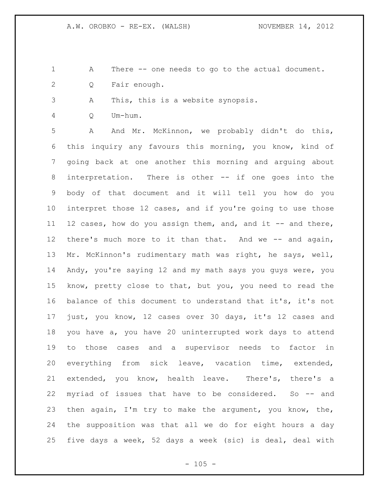- A There -- one needs to go to the actual document.
- Q Fair enough.
- A This, this is a website synopsis.
- Q Um-hum.

 A And Mr. McKinnon, we probably didn't do this, this inquiry any favours this morning, you know, kind of going back at one another this morning and arguing about interpretation. There is other -- if one goes into the body of that document and it will tell you how do you interpret those 12 cases, and if you're going to use those 11 12 cases, how do you assign them, and, and it -- and there, 12 there's much more to it than that. And we -- and again, Mr. McKinnon's rudimentary math was right, he says, well, Andy, you're saying 12 and my math says you guys were, you know, pretty close to that, but you, you need to read the balance of this document to understand that it's, it's not just, you know, 12 cases over 30 days, it's 12 cases and you have a, you have 20 uninterrupted work days to attend to those cases and a supervisor needs to factor in everything from sick leave, vacation time, extended, extended, you know, health leave. There's, there's a myriad of issues that have to be considered. So -- and then again, I'm try to make the argument, you know, the, the supposition was that all we do for eight hours a day five days a week, 52 days a week (sic) is deal, deal with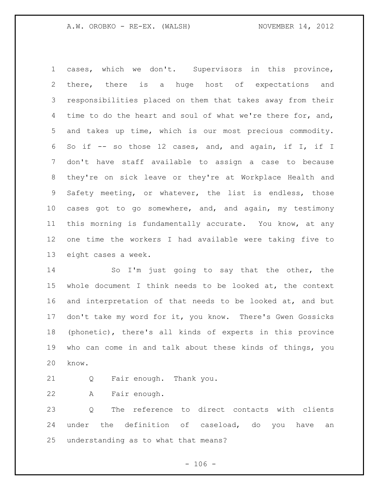cases, which we don't. Supervisors in this province, there, there is a huge host of expectations and responsibilities placed on them that takes away from their 4 time to do the heart and soul of what we're there for, and, and takes up time, which is our most precious commodity. So if -- so those 12 cases, and, and again, if I, if I don't have staff available to assign a case to because they're on sick leave or they're at Workplace Health and Safety meeting, or whatever, the list is endless, those cases got to go somewhere, and, and again, my testimony this morning is fundamentally accurate. You know, at any one time the workers I had available were taking five to eight cases a week.

 So I'm just going to say that the other, the whole document I think needs to be looked at, the context and interpretation of that needs to be looked at, and but don't take my word for it, you know. There's Gwen Gossicks (phonetic), there's all kinds of experts in this province who can come in and talk about these kinds of things, you know.

Q Fair enough. Thank you.

A Fair enough.

 Q The reference to direct contacts with clients under the definition of caseload, do you have an understanding as to what that means?

 $- 106 -$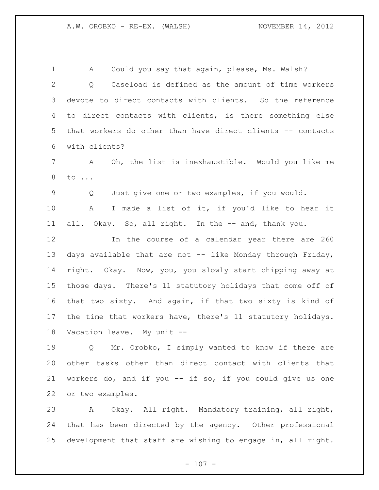1 A Could you say that again, please, Ms. Walsh? Q Caseload is defined as the amount of time workers devote to direct contacts with clients. So the reference to direct contacts with clients, is there something else that workers do other than have direct clients -- contacts with clients? A Oh, the list is inexhaustible. Would you like me to ... Q Just give one or two examples, if you would. A I made a list of it, if you'd like to hear it 11 all. Okay. So, all right. In the -- and, thank you. In the course of a calendar year there are 260 13 days available that are not -- like Monday through Friday, right. Okay. Now, you, you slowly start chipping away at those days. There's 11 statutory holidays that come off of that two sixty. And again, if that two sixty is kind of the time that workers have, there's 11 statutory holidays. Vacation leave. My unit --

 Q Mr. Orobko, I simply wanted to know if there are other tasks other than direct contact with clients that workers do, and if you -- if so, if you could give us one or two examples.

 A Okay. All right. Mandatory training, all right, that has been directed by the agency. Other professional development that staff are wishing to engage in, all right.

 $- 107 -$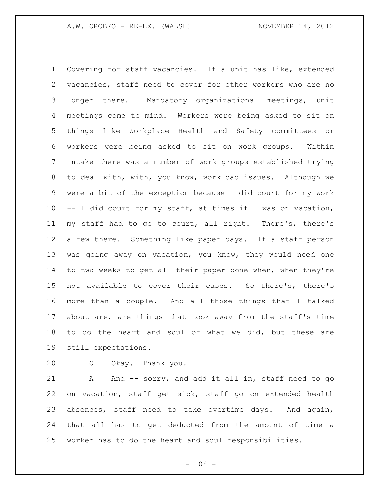Covering for staff vacancies. If a unit has like, extended vacancies, staff need to cover for other workers who are no longer there. Mandatory organizational meetings, unit meetings come to mind. Workers were being asked to sit on things like Workplace Health and Safety committees or workers were being asked to sit on work groups. Within intake there was a number of work groups established trying to deal with, with, you know, workload issues. Although we were a bit of the exception because I did court for my work -- I did court for my staff, at times if I was on vacation, my staff had to go to court, all right. There's, there's a few there. Something like paper days. If a staff person was going away on vacation, you know, they would need one 14 to two weeks to get all their paper done when, when they're not available to cover their cases. So there's, there's more than a couple. And all those things that I talked about are, are things that took away from the staff's time to do the heart and soul of what we did, but these are still expectations.

Q Okay. Thank you.

21 A And -- sorry, and add it all in, staff need to go on vacation, staff get sick, staff go on extended health absences, staff need to take overtime days. And again, that all has to get deducted from the amount of time a worker has to do the heart and soul responsibilities.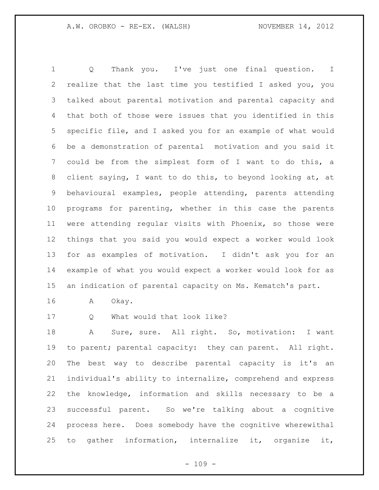Q Thank you. I've just one final question. I realize that the last time you testified I asked you, you talked about parental motivation and parental capacity and that both of those were issues that you identified in this specific file, and I asked you for an example of what would be a demonstration of parental motivation and you said it could be from the simplest form of I want to do this, a client saying, I want to do this, to beyond looking at, at behavioural examples, people attending, parents attending programs for parenting, whether in this case the parents were attending regular visits with Phoenix, so those were things that you said you would expect a worker would look for as examples of motivation. I didn't ask you for an example of what you would expect a worker would look for as an indication of parental capacity on Ms. Kematch's part.

- A Okay.
- Q What would that look like?

18 A Sure, sure. All right. So, motivation: I want to parent; parental capacity: they can parent. All right. The best way to describe parental capacity is it's an individual's ability to internalize, comprehend and express the knowledge, information and skills necessary to be a successful parent. So we're talking about a cognitive process here. Does somebody have the cognitive wherewithal to gather information, internalize it, organize it,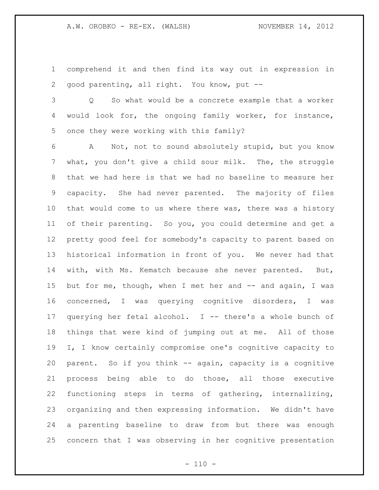comprehend it and then find its way out in expression in good parenting, all right. You know, put --

 Q So what would be a concrete example that a worker would look for, the ongoing family worker, for instance, once they were working with this family?

 A Not, not to sound absolutely stupid, but you know what, you don't give a child sour milk. The, the struggle that we had here is that we had no baseline to measure her capacity. She had never parented. The majority of files that would come to us where there was, there was a history of their parenting. So you, you could determine and get a pretty good feel for somebody's capacity to parent based on historical information in front of you. We never had that with, with Ms. Kematch because she never parented. But, 15 but for me, though, when I met her and -- and again, I was concerned, I was querying cognitive disorders, I was querying her fetal alcohol. I -- there's a whole bunch of things that were kind of jumping out at me. All of those I, I know certainly compromise one's cognitive capacity to parent. So if you think -- again, capacity is a cognitive process being able to do those, all those executive functioning steps in terms of gathering, internalizing, organizing and then expressing information. We didn't have a parenting baseline to draw from but there was enough concern that I was observing in her cognitive presentation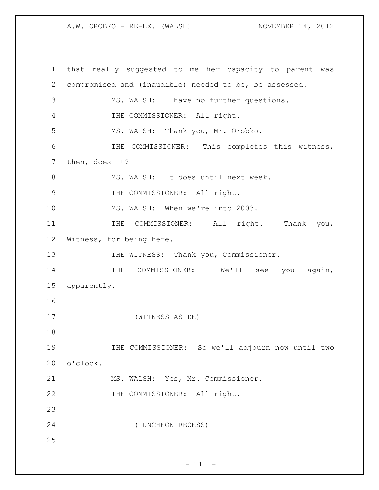A.W. OROBKO - RE-EX. (WALSH) NOVEMBER 14, 2012

 that really suggested to me her capacity to parent was compromised and (inaudible) needed to be, be assessed. MS. WALSH: I have no further questions. THE COMMISSIONER: All right. MS. WALSH: Thank you, Mr. Orobko. THE COMMISSIONER: This completes this witness, then, does it? 8 MS. WALSH: It does until next week. 9 THE COMMISSIONER: All right. MS. WALSH: When we're into 2003. 11 THE COMMISSIONER: All right. Thank you, Witness, for being here. 13 THE WITNESS: Thank you, Commissioner. 14 THE COMMISSIONER: We'll see you again, apparently. (WITNESS ASIDE) 19 THE COMMISSIONER: So we'll adjourn now until two o'clock. MS. WALSH: Yes, Mr. Commissioner. 22 THE COMMISSIONER: All right. (LUNCHEON RECESS)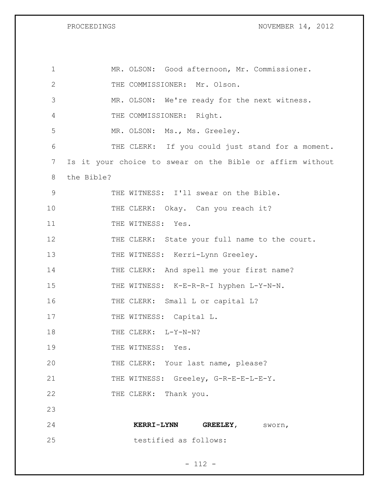PROCEEDINGS NOVEMBER 14, 2012

| $\mathbf 1$   | MR. OLSON: Good afternoon, Mr. Commissioner.              |
|---------------|-----------------------------------------------------------|
| $\mathbf{2}$  | THE COMMISSIONER: Mr. Olson.                              |
| 3             | MR. OLSON: We're ready for the next witness.              |
| 4             | THE COMMISSIONER: Right.                                  |
| 5             | MR. OLSON: Ms., Ms. Greeley.                              |
| 6             | THE CLERK: If you could just stand for a moment.          |
| 7             | Is it your choice to swear on the Bible or affirm without |
| 8             | the Bible?                                                |
| $\mathcal{G}$ | THE WITNESS: I'll swear on the Bible.                     |
| 10            | THE CLERK: Okay. Can you reach it?                        |
| 11            | THE WITNESS: Yes.                                         |
| 12            | THE CLERK: State your full name to the court.             |
| 13            | THE WITNESS: Kerri-Lynn Greeley.                          |
| 14            | THE CLERK: And spell me your first name?                  |
| 15            | THE WITNESS: K-E-R-R-I hyphen L-Y-N-N.                    |
| 16            | THE CLERK: Small L or capital L?                          |
| 17            | THE WITNESS: Capital L.                                   |
| 18            | THE CLERK: L-Y-N-N?                                       |
| 19            | THE WITNESS: Yes.                                         |
| 20            | THE CLERK: Your last name, please?                        |
| 21            | THE WITNESS: Greeley, G-R-E-E-L-E-Y.                      |
| 22            | THE CLERK: Thank you.                                     |
| 23            |                                                           |
| 24            | <b>KERRI-LYNN</b><br>GREELEY, Sworn,                      |
| 25            | testified as follows:                                     |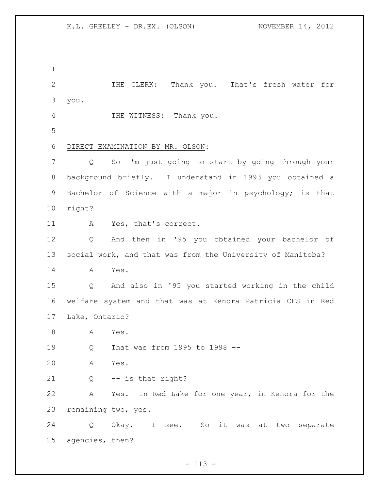THE CLERK: Thank you. That's fresh water for you. THE WITNESS: Thank you. DIRECT EXAMINATION BY MR. OLSON: Q So I'm just going to start by going through your background briefly. I understand in 1993 you obtained a Bachelor of Science with a major in psychology; is that right? A Yes, that's correct. Q And then in '95 you obtained your bachelor of social work, and that was from the University of Manitoba? A Yes. Q And also in '95 you started working in the child welfare system and that was at Kenora Patricia CFS in Red Lake, Ontario? A Yes. Q That was from 1995 to 1998 -- A Yes. Q -- is that right? A Yes. In Red Lake for one year, in Kenora for the remaining two, yes. Q Okay. I see. So it was at two separate agencies, then?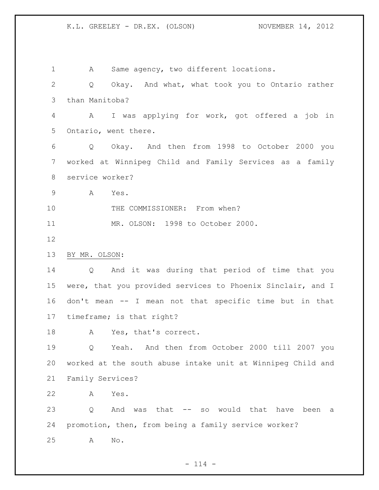A Same agency, two different locations. Q Okay. And what, what took you to Ontario rather than Manitoba? A I was applying for work, got offered a job in Ontario, went there. Q Okay. And then from 1998 to October 2000 you worked at Winnipeg Child and Family Services as a family service worker? A Yes. 10 THE COMMISSIONER: From when? MR. OLSON: 1998 to October 2000. BY MR. OLSON: Q And it was during that period of time that you were, that you provided services to Phoenix Sinclair, and I don't mean -- I mean not that specific time but in that timeframe; is that right? A Yes, that's correct. Q Yeah. And then from October 2000 till 2007 you worked at the south abuse intake unit at Winnipeg Child and Family Services? A Yes. Q And was that -- so would that have been a promotion, then, from being a family service worker? A No.

 $- 114 -$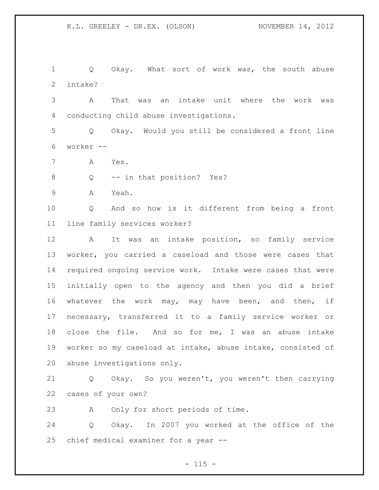1 Q Okay. What sort of work was, the south abuse intake?

 A That was an intake unit where the work was conducting child abuse investigations.

 Q Okay. Would you still be considered a front line worker --

- A Yes.
- 8 Q -- in that position? Yes?
- A Yeah.

 Q And so how is it different from being a front line family services worker?

 A It was an intake position, so family service worker, you carried a caseload and those were cases that required ongoing service work. Intake were cases that were initially open to the agency and then you did a brief whatever the work may, may have been, and then, if necessary, transferred it to a family service worker or close the file. And so for me, I was an abuse intake worker so my caseload at intake, abuse intake, consisted of abuse investigations only.

 Q Okay. So you weren't, you weren't then carrying cases of your own?

A Only for short periods of time.

 Q Okay. In 2007 you worked at the office of the chief medical examiner for a year --

 $- 115 -$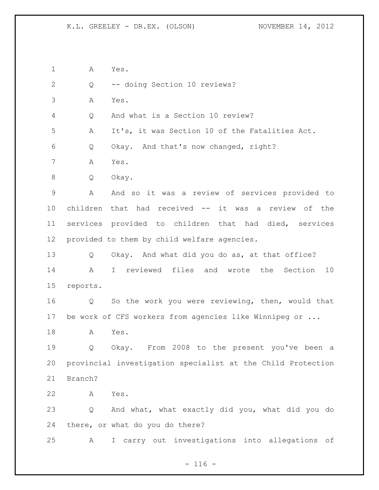A Yes.

Q -- doing Section 10 reviews?

A Yes.

Q And what is a Section 10 review?

A It's, it was Section 10 of the Fatalities Act.

Q Okay. And that's now changed, right?

A Yes.

Q Okay.

 A And so it was a review of services provided to children that had received -- it was a review of the services provided to children that had died, services provided to them by child welfare agencies.

 Q Okay. And what did you do as, at that office? A I reviewed files and wrote the Section 10 reports.

 Q So the work you were reviewing, then, would that be work of CFS workers from agencies like Winnipeg or ...

A Yes.

 Q Okay. From 2008 to the present you've been a provincial investigation specialist at the Child Protection Branch?

A Yes.

 Q And what, what exactly did you, what did you do there, or what do you do there?

A I carry out investigations into allegations of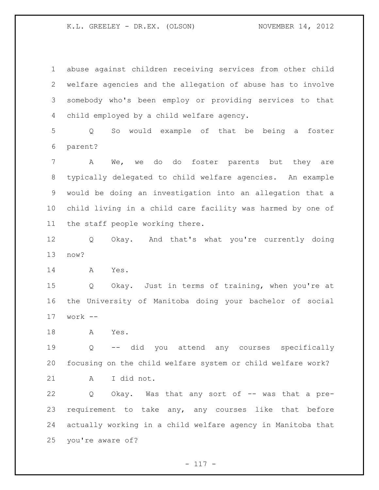abuse against children receiving services from other child welfare agencies and the allegation of abuse has to involve somebody who's been employ or providing services to that child employed by a child welfare agency.

 Q So would example of that be being a foster parent?

 A We, we do do foster parents but they are typically delegated to child welfare agencies. An example would be doing an investigation into an allegation that a child living in a child care facility was harmed by one of the staff people working there.

 Q Okay. And that's what you're currently doing now?

A Yes.

 Q Okay. Just in terms of training, when you're at the University of Manitoba doing your bachelor of social work --

A Yes.

 Q -- did you attend any courses specifically focusing on the child welfare system or child welfare work? A I did not.

 Q Okay. Was that any sort of -- was that a pre- requirement to take any, any courses like that before actually working in a child welfare agency in Manitoba that you're aware of?

 $- 117 -$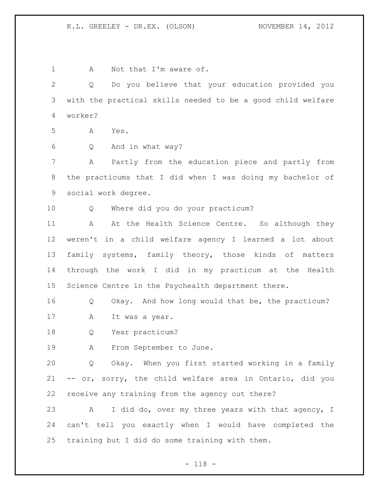1 A Not that I'm aware of. Q Do you believe that your education provided you with the practical skills needed to be a good child welfare worker? A Yes. Q And in what way? A Partly from the education piece and partly from the practicums that I did when I was doing my bachelor of social work degree. Q Where did you do your practicum? 11 A At the Health Science Centre. So although they weren't in a child welfare agency I learned a lot about family systems, family theory, those kinds of matters through the work I did in my practicum at the Health Science Centre in the Psychealth department there. Q Okay. And how long would that be, the practicum? 17 A It was a year. Q Year practicum? A From September to June. Q Okay. When you first started working in a family -- or, sorry, the child welfare area in Ontario, did you receive any training from the agency out there? A I did do, over my three years with that agency, I can't tell you exactly when I would have completed the training but I did do some training with them.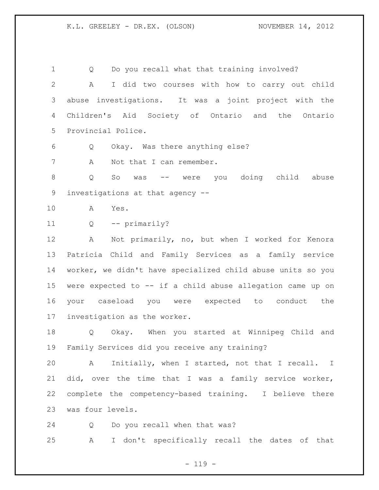Q Do you recall what that training involved? A I did two courses with how to carry out child abuse investigations. It was a joint project with the Children's Aid Society of Ontario and the Ontario Provincial Police.

Q Okay. Was there anything else?

7 A Not that I can remember.

 Q So was -- were you doing child abuse investigations at that agency --

A Yes.

Q -- primarily?

 A Not primarily, no, but when I worked for Kenora Patricia Child and Family Services as a family service worker, we didn't have specialized child abuse units so you were expected to -- if a child abuse allegation came up on your caseload you were expected to conduct the investigation as the worker.

 Q Okay. When you started at Winnipeg Child and Family Services did you receive any training?

 A Initially, when I started, not that I recall. I did, over the time that I was a family service worker, complete the competency-based training. I believe there was four levels.

Q Do you recall when that was?

A I don't specifically recall the dates of that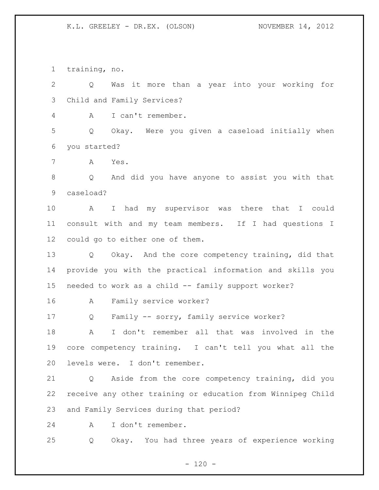training, no.

 Q Was it more than a year into your working for Child and Family Services? A I can't remember. Q Okay. Were you given a caseload initially when you started? A Yes. Q And did you have anyone to assist you with that caseload? A I had my supervisor was there that I could consult with and my team members. If I had questions I could go to either one of them. Q Okay. And the core competency training, did that provide you with the practical information and skills you needed to work as a child -- family support worker? A Family service worker? Q Family -- sorry, family service worker? A I don't remember all that was involved in the core competency training. I can't tell you what all the levels were. I don't remember. Q Aside from the core competency training, did you receive any other training or education from Winnipeg Child and Family Services during that period? A I don't remember. Q Okay. You had three years of experience working

 $- 120 -$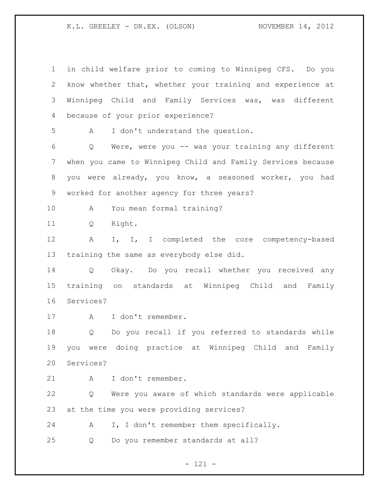in child welfare prior to coming to Winnipeg CFS. Do you know whether that, whether your training and experience at Winnipeg Child and Family Services was, was different because of your prior experience? A I don't understand the question. Q Were, were you -- was your training any different when you came to Winnipeg Child and Family Services because you were already, you know, a seasoned worker, you had worked for another agency for three years? A You mean formal training? Q Right. 12 A I, I, I completed the core competency-based training the same as everybody else did. Q Okay. Do you recall whether you received any training on standards at Winnipeg Child and Family Services? A I don't remember. Q Do you recall if you referred to standards while you were doing practice at Winnipeg Child and Family Services? A I don't remember. Q Were you aware of which standards were applicable at the time you were providing services? 24 A I, I don't remember them specifically. Q Do you remember standards at all?

- 121 -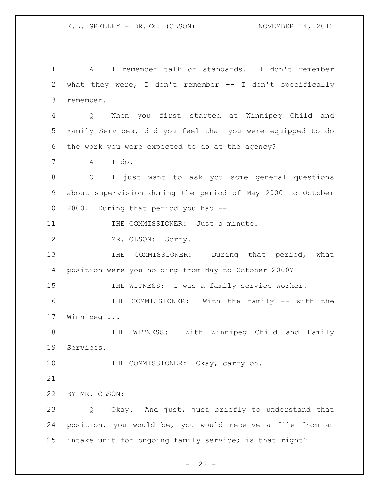A I remember talk of standards. I don't remember what they were, I don't remember -- I don't specifically remember. Q When you first started at Winnipeg Child and Family Services, did you feel that you were equipped to do the work you were expected to do at the agency? A I do. Q I just want to ask you some general questions about supervision during the period of May 2000 to October 2000. During that period you had -- 11 THE COMMISSIONER: Just a minute. 12 MR. OLSON: Sorry. 13 THE COMMISSIONER: During that period, what position were you holding from May to October 2000? 15 THE WITNESS: I was a family service worker. THE COMMISSIONER: With the family -- with the Winnipeg ... 18 THE WITNESS: With Winnipeg Child and Family Services. THE COMMISSIONER: Okay, carry on. BY MR. OLSON: Q Okay. And just, just briefly to understand that position, you would be, you would receive a file from an intake unit for ongoing family service; is that right?

- 122 -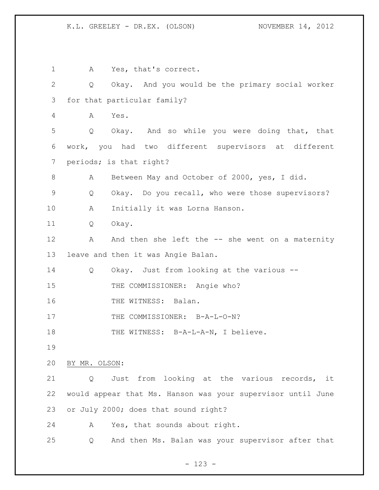1 A Yes, that's correct. Q Okay. And you would be the primary social worker for that particular family? A Yes. Q Okay. And so while you were doing that, that work, you had two different supervisors at different periods; is that right? A Between May and October of 2000, yes, I did. Q Okay. Do you recall, who were those supervisors? A Initially it was Lorna Hanson. Q Okay. 12 A And then she left the -- she went on a maternity leave and then it was Angie Balan. Q Okay. Just from looking at the various -- 15 THE COMMISSIONER: Angie who? 16 THE WITNESS: Balan. 17 THE COMMISSIONER: B-A-L-O-N? 18 THE WITNESS: B-A-L-A-N, I believe. BY MR. OLSON: Q Just from looking at the various records, it would appear that Ms. Hanson was your supervisor until June or July 2000; does that sound right? A Yes, that sounds about right. Q And then Ms. Balan was your supervisor after that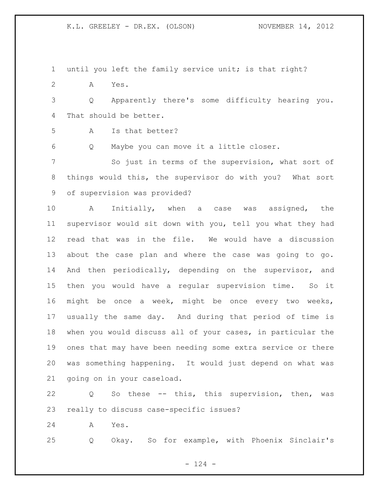until you left the family service unit; is that right?

A Yes.

 Q Apparently there's some difficulty hearing you. That should be better.

A Is that better?

Q Maybe you can move it a little closer.

 So just in terms of the supervision, what sort of things would this, the supervisor do with you? What sort of supervision was provided?

 A Initially, when a case was assigned, the supervisor would sit down with you, tell you what they had read that was in the file. We would have a discussion about the case plan and where the case was going to go. And then periodically, depending on the supervisor, and then you would have a regular supervision time. So it might be once a week, might be once every two weeks, usually the same day. And during that period of time is when you would discuss all of your cases, in particular the ones that may have been needing some extra service or there was something happening. It would just depend on what was going on in your caseload.

 Q So these -- this, this supervision, then, was really to discuss case-specific issues?

A Yes.

Q Okay. So for example, with Phoenix Sinclair's

 $- 124 -$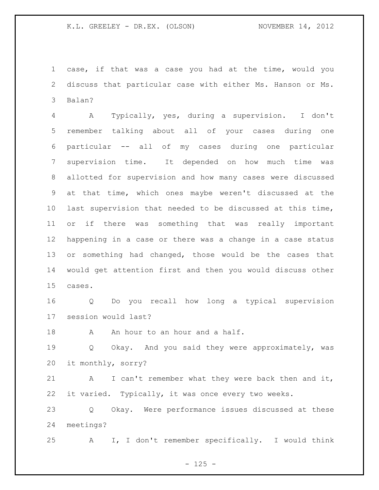case, if that was a case you had at the time, would you discuss that particular case with either Ms. Hanson or Ms. Balan?

 A Typically, yes, during a supervision. I don't remember talking about all of your cases during one particular -- all of my cases during one particular supervision time. It depended on how much time was allotted for supervision and how many cases were discussed at that time, which ones maybe weren't discussed at the last supervision that needed to be discussed at this time, or if there was something that was really important happening in a case or there was a change in a case status or something had changed, those would be the cases that would get attention first and then you would discuss other cases.

 Q Do you recall how long a typical supervision session would last?

18 A An hour to an hour and a half.

 Q Okay. And you said they were approximately, was it monthly, sorry?

 A I can't remember what they were back then and it, it varied. Typically, it was once every two weeks.

 Q Okay. Were performance issues discussed at these meetings?

A I, I don't remember specifically. I would think

 $- 125 -$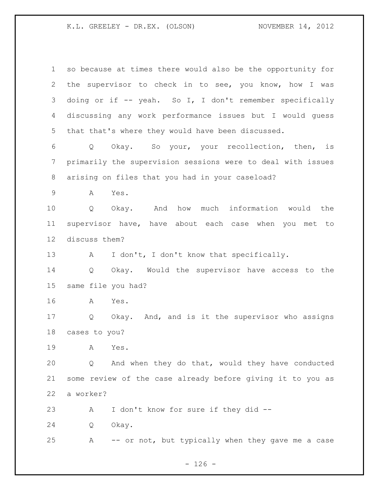| $\mathbf 1$ | so because at times there would also be the opportunity for     |
|-------------|-----------------------------------------------------------------|
| 2           | the supervisor to check in to see, you know, how I was          |
| 3           | doing or if -- yeah. So I, I don't remember specifically        |
| 4           | discussing any work performance issues but I would quess        |
| 5           | that that's where they would have been discussed.               |
| 6           | Okay. So your, your recollection, then, is<br>$Q \qquad \qquad$ |
| 7           | primarily the supervision sessions were to deal with issues     |
| 8           | arising on files that you had in your caseload?                 |
| 9           | A<br>Yes.                                                       |
| 10          | how much information would the<br>And<br>Q<br>Okay.             |
| 11          | supervisor have, have about each case when you met to           |
| 12          | discuss them?                                                   |
| 13          | I don't, I don't know that specifically.<br>A                   |
| 14          | Okay. Would the supervisor have access to the<br>Q              |
| 15          | same file you had?                                              |
| 16          | Yes.<br>A                                                       |
| 17          | Okay. And, and is it the supervisor who assigns<br>Q            |
|             | 18 cases to you?                                                |
| 19          | Yes.<br>A                                                       |
| 20          | And when they do that, would they have conducted<br>Q           |
| 21          | some review of the case already before giving it to you as      |
| 22          | a worker?                                                       |
| 23          | I don't know for sure if they did --<br>A                       |
| 24          | Okay.<br>Q                                                      |
| 25          | Α<br>-- or not, but typically when they gave me a case          |

- 126 -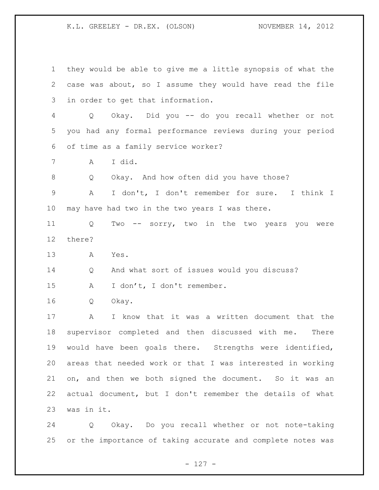they would be able to give me a little synopsis of what the case was about, so I assume they would have read the file in order to get that information. Q Okay. Did you -- do you recall whether or not you had any formal performance reviews during your period of time as a family service worker? A I did. Q Okay. And how often did you have those? A I don't, I don't remember for sure. I think I may have had two in the two years I was there. Q Two -- sorry, two in the two years you were there? A Yes. Q And what sort of issues would you discuss? 15 A I don't, I don't remember. Q Okay. A I know that it was a written document that the supervisor completed and then discussed with me. There would have been goals there. Strengths were identified, areas that needed work or that I was interested in working on, and then we both signed the document. So it was an actual document, but I don't remember the details of what was in it.

 Q Okay. Do you recall whether or not note-taking or the importance of taking accurate and complete notes was

- 127 -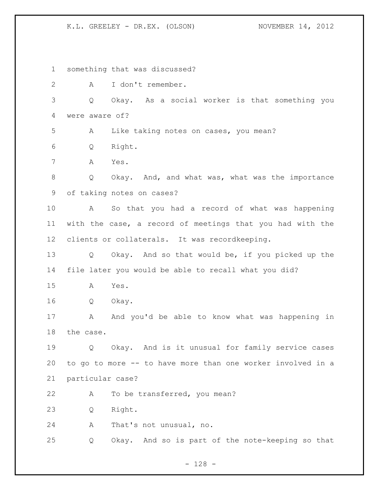something that was discussed? A I don't remember. Q Okay. As a social worker is that something you were aware of? A Like taking notes on cases, you mean? Q Right. A Yes. Q Okay. And, and what was, what was the importance of taking notes on cases? A So that you had a record of what was happening with the case, a record of meetings that you had with the clients or collaterals. It was recordkeeping. Q Okay. And so that would be, if you picked up the file later you would be able to recall what you did? A Yes. Q Okay. 17 A And you'd be able to know what was happening in the case. 19 0 Okay. And is it unusual for family service cases to go to more -- to have more than one worker involved in a particular case? A To be transferred, you mean? Q Right. A That's not unusual, no. Q Okay. And so is part of the note-keeping so that

- 128 -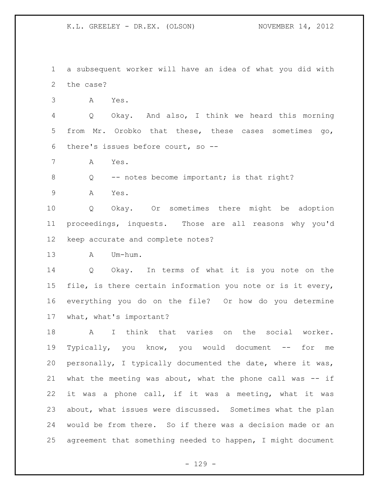a subsequent worker will have an idea of what you did with the case?

A Yes.

 Q Okay. And also, I think we heard this morning from Mr. Orobko that these, these cases sometimes go, there's issues before court, so --

A Yes.

8 Q -- notes become important; is that right?

A Yes.

 Q Okay. Or sometimes there might be adoption proceedings, inquests. Those are all reasons why you'd keep accurate and complete notes?

A Um-hum.

 Q Okay. In terms of what it is you note on the file, is there certain information you note or is it every, everything you do on the file? Or how do you determine what, what's important?

 A I think that varies on the social worker. Typically, you know, you would document -- for me personally, I typically documented the date, where it was, what the meeting was about, what the phone call was -- if it was a phone call, if it was a meeting, what it was about, what issues were discussed. Sometimes what the plan would be from there. So if there was a decision made or an agreement that something needed to happen, I might document

 $-129 -$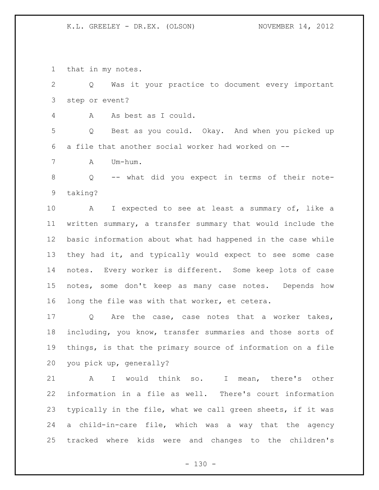that in my notes.

 Q Was it your practice to document every important step or event? A As best as I could. Q Best as you could. Okay. And when you picked up a file that another social worker had worked on -- A Um-hum. Q -- what did you expect in terms of their note- taking? A I expected to see at least a summary of, like a written summary, a transfer summary that would include the basic information about what had happened in the case while they had it, and typically would expect to see some case notes. Every worker is different. Some keep lots of case notes, some don't keep as many case notes. Depends how long the file was with that worker, et cetera. Q Are the case, case notes that a worker takes, including, you know, transfer summaries and those sorts of things, is that the primary source of information on a file you pick up, generally?

 A I would think so. I mean, there's other information in a file as well. There's court information typically in the file, what we call green sheets, if it was a child-in-care file, which was a way that the agency tracked where kids were and changes to the children's

 $- 130 -$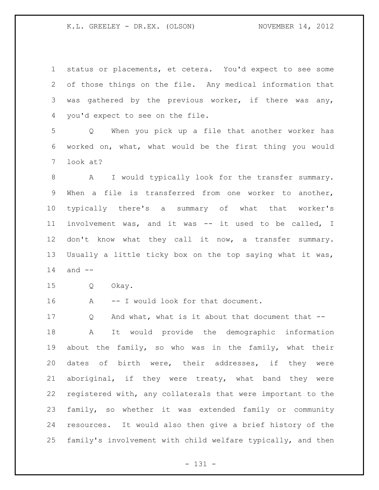status or placements, et cetera. You'd expect to see some of those things on the file. Any medical information that was gathered by the previous worker, if there was any, you'd expect to see on the file.

 Q When you pick up a file that another worker has worked on, what, what would be the first thing you would look at?

8 A I would typically look for the transfer summary. When a file is transferred from one worker to another, typically there's a summary of what that worker's involvement was, and it was -- it used to be called, I 12 don't know what they call it now, a transfer summary. Usually a little ticky box on the top saying what it was, and --

Q Okay.

16 A -- I would look for that document.

17 Q And what, what is it about that document that -- A It would provide the demographic information about the family, so who was in the family, what their dates of birth were, their addresses, if they were aboriginal, if they were treaty, what band they were registered with, any collaterals that were important to the family, so whether it was extended family or community resources. It would also then give a brief history of the family's involvement with child welfare typically, and then

- 131 -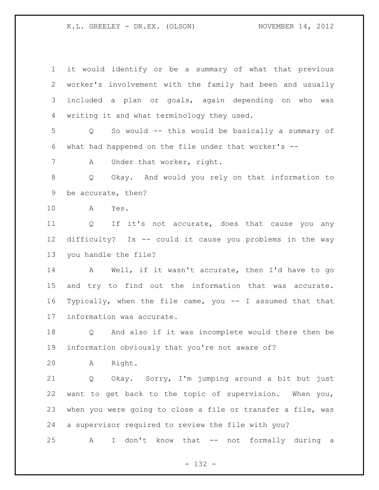| $\mathbf 1$ | it would identify or be a summary of what that previous            |
|-------------|--------------------------------------------------------------------|
| 2           | worker's involvement with the family had been and usually          |
| 3           | included a plan or goals, again depending on who was               |
| 4           | writing it and what terminology they used.                         |
| 5           | So would -- this would be basically a summary of<br>Q              |
| 6           | what had happened on the file under that worker's $-$              |
| 7           | Under that worker, right.<br>A                                     |
| 8           | Okay. And would you rely on that information to<br>Q               |
| 9           | be accurate, then?                                                 |
| 10          | A<br>Yes.                                                          |
| 11          | If it's not accurate, does that cause you any<br>$Q \qquad \qquad$ |
| 12          | difficulty? Is -- could it cause you problems in the way           |
| 13          | you handle the file?                                               |
| 14          | A Well, if it wasn't accurate, then I'd have to go                 |
| 15          | and try to find out the information that was accurate.             |
| 16          | Typically, when the file came, you -- I assumed that that          |
| 17          | information was accurate.                                          |
| 18          | And also if it was incomplete would there then be<br>Q             |
| 19          | information obviously that you're not aware of?                    |
| 20          | Right.<br>Α                                                        |
| 21          | Okay. Sorry, I'm jumping around a bit but just<br>Q                |
| 22          | want to get back to the topic of supervision. When you,            |
| 23          | when you were going to close a file or transfer a file, was        |
| 24          | a supervisor required to review the file with you?                 |
| 25          | I don't know that -- not formally during a<br>Α                    |

- 132 -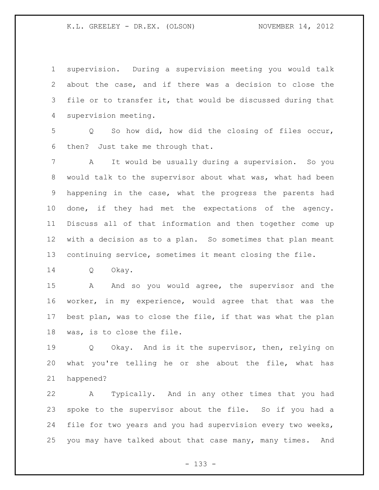supervision. During a supervision meeting you would talk about the case, and if there was a decision to close the 3 file or to transfer it, that would be discussed during that supervision meeting.

 Q So how did, how did the closing of files occur, then? Just take me through that.

 A It would be usually during a supervision. So you would talk to the supervisor about what was, what had been happening in the case, what the progress the parents had done, if they had met the expectations of the agency. Discuss all of that information and then together come up with a decision as to a plan. So sometimes that plan meant continuing service, sometimes it meant closing the file.

Q Okay.

15 A And so you would agree, the supervisor and the worker, in my experience, would agree that that was the best plan, was to close the file, if that was what the plan was, is to close the file.

19 0 Okay. And is it the supervisor, then, relying on what you're telling he or she about the file, what has happened?

 A Typically. And in any other times that you had spoke to the supervisor about the file. So if you had a file for two years and you had supervision every two weeks, you may have talked about that case many, many times. And

- 133 -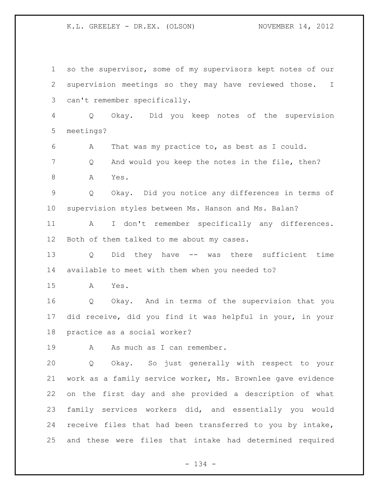so the supervisor, some of my supervisors kept notes of our supervision meetings so they may have reviewed those. I can't remember specifically. Q Okay. Did you keep notes of the supervision meetings? A That was my practice to, as best as I could. Q And would you keep the notes in the file, then? 8 A Yes. Q Okay. Did you notice any differences in terms of supervision styles between Ms. Hanson and Ms. Balan? A I don't remember specifically any differences. Both of them talked to me about my cases. Q Did they have -- was there sufficient time available to meet with them when you needed to? A Yes. Q Okay. And in terms of the supervision that you did receive, did you find it was helpful in your, in your practice as a social worker? 19 A As much as I can remember. Q Okay. So just generally with respect to your work as a family service worker, Ms. Brownlee gave evidence on the first day and she provided a description of what family services workers did, and essentially you would receive files that had been transferred to you by intake, and these were files that intake had determined required

- 134 -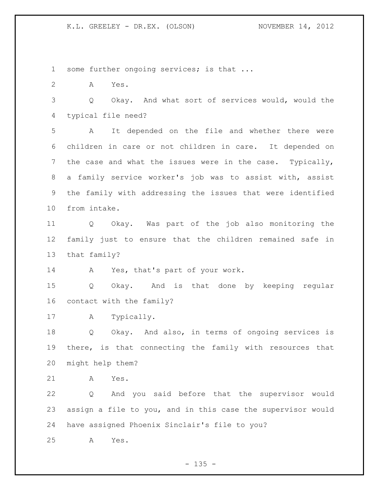1 some further ongoing services; is that ...

A Yes.

 Q Okay. And what sort of services would, would the typical file need?

 A It depended on the file and whether there were children in care or not children in care. It depended on the case and what the issues were in the case. Typically, a family service worker's job was to assist with, assist the family with addressing the issues that were identified from intake.

 Q Okay. Was part of the job also monitoring the family just to ensure that the children remained safe in that family?

A Yes, that's part of your work.

 Q Okay. And is that done by keeping regular contact with the family?

A Typically.

 Q Okay. And also, in terms of ongoing services is there, is that connecting the family with resources that might help them?

A Yes.

 Q And you said before that the supervisor would assign a file to you, and in this case the supervisor would have assigned Phoenix Sinclair's file to you?

A Yes.

 $- 135 -$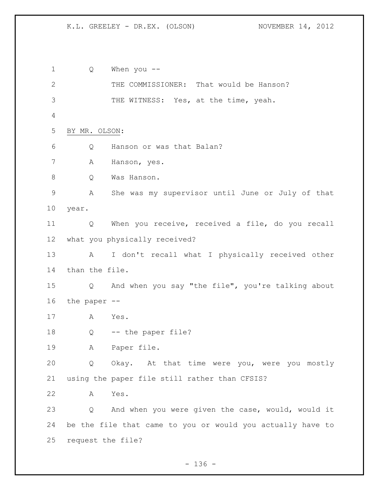Q When you -- THE COMMISSIONER: That would be Hanson? 3 THE WITNESS: Yes, at the time, yeah. BY MR. OLSON: Q Hanson or was that Balan? A Hanson, yes. Q Was Hanson. A She was my supervisor until June or July of that year. Q When you receive, received a file, do you recall what you physically received? A I don't recall what I physically received other than the file. Q And when you say "the file", you're talking about the paper -- A Yes. Q -- the paper file? A Paper file. Q Okay. At that time were you, were you mostly using the paper file still rather than CFSIS? A Yes. Q And when you were given the case, would, would it be the file that came to you or would you actually have to request the file?

 $- 136 -$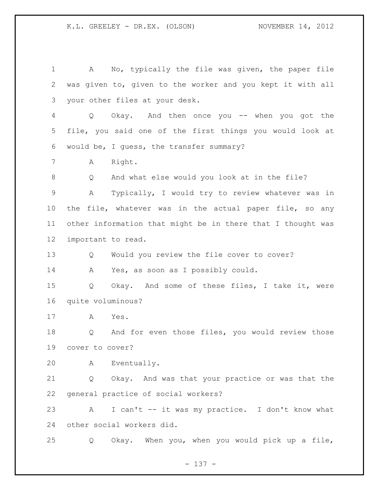A No, typically the file was given, the paper file was given to, given to the worker and you kept it with all your other files at your desk. Q Okay. And then once you -- when you got the file, you said one of the first things you would look at would be, I guess, the transfer summary? A Right. Q And what else would you look at in the file? A Typically, I would try to review whatever was in the file, whatever was in the actual paper file, so any other information that might be in there that I thought was important to read. Q Would you review the file cover to cover? A Yes, as soon as I possibly could. Q Okay. And some of these files, I take it, were quite voluminous? A Yes. Q And for even those files, you would review those cover to cover? A Eventually. Q Okay. And was that your practice or was that the general practice of social workers? A I can't -- it was my practice. I don't know what other social workers did. Q Okay. When you, when you would pick up a file,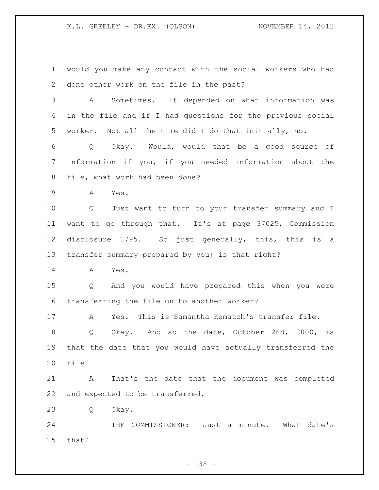would you make any contact with the social workers who had done other work on the file in the past? A Sometimes. It depended on what information was in the file and if I had questions for the previous social worker. Not all the time did I do that initially, no. Q Okay. Would, would that be a good source of information if you, if you needed information about the file, what work had been done? A Yes. Q Just want to turn to your transfer summary and I want to go through that. It's at page 37025, Commission disclosure 1795. So just generally, this, this is a transfer summary prepared by you; is that right? A Yes. Q And you would have prepared this when you were transferring the file on to another worker? A Yes. This is Samantha Kematch's transfer file. Q Okay. And so the date, October 2nd, 2000, is that the date that you would have actually transferred the file? A That's the date that the document was completed and expected to be transferred. Q Okay. 24 THE COMMISSIONER: Just a minute. What date's that?

- 138 -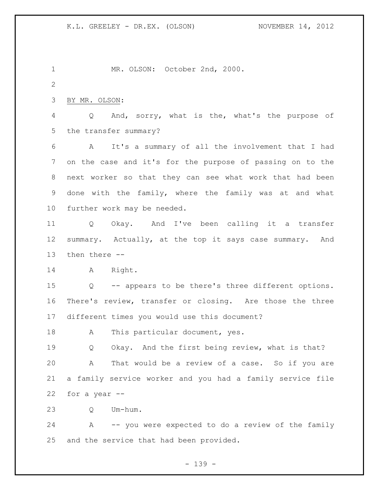MR. OLSON: October 2nd, 2000. BY MR. OLSON: Q And, sorry, what is the, what's the purpose of the transfer summary? A It's a summary of all the involvement that I had on the case and it's for the purpose of passing on to the next worker so that they can see what work that had been done with the family, where the family was at and what further work may be needed. Q Okay. And I've been calling it a transfer summary. Actually, at the top it says case summary. And then there -- A Right. Q -- appears to be there's three different options. There's review, transfer or closing. Are those the three different times you would use this document? 18 A This particular document, yes. Q Okay. And the first being review, what is that? A That would be a review of a case. So if you are a family service worker and you had a family service file for a year -- Q Um-hum. A -- you were expected to do a review of the family and the service that had been provided.

- 139 -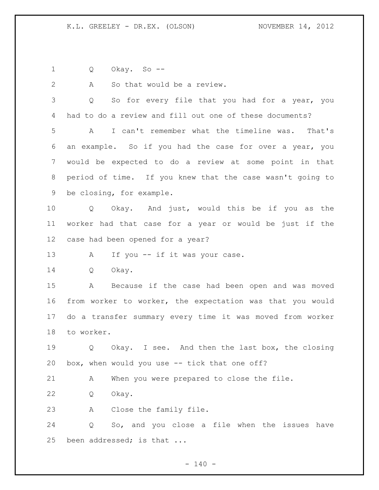Q Okay. So --

2 A So that would be a review.

3 Q So for every file that you had for a year, you had to do a review and fill out one of these documents? A I can't remember what the timeline was. That's an example. So if you had the case for over a year, you would be expected to do a review at some point in that period of time. If you knew that the case wasn't going to be closing, for example.

 Q Okay. And just, would this be if you as the worker had that case for a year or would be just if the case had been opened for a year?

13 A If you -- if it was your case.

Q Okay.

 A Because if the case had been open and was moved from worker to worker, the expectation was that you would do a transfer summary every time it was moved from worker to worker.

19 0 Okay. I see. And then the last box, the closing box, when would you use -- tick that one off?

A When you were prepared to close the file.

Q Okay.

A Close the family file.

 Q So, and you close a file when the issues have been addressed; is that ...

 $- 140 -$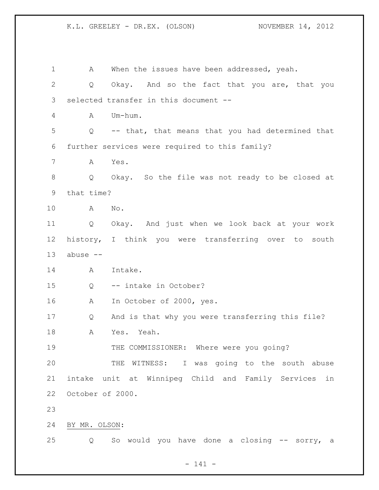| $\mathbf 1$ | When the issues have been addressed, yeah.<br>A                       |
|-------------|-----------------------------------------------------------------------|
| 2           | Okay. And so the fact that you are, that you<br>Q                     |
| 3           | selected transfer in this document --                                 |
| 4           | Um-hum.<br>A                                                          |
| 5           | -- that, that means that you had determined that<br>$Q \qquad \qquad$ |
| 6           | further services were required to this family?                        |
| 7           | Yes.<br>A                                                             |
| 8           | Okay. So the file was not ready to be closed at<br>Q                  |
| 9           | that time?                                                            |
| 10          | No.<br>A                                                              |
| 11          | Q Okay. And just when we look back at your work                       |
| 12          | history, I think you were transferring over to south                  |
| 13          | abuse --                                                              |
| 14          | Intake.<br>A                                                          |
| 15          | -- intake in October?<br>Q                                            |
| 16          | In October of 2000, yes.<br>A                                         |
| 17          | And is that why you were transferring this file?<br>Q                 |
| 18          | Yes. Yeah.<br>A                                                       |
| 19          | THE COMMISSIONER: Where were you going?                               |
| 20          | THE WITNESS: I was going to the south abuse                           |
| 21          | intake unit at Winnipeg Child and Family Services<br>in               |
| 22          | October of 2000.                                                      |
| 23          |                                                                       |
| 24          | BY MR. OLSON:                                                         |
| 25          | So would you have done a closing -- sorry, a<br>Q                     |

- 141 -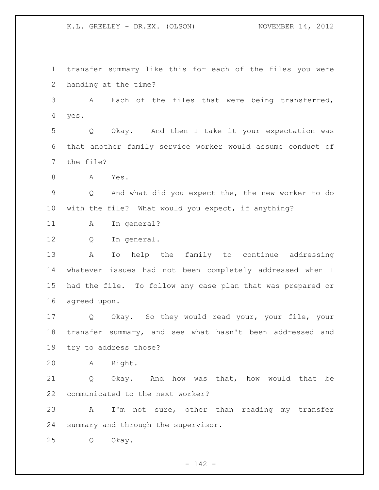transfer summary like this for each of the files you were handing at the time? A Each of the files that were being transferred, yes. Q Okay. And then I take it your expectation was that another family service worker would assume conduct of the file? A Yes. Q And what did you expect the, the new worker to do with the file? What would you expect, if anything? 11 A In general? Q In general. A To help the family to continue addressing whatever issues had not been completely addressed when I had the file. To follow any case plan that was prepared or agreed upon. Q Okay. So they would read your, your file, your transfer summary, and see what hasn't been addressed and try to address those? A Right. Q Okay. And how was that, how would that be communicated to the next worker? A I'm not sure, other than reading my transfer summary and through the supervisor. Q Okay.

 $- 142 -$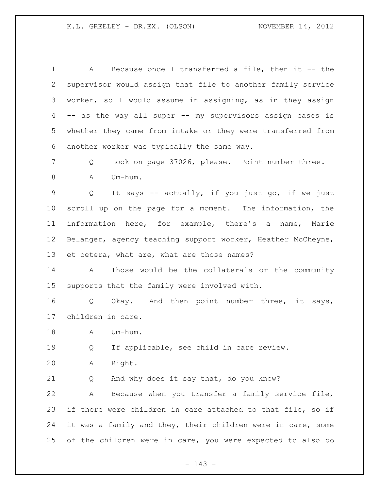A Because once I transferred a file, then it -- the supervisor would assign that file to another family service worker, so I would assume in assigning, as in they assign -- as the way all super -- my supervisors assign cases is whether they came from intake or they were transferred from another worker was typically the same way. Q Look on page 37026, please. Point number three. 8 A Um-hum. Q It says -- actually, if you just go, if we just scroll up on the page for a moment. The information, the information here, for example, there's a name, Marie Belanger, agency teaching support worker, Heather McCheyne, 13 et cetera, what are, what are those names? A Those would be the collaterals or the community

supports that the family were involved with.

 Q Okay. And then point number three, it says, children in care.

18 A Um-hum.

Q If applicable, see child in care review.

A Right.

Q And why does it say that, do you know?

 A Because when you transfer a family service file, if there were children in care attached to that file, so if it was a family and they, their children were in care, some of the children were in care, you were expected to also do

- 143 -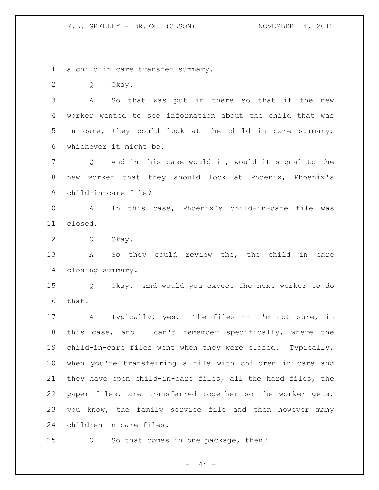a child in care transfer summary.

Q Okay.

 A So that was put in there so that if the new worker wanted to see information about the child that was in care, they could look at the child in care summary, whichever it might be.

 Q And in this case would it, would it signal to the new worker that they should look at Phoenix, Phoenix's child-in-care file?

 A In this case, Phoenix's child-in-care file was closed.

Q Okay.

 A So they could review the, the child in care closing summary.

 Q Okay. And would you expect the next worker to do that?

17 A Typically, yes. The files -- I'm not sure, in this case, and I can't remember specifically, where the child-in-care files went when they were closed. Typically, when you're transferring a file with children in care and they have open child-in-care files, all the hard files, the paper files, are transferred together so the worker gets, you know, the family service file and then however many children in care files.

Q So that comes in one package, then?

 $- 144 -$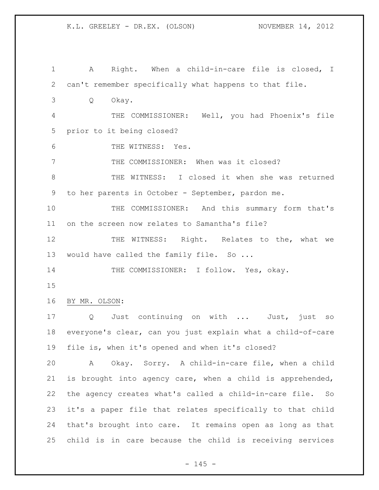| $\mathbf 1$ | A Right. When a child-in-care file is closed, I                 |
|-------------|-----------------------------------------------------------------|
| 2           | can't remember specifically what happens to that file.          |
| 3           | Okay.<br>Q                                                      |
| 4           | THE COMMISSIONER: Well, you had Phoenix's file                  |
| 5           | prior to it being closed?                                       |
| 6           | THE WITNESS: Yes.                                               |
| 7           | THE COMMISSIONER: When was it closed?                           |
| $8\,$       | THE WITNESS: I closed it when she was returned                  |
| 9           | to her parents in October - September, pardon me.               |
| 10          | THE COMMISSIONER: And this summary form that's                  |
| 11          | on the screen now relates to Samantha's file?                   |
| 12          | THE WITNESS: Right. Relates to the, what we                     |
| 13          | would have called the family file. So                           |
| 14          | THE COMMISSIONER: I follow. Yes, okay.                          |
| 15          |                                                                 |
| 16          | BY MR. OLSON:                                                   |
| 17          | Q Just continuing on with  Just, just<br>SO                     |
| 18          | everyone's clear, can you just explain what a child-of-care     |
| 19          | file is, when it's opened and when it's closed?                 |
| 20          | Okay. Sorry. A child-in-care file, when a child<br>$\mathbf{A}$ |
| 21          | is brought into agency care, when a child is apprehended,       |
| 22          | the agency creates what's called a child-in-care file. So       |
| 23          | it's a paper file that relates specifically to that child       |
| 24          | that's brought into care. It remains open as long as that       |
|             |                                                                 |

- 145 -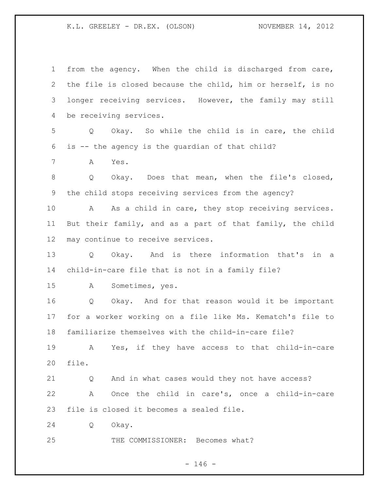from the agency. When the child is discharged from care, the file is closed because the child, him or herself, is no longer receiving services. However, the family may still be receiving services. Q Okay. So while the child is in care, the child is -- the agency is the guardian of that child? A Yes. 8 O Okay. Does that mean, when the file's closed, the child stops receiving services from the agency? 10 A As a child in care, they stop receiving services. But their family, and as a part of that family, the child may continue to receive services. Q Okay. And is there information that's in a child-in-care file that is not in a family file? A Sometimes, yes. Q Okay. And for that reason would it be important for a worker working on a file like Ms. Kematch's file to familiarize themselves with the child-in-care file? A Yes, if they have access to that child-in-care file. Q And in what cases would they not have access? A Once the child in care's, once a child-in-care file is closed it becomes a sealed file. Q Okay. 25 THE COMMISSIONER: Becomes what?

## $- 146 -$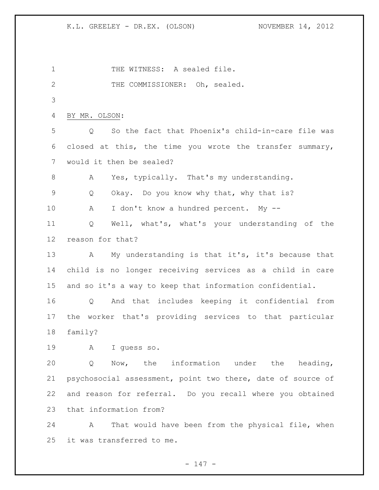1 THE WITNESS: A sealed file. THE COMMISSIONER: Oh, sealed. BY MR. OLSON: Q So the fact that Phoenix's child-in-care file was closed at this, the time you wrote the transfer summary, would it then be sealed? 8 A Yes, typically. That's my understanding. Q Okay. Do you know why that, why that is? A I don't know a hundred percent. My -- Q Well, what's, what's your understanding of the reason for that? A My understanding is that it's, it's because that child is no longer receiving services as a child in care and so it's a way to keep that information confidential. Q And that includes keeping it confidential from the worker that's providing services to that particular family? A I guess so. Q Now, the information under the heading, psychosocial assessment, point two there, date of source of and reason for referral. Do you recall where you obtained that information from? A That would have been from the physical file, when it was transferred to me.

 $- 147 -$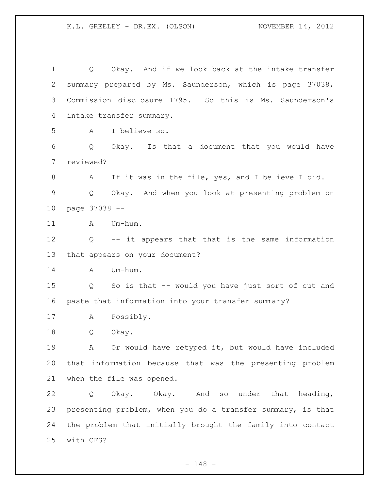Q Okay. And if we look back at the intake transfer summary prepared by Ms. Saunderson, which is page 37038, Commission disclosure 1795. So this is Ms. Saunderson's intake transfer summary. A I believe so. Q Okay. Is that a document that you would have reviewed? A If it was in the file, yes, and I believe I did. Q Okay. And when you look at presenting problem on page 37038 -- 11 A Um-hum. Q -- it appears that that is the same information that appears on your document? 14 A Um-hum. Q So is that -- would you have just sort of cut and paste that information into your transfer summary? A Possibly. Q Okay. A Or would have retyped it, but would have included that information because that was the presenting problem when the file was opened. Q Okay. Okay. And so under that heading, presenting problem, when you do a transfer summary, is that the problem that initially brought the family into contact with CFS?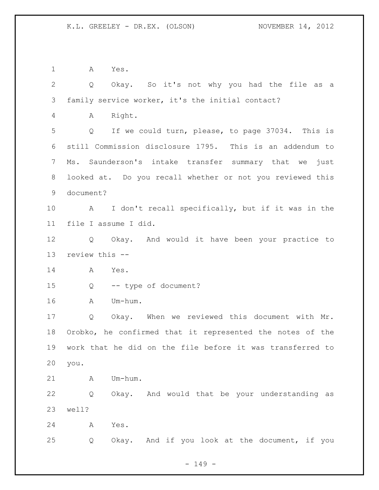A Yes.

 Q Okay. So it's not why you had the file as a family service worker, it's the initial contact? A Right. Q If we could turn, please, to page 37034. This is still Commission disclosure 1795. This is an addendum to Ms. Saunderson's intake transfer summary that we just looked at. Do you recall whether or not you reviewed this document? A I don't recall specifically, but if it was in the file I assume I did. Q Okay. And would it have been your practice to review this -- A Yes. Q -- type of document? A Um-hum. Q Okay. When we reviewed this document with Mr. Orobko, he confirmed that it represented the notes of the work that he did on the file before it was transferred to you. A Um-hum. Q Okay. And would that be your understanding as well? A Yes. Q Okay. And if you look at the document, if you

 $- 149 -$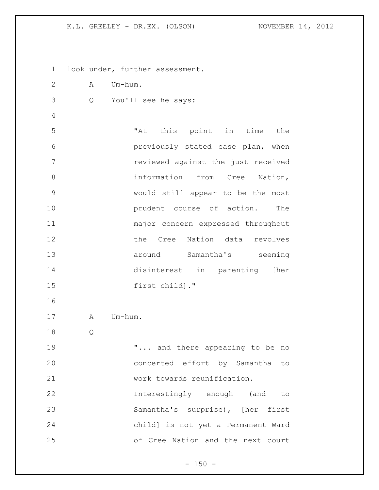look under, further assessment. A Um-hum. Q You'll see he says: "At this point in time the previously stated case plan, when reviewed against the just received 8 information from Cree Nation, would still appear to be the most **prudent** course of action. The major concern expressed throughout 12 the Cree Nation data revolves **13** around Samantha's seeming disinterest in parenting [her first child]." 17 A Um-hum. Q 19 T... and there appearing to be no concerted effort by Samantha to work towards reunification. Interestingly enough (and to Samantha's surprise), [her first child] is not yet a Permanent Ward of Cree Nation and the next court

 $- 150 -$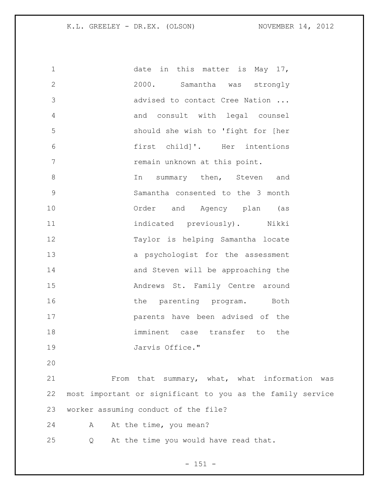| $\mathbf 1$  | date in this matter is May 17,                |
|--------------|-----------------------------------------------|
| $\mathbf{2}$ | 2000. Samantha was strongly                   |
| 3            | advised to contact Cree Nation                |
| 4            | and consult with legal counsel                |
| 5            | should she wish to 'fight for [her            |
| 6            | first child]'. Her intentions                 |
| 7            | remain unknown at this point.                 |
| $\,8\,$      | summary then, Steven and<br>In                |
| 9            | Samantha consented to the 3 month             |
| 10           | Order and Agency plan (as                     |
| 11           | indicated previously). Nikki                  |
| 12           | Taylor is helping Samantha locate             |
| 13           | a psychologist for the assessment             |
| 14           | and Steven will be approaching the            |
| 15           | Andrews St. Family Centre around              |
| 16           | the parenting program. Both                   |
| 17           | parents have been advised of the              |
| 18           | imminent case transfer to the                 |
| 19           | Jarvis Office."                               |
| 20           |                                               |
| 21           | From that summary, what, what information was |
|              |                                               |

 most important or significant to you as the family service worker assuming conduct of the file?

24 A At the time, you mean?

Q At the time you would have read that.

- 151 -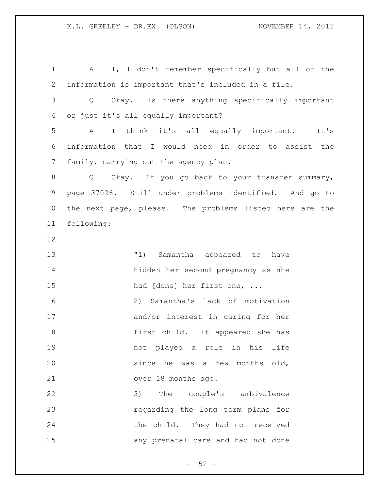A I, I don't remember specifically but all of the information is important that's included in a file. Q Okay. Is there anything specifically important or just it's all equally important? A I think it's all equally important. It's information that I would need in order to assist the family, carrying out the agency plan. 8 Q Okay. If you go back to your transfer summary, page 37026. Still under problems identified. And go to the next page, please. The problems listed here are the following: "1) Samantha appeared to have hidden her second pregnancy as she 15 had [done] her first one, ... 2) Samantha's lack of motivation and/or interest in caring for her first child. It appeared she has not played a role in his life since he was a few months old, over 18 months ago. 3) The couple's ambivalence regarding the long term plans for the child. They had not received any prenatal care and had not done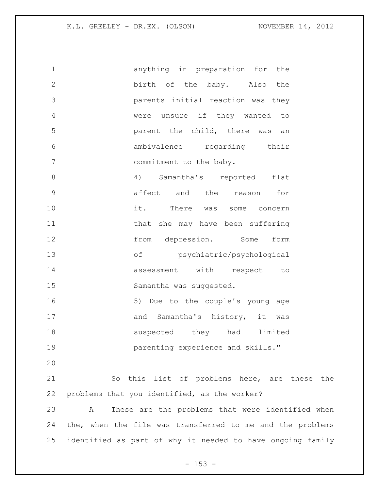| $\mathbf 1$     | anything in preparation for the                            |
|-----------------|------------------------------------------------------------|
| $\mathbf{2}$    | birth of the baby. Also the                                |
| 3               | parents initial reaction was they                          |
| 4               | were unsure if they wanted to                              |
| 5               | parent the child, there was an                             |
| 6               | ambivalence regarding their                                |
| $7\phantom{.0}$ | commitment to the baby.                                    |
| $8\,$           | 4) Samantha's reported<br>flat                             |
| $\mathsf 9$     | affect and the reason<br>for                               |
| 10              | it. There was some concern                                 |
| 11              | that she may have been suffering                           |
| 12              | from depression. Some<br>form                              |
| 13              | of psychiatric/psychological                               |
| 14              | assessment with respect<br>to                              |
| 15              | Samantha was suggested.                                    |
| 16              | 5) Due to the couple's young age                           |
| 17              | and Samantha's history, it was                             |
| 18              | suspected they had limited                                 |
| 19              | parenting experience and skills."                          |
| 20              |                                                            |
| 21              | So this list of problems here, are these the               |
| 22              | problems that you identified, as the worker?               |
| 23              | These are the problems that were identified when<br>A      |
| 24              | the, when the file was transferred to me and the problems  |
| 25              | identified as part of why it needed to have ongoing family |
|                 |                                                            |

- 153 -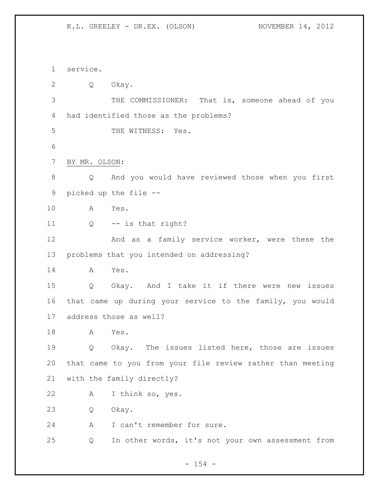service. Q Okay. THE COMMISSIONER: That is, someone ahead of you had identified those as the problems? THE WITNESS: Yes. BY MR. OLSON: Q And you would have reviewed those when you first picked up the file -- A Yes. Q -- is that right? 12 And as a family service worker, were these the problems that you intended on addressing? A Yes. Q Okay. And I take it if there were new issues that came up during your service to the family, you would address those as well? A Yes. Q Okay. The issues listed here, those are issues that came to you from your file review rather than meeting with the family directly? A I think so, yes. Q Okay. 24 A I can't remember for sure. Q In other words, it's not your own assessment from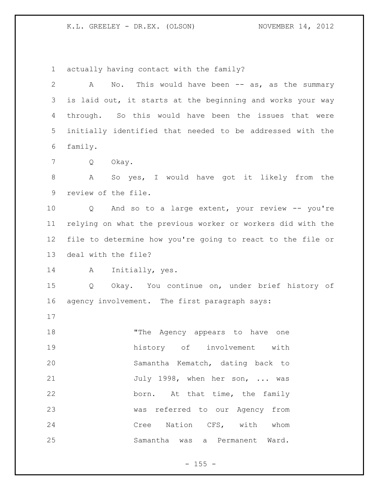actually having contact with the family?

| $\mathbf{2}$    | No. This would have been $--$ as, as the summary<br>A       |
|-----------------|-------------------------------------------------------------|
| 3               | is laid out, it starts at the beginning and works your way  |
| 4               | through. So this would have been the issues that were       |
| 5               | initially identified that needed to be addressed with the   |
| 6               | family.                                                     |
| $7\phantom{.0}$ | Q<br>Okay.                                                  |
| $\,8\,$         | So yes, I would have got it likely from the<br>A            |
| 9               | review of the file.                                         |
| 10              | Q And so to a large extent, your review -- you're           |
| 11              | relying on what the previous worker or workers did with the |
| 12              | file to determine how you're going to react to the file or  |
| 13              | deal with the file?                                         |
| 14              | Initially, yes.<br>A                                        |
| 15              | Q Okay. You continue on, under brief history of             |
| 16              | agency involvement. The first paragraph says:               |
| 17              |                                                             |
| 18              | "The Agency appears to have one                             |
| 19              | history of involvement with                                 |
| 20              | Samantha Kematch, dating back to                            |
| 21              | July 1998, when her son,  was                               |
| 22              | born. At that time, the family                              |
| 23              | was referred to our Agency from                             |
| 24              | Cree Nation CFS, with whom                                  |
| 25              | Samantha was a Permanent Ward.                              |

- 155 -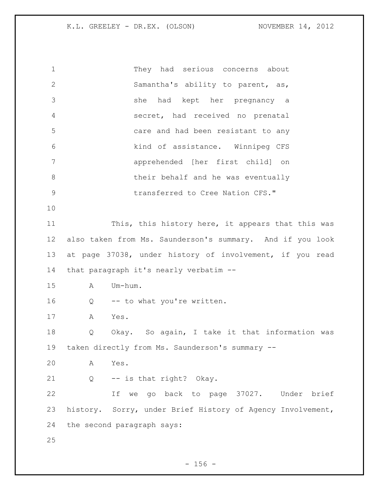They had serious concerns about Samantha's ability to parent, as, she had kept her pregnancy a secret, had received no prenatal care and had been resistant to any kind of assistance. Winnipeg CFS apprehended [her first child] on 8 behalf and he was eventually **19 12 transferred to Cree Nation CFS."**  This, this history here, it appears that this was also taken from Ms. Saunderson's summary. And if you look at page 37038, under history of involvement, if you read that paragraph it's nearly verbatim -- A Um-hum. 16 Q -- to what you're written. A Yes. Q Okay. So again, I take it that information was taken directly from Ms. Saunderson's summary -- A Yes. Q -- is that right? Okay. If we go back to page 37027. Under brief history. Sorry, under Brief History of Agency Involvement, the second paragraph says: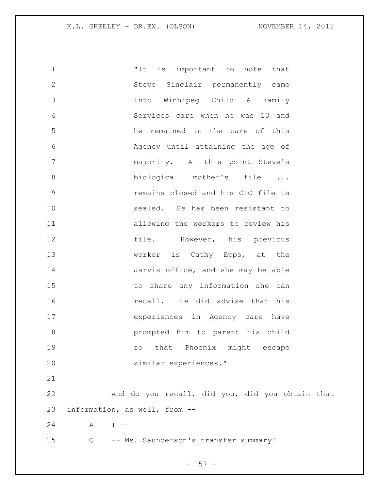| 1            |              | is important to note that<br>"It                |
|--------------|--------------|-------------------------------------------------|
| $\mathbf{2}$ |              | Steve Sinclair permanently came                 |
| 3            |              | into Winnipeg Child & Family                    |
| 4            |              | Services care when he was 13 and                |
| 5            |              | he remained in the care of this                 |
| 6            |              | Agency until attaining the age of               |
| 7            |              | majority. At this point Steve's                 |
| $\,8\,$      |              | biological mother's file                        |
| $\mathsf 9$  |              | remains closed and his CIC file is              |
| 10           |              | sealed. He has been resistant to                |
| 11           |              | allowing the workers to review his              |
| 12           |              | file. However, his previous                     |
| 13           |              | worker is Cathy Epps, at the                    |
| 14           |              | Jarvis office, and she may be able              |
| 15           |              | to share any information she can                |
| 16           |              | recall. He did advise that his                  |
| 17           |              | experiences in Agency care have                 |
| 18           |              | prompted him to parent his child                |
| 19           |              | that Phoenix might escape<br>SO                 |
| 20           |              | similar experiences."                           |
| 21           |              |                                                 |
| 22           |              | And do you recall, did you, did you obtain that |
| 23           |              | information, as well, from --                   |
| 24           | A<br>$I - -$ |                                                 |
| 25           | Q            | -- Ms. Saunderson's transfer summary?           |

- 157 -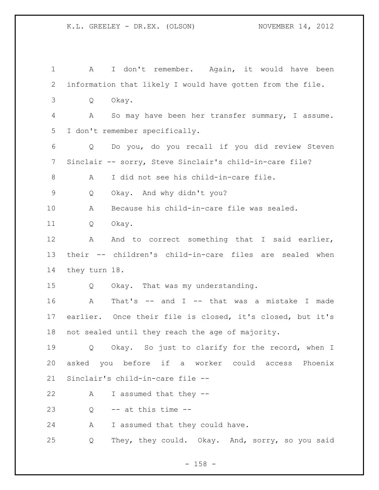| $\mathbf 1$    | I don't remember. Again, it would have been<br>A                    |
|----------------|---------------------------------------------------------------------|
| $\overline{2}$ | information that likely I would have gotten from the file.          |
| 3              | Q<br>Okay.                                                          |
| 4              | So may have been her transfer summary, I assume.<br>Α               |
| 5              | I don't remember specifically.                                      |
| 6              | Do you, do you recall if you did review Steven<br>$Q \qquad \qquad$ |
| 7              | Sinclair -- sorry, Steve Sinclair's child-in-care file?             |
| $\,8\,$        | I did not see his child-in-care file.<br>Α                          |
| $\mathsf 9$    | Okay. And why didn't you?<br>Q                                      |
| 10             | Because his child-in-care file was sealed.<br>Α                     |
| 11             | Okay.<br>Q                                                          |
| 12             | And to correct something that I said earlier,<br>Α                  |
| 13             | their -- children's child-in-care files are sealed when             |
| 14             | they turn 18.                                                       |
| 15             | Okay. That was my understanding.<br>Q                               |
| 16             | That's -- and I -- that was a mistake I made<br>$\mathbb A$         |
| 17             | earlier. Once their file is closed, it's closed, but it's           |
| 18             | not sealed until they reach the age of majority.                    |
| 19             | Q Okay. So just to clarify for the record, when I                   |
| 20             | asked you before if a worker could access Phoenix                   |
| 21             | Sinclair's child-in-care file --                                    |
| 22             | I assumed that they --<br>A                                         |
| 23             | -- at this time --<br>Q                                             |
| 24             | A<br>I assumed that they could have.                                |
| 25             | They, they could. Okay. And, sorry, so you said<br>Q                |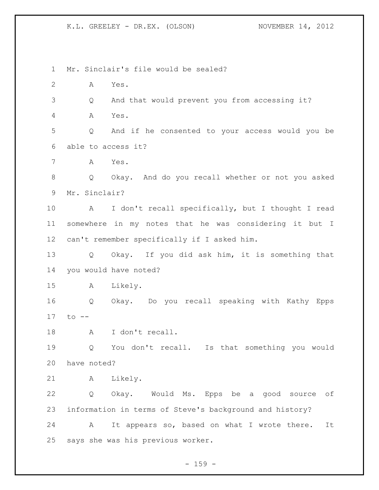Mr. Sinclair's file would be sealed? A Yes. Q And that would prevent you from accessing it? A Yes. Q And if he consented to your access would you be able to access it? A Yes. Q Okay. And do you recall whether or not you asked Mr. Sinclair? A I don't recall specifically, but I thought I read somewhere in my notes that he was considering it but I can't remember specifically if I asked him. Q Okay. If you did ask him, it is something that you would have noted? A Likely. Q Okay. Do you recall speaking with Kathy Epps to -- A I don't recall. Q You don't recall. Is that something you would have noted? A Likely. Q Okay. Would Ms. Epps be a good source of information in terms of Steve's background and history? A It appears so, based on what I wrote there. It says she was his previous worker.

 $- 159 -$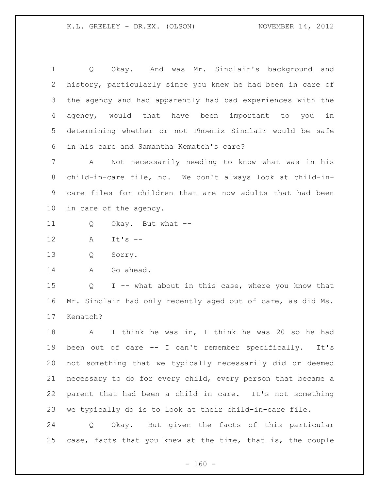Q Okay. And was Mr. Sinclair's background and history, particularly since you knew he had been in care of the agency and had apparently had bad experiences with the agency, would that have been important to you in determining whether or not Phoenix Sinclair would be safe in his care and Samantha Kematch's care?

 A Not necessarily needing to know what was in his child-in-care file, no. We don't always look at child-in- care files for children that are now adults that had been in care of the agency.

- Q Okay. But what --
- A It's --

Q Sorry.

14 A Go ahead.

 Q I -- what about in this case, where you know that Mr. Sinclair had only recently aged out of care, as did Ms. Kematch?

 A I think he was in, I think he was 20 so he had been out of care -- I can't remember specifically. It's not something that we typically necessarily did or deemed necessary to do for every child, every person that became a parent that had been a child in care. It's not something we typically do is to look at their child-in-care file.

 Q Okay. But given the facts of this particular case, facts that you knew at the time, that is, the couple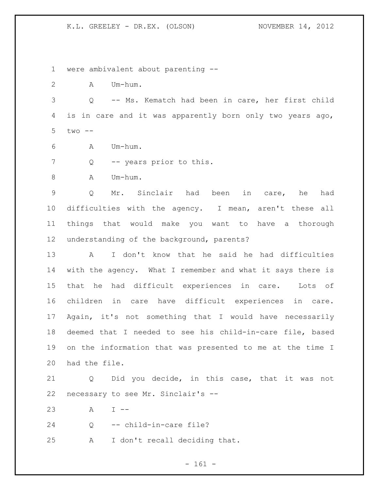were ambivalent about parenting --

A Um-hum.

 Q -- Ms. Kematch had been in care, her first child is in care and it was apparently born only two years ago, two --

- A Um-hum.
- 7 Q -- years prior to this.
- 8 A Um-hum.

 Q Mr. Sinclair had been in care, he had difficulties with the agency. I mean, aren't these all things that would make you want to have a thorough understanding of the background, parents?

 A I don't know that he said he had difficulties with the agency. What I remember and what it says there is that he had difficult experiences in care. Lots of children in care have difficult experiences in care. Again, it's not something that I would have necessarily deemed that I needed to see his child-in-care file, based on the information that was presented to me at the time I had the file.

 Q Did you decide, in this case, that it was not necessary to see Mr. Sinclair's --

A I --

Q -- child-in-care file?

A I don't recall deciding that.

- 161 -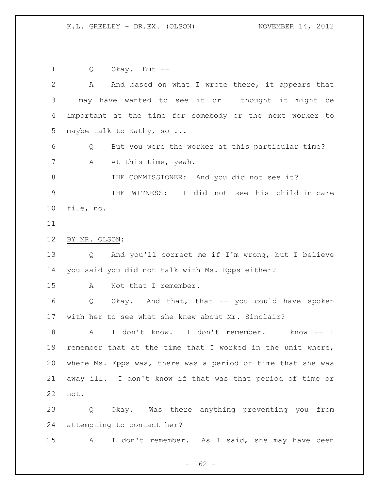Q Okay. But -- 2 A And based on what I wrote there, it appears that I may have wanted to see it or I thought it might be important at the time for somebody or the next worker to 5 maybe talk to Kathy, so ... Q But you were the worker at this particular time? 7 A At this time, yeah. 8 THE COMMISSIONER: And you did not see it? THE WITNESS: I did not see his child-in-care file, no. BY MR. OLSON: Q And you'll correct me if I'm wrong, but I believe you said you did not talk with Ms. Epps either? A Not that I remember. Q Okay. And that, that -- you could have spoken with her to see what she knew about Mr. Sinclair? A I don't know. I don't remember. I know -- I remember that at the time that I worked in the unit where, where Ms. Epps was, there was a period of time that she was away ill. I don't know if that was that period of time or not. Q Okay. Was there anything preventing you from attempting to contact her? A I don't remember. As I said, she may have been

 $- 162 -$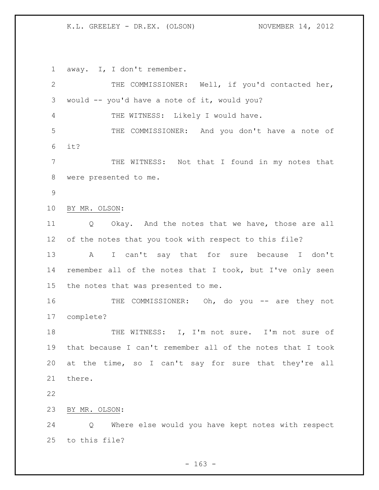away. I, I don't remember.

 THE COMMISSIONER: Well, if you'd contacted her, would -- you'd have a note of it, would you? THE WITNESS: Likely I would have. THE COMMISSIONER: And you don't have a note of it? THE WITNESS: Not that I found in my notes that were presented to me. BY MR. OLSON: Q Okay. And the notes that we have, those are all of the notes that you took with respect to this file? A I can't say that for sure because I don't remember all of the notes that I took, but I've only seen the notes that was presented to me. 16 THE COMMISSIONER: Oh, do you -- are they not complete? 18 THE WITNESS: I, I'm not sure. I'm not sure of that because I can't remember all of the notes that I took at the time, so I can't say for sure that they're all there. BY MR. OLSON: Q Where else would you have kept notes with respect to this file?

 $- 163 -$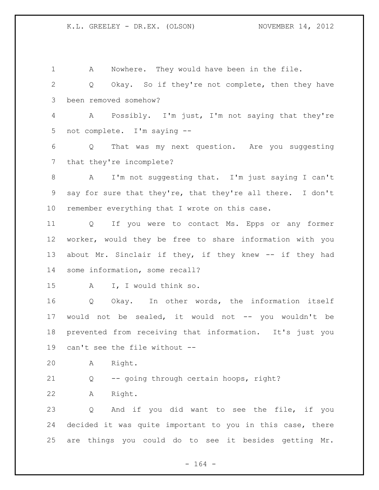A Nowhere. They would have been in the file. Q Okay. So if they're not complete, then they have been removed somehow? A Possibly. I'm just, I'm not saying that they're not complete. I'm saying -- Q That was my next question. Are you suggesting that they're incomplete? A I'm not suggesting that. I'm just saying I can't say for sure that they're, that they're all there. I don't remember everything that I wrote on this case. Q If you were to contact Ms. Epps or any former worker, would they be free to share information with you about Mr. Sinclair if they, if they knew -- if they had some information, some recall? A I, I would think so. Q Okay. In other words, the information itself would not be sealed, it would not -- you wouldn't be prevented from receiving that information. It's just you can't see the file without -- A Right. Q -- going through certain hoops, right? A Right. Q And if you did want to see the file, if you decided it was quite important to you in this case, there are things you could do to see it besides getting Mr.

- 164 -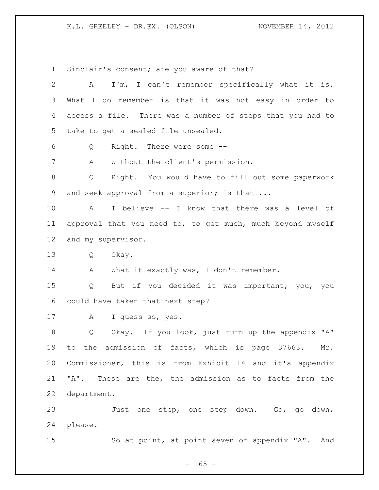Sinclair's consent; are you aware of that?

| $\overline{2}$  | I'm, I can't remember specifically what it is.<br>A          |
|-----------------|--------------------------------------------------------------|
| 3               | What I do remember is that it was not easy in order to       |
| 4               | access a file. There was a number of steps that you had to   |
| 5               | take to get a sealed file unsealed.                          |
| 6               | Right. There were some --<br>Q                               |
| 7               | Without the client's permission.<br>А                        |
| 8               | Right. You would have to fill out some paperwork<br>Q        |
| 9               | and seek approval from a superior; is that                   |
| 10              | I believe -- I know that there was a level of<br>$\mathbb A$ |
| 11              | approval that you need to, to get much, much beyond myself   |
| 12 <sup>°</sup> | and my supervisor.                                           |
| 13              | Okay.<br>Q                                                   |
| 14              | What it exactly was, I don't remember.<br>A                  |
| 15              | But if you decided it was important, you, you<br>Q           |
| 16              | could have taken that next step?                             |
| 17              | I guess so, yes.<br>Α                                        |
| 18              | Okay. If you look, just turn up the appendix "A"<br>Q        |
| 19              | to the admission of facts, which is page 37663.<br>Mr.       |
| 20              | Commissioner, this is from Exhibit 14 and it's appendix      |
| 21              | "A". These are the, the admission as to facts from the       |
| 22              | department.                                                  |
| 23              | Just one step, one step down. Go, go down,                   |
| 24              | please.                                                      |
| 25              | So at point, at point seven of appendix "A". And             |

- 165 -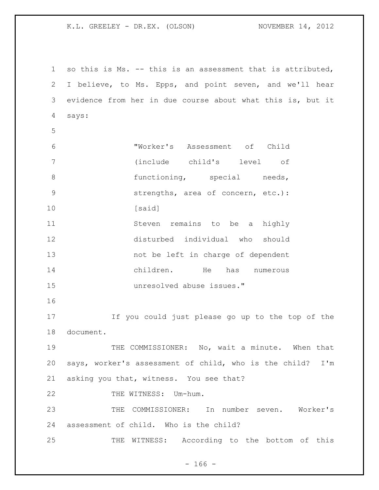so this is Ms. -- this is an assessment that is attributed, I believe, to Ms. Epps, and point seven, and we'll hear evidence from her in due course about what this is, but it says: "Worker's Assessment of Child (include child's level of 8 functioning, special needs, strengths, area of concern, etc.): 10 [said] 11 Steven remains to be a highly disturbed individual who should not be left in charge of dependent children. He has numerous unresolved abuse issues." If you could just please go up to the top of the document. THE COMMISSIONER: No, wait a minute. When that says, worker's assessment of child, who is the child? I'm asking you that, witness. You see that? 22 THE WITNESS: Um-hum. THE COMMISSIONER: In number seven. Worker's assessment of child. Who is the child? THE WITNESS: According to the bottom of this

 $- 166 -$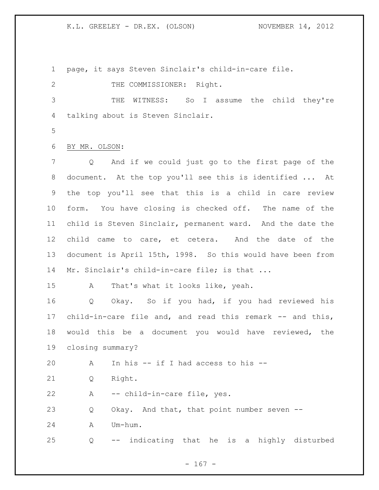page, it says Steven Sinclair's child-in-care file.

2 THE COMMISSIONER: Right.

 THE WITNESS: So I assume the child they're talking about is Steven Sinclair.

BY MR. OLSON:

 Q And if we could just go to the first page of the document. At the top you'll see this is identified ... At the top you'll see that this is a child in care review form. You have closing is checked off. The name of the child is Steven Sinclair, permanent ward. And the date the child came to care, et cetera. And the date of the document is April 15th, 1998. So this would have been from 14 Mr. Sinclair's child-in-care file; is that ...

A That's what it looks like, yeah.

 Q Okay. So if you had, if you had reviewed his child-in-care file and, and read this remark -- and this, would this be a document you would have reviewed, the closing summary?

A In his -- if I had access to his --

Q Right.

A -- child-in-care file, yes.

Q Okay. And that, that point number seven --

A Um-hum.

Q -- indicating that he is a highly disturbed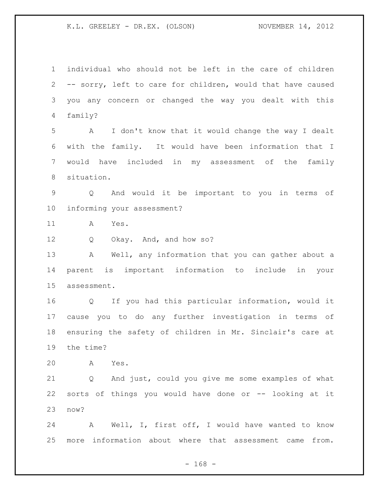individual who should not be left in the care of children -- sorry, left to care for children, would that have caused you any concern or changed the way you dealt with this family? A I don't know that it would change the way I dealt with the family. It would have been information that I would have included in my assessment of the family situation. Q And would it be important to you in terms of informing your assessment? A Yes. Q Okay. And, and how so? A Well, any information that you can gather about a parent is important information to include in your assessment. Q If you had this particular information, would it cause you to do any further investigation in terms of ensuring the safety of children in Mr. Sinclair's care at the time? A Yes. Q And just, could you give me some examples of what sorts of things you would have done or -- looking at it now? A Well, I, first off, I would have wanted to know more information about where that assessment came from.

- 168 -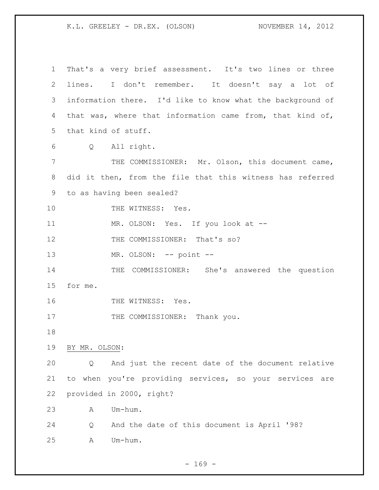That's a very brief assessment. It's two lines or three lines. I don't remember. It doesn't say a lot of information there. I'd like to know what the background of that was, where that information came from, that kind of, that kind of stuff. Q All right. THE COMMISSIONER: Mr. Olson, this document came, did it then, from the file that this witness has referred to as having been sealed? 10 THE WITNESS: Yes. 11 MR. OLSON: Yes. If you look at --12 THE COMMISSIONER: That's so? 13 MR. OLSON: -- point -- THE COMMISSIONER: She's answered the question for me. 16 THE WITNESS: Yes. 17 THE COMMISSIONER: Thank you. BY MR. OLSON: Q And just the recent date of the document relative to when you're providing services, so your services are provided in 2000, right? A Um-hum. Q And the date of this document is April '98? A Um-hum.

 $- 169 -$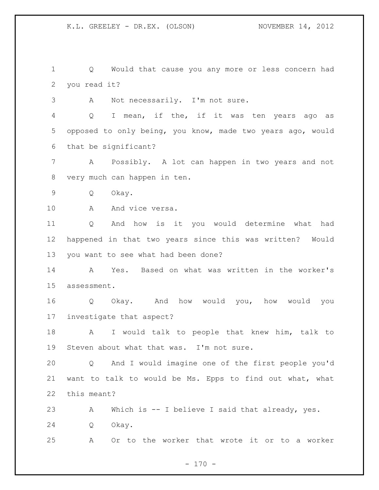Q Would that cause you any more or less concern had you read it?

A Not necessarily. I'm not sure.

 Q I mean, if the, if it was ten years ago as opposed to only being, you know, made two years ago, would that be significant?

 A Possibly. A lot can happen in two years and not very much can happen in ten.

Q Okay.

10 A And vice versa.

 Q And how is it you would determine what had happened in that two years since this was written? Would you want to see what had been done?

 A Yes. Based on what was written in the worker's assessment.

 Q Okay. And how would you, how would you investigate that aspect?

 A I would talk to people that knew him, talk to Steven about what that was. I'm not sure.

 Q And I would imagine one of the first people you'd want to talk to would be Ms. Epps to find out what, what this meant?

 A Which is -- I believe I said that already, yes. Q Okay.

A Or to the worker that wrote it or to a worker

 $- 170 -$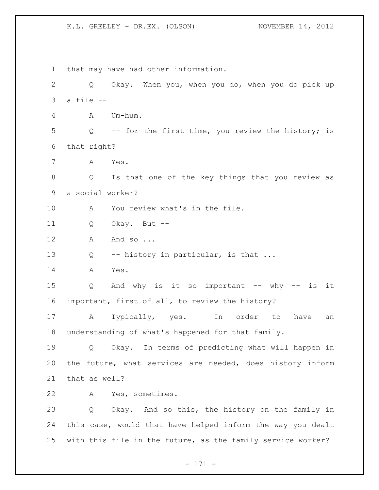that may have had other information. Q Okay. When you, when you do, when you do pick up a file -- A Um-hum. Q -- for the first time, you review the history; is that right? A Yes. Q Is that one of the key things that you review as a social worker? A You review what's in the file. Q Okay. But -- 12 A And so ... 13 Q -- history in particular, is that ... A Yes. Q And why is it so important -- why -- is it important, first of all, to review the history? A Typically, yes. In order to have an understanding of what's happened for that family. Q Okay. In terms of predicting what will happen in the future, what services are needed, does history inform that as well? A Yes, sometimes. Q Okay. And so this, the history on the family in this case, would that have helped inform the way you dealt with this file in the future, as the family service worker?

- 171 -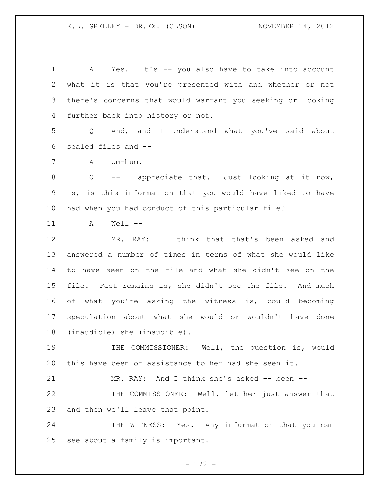A Yes. It's -- you also have to take into account what it is that you're presented with and whether or not there's concerns that would warrant you seeking or looking further back into history or not.

 Q And, and I understand what you've said about sealed files and --

A Um-hum.

 Q -- I appreciate that. Just looking at it now, is, is this information that you would have liked to have had when you had conduct of this particular file?

A Well --

 MR. RAY: I think that that's been asked and answered a number of times in terms of what she would like to have seen on the file and what she didn't see on the file. Fact remains is, she didn't see the file. And much of what you're asking the witness is, could becoming speculation about what she would or wouldn't have done (inaudible) she (inaudible).

 THE COMMISSIONER: Well, the question is, would this have been of assistance to her had she seen it.

MR. RAY: And I think she's asked -- been --

 THE COMMISSIONER: Well, let her just answer that and then we'll leave that point.

24 THE WITNESS: Yes. Any information that you can see about a family is important.

- 172 -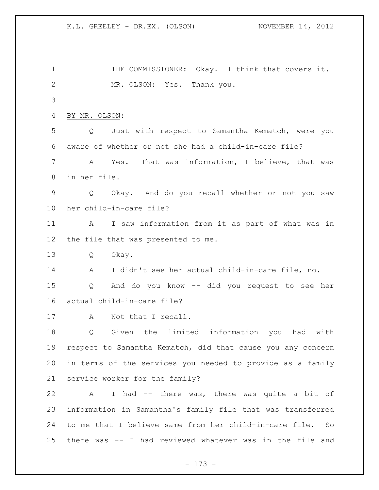1 THE COMMISSIONER: Okay. I think that covers it. MR. OLSON: Yes. Thank you. BY MR. OLSON: Q Just with respect to Samantha Kematch, were you aware of whether or not she had a child-in-care file? A Yes. That was information, I believe, that was in her file. Q Okay. And do you recall whether or not you saw her child-in-care file? A I saw information from it as part of what was in the file that was presented to me. Q Okay. A I didn't see her actual child-in-care file, no. Q And do you know -- did you request to see her actual child-in-care file? A Not that I recall. Q Given the limited information you had with respect to Samantha Kematch, did that cause you any concern in terms of the services you needed to provide as a family service worker for the family? A I had -- there was, there was quite a bit of information in Samantha's family file that was transferred to me that I believe same from her child-in-care file. So there was -- I had reviewed whatever was in the file and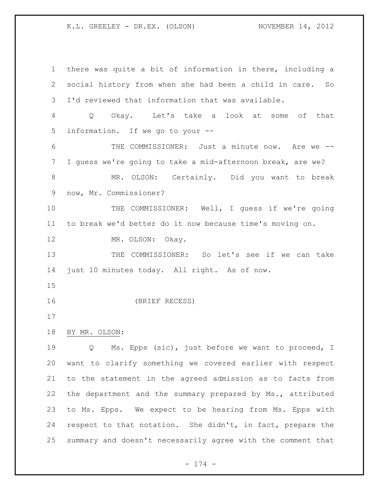there was quite a bit of information in there, including a social history from when she had been a child in care. So I'd reviewed that information that was available. Q Okay. Let's take a look at some of that information. If we go to your -- THE COMMISSIONER: Just a minute now. Are we -- I guess we're going to take a mid-afternoon break, are we? MR. OLSON: Certainly. Did you want to break now, Mr. Commissioner? THE COMMISSIONER: Well, I guess if we're going to break we'd better do it now because time's moving on. 12 MR. OLSON: Okay. THE COMMISSIONER: So let's see if we can take just 10 minutes today. All right. As of now. (BRIEF RECESS) BY MR. OLSON: Q Ms. Epps (sic), just before we want to proceed, I want to clarify something we covered earlier with respect to the statement in the agreed admission as to facts from the department and the summary prepared by Ms., attributed to Ms. Epps. We expect to be hearing from Ms. Epps with respect to that notation. She didn't, in fact, prepare the summary and doesn't necessarily agree with the comment that

- 174 -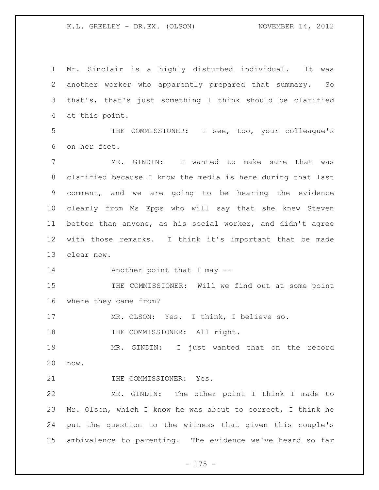Mr. Sinclair is a highly disturbed individual. It was another worker who apparently prepared that summary. So that's, that's just something I think should be clarified at this point. THE COMMISSIONER: I see, too, your colleague's on her feet. MR. GINDIN: I wanted to make sure that was clarified because I know the media is here during that last comment, and we are going to be hearing the evidence clearly from Ms Epps who will say that she knew Steven better than anyone, as his social worker, and didn't agree with those remarks. I think it's important that be made clear now. Another point that I may -- 15 THE COMMISSIONER: Will we find out at some point where they came from? MR. OLSON: Yes. I think, I believe so. 18 THE COMMISSIONER: All right. MR. GINDIN: I just wanted that on the record now. 21 THE COMMISSIONER: Yes. MR. GINDIN: The other point I think I made to Mr. Olson, which I know he was about to correct, I think he put the question to the witness that given this couple's ambivalence to parenting. The evidence we've heard so far

- 175 -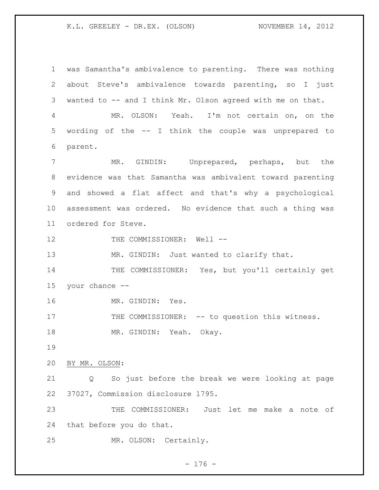was Samantha's ambivalence to parenting. There was nothing about Steve's ambivalence towards parenting, so I just wanted to -- and I think Mr. Olson agreed with me on that. MR. OLSON: Yeah. I'm not certain on, on the wording of the -- I think the couple was unprepared to parent. MR. GINDIN: Unprepared, perhaps, but the evidence was that Samantha was ambivalent toward parenting and showed a flat affect and that's why a psychological assessment was ordered. No evidence that such a thing was ordered for Steve. 12 THE COMMISSIONER: Well --13 MR. GINDIN: Just wanted to clarify that. 14 THE COMMISSIONER: Yes, but you'll certainly get your chance -- MR. GINDIN: Yes. 17 THE COMMISSIONER: -- to question this witness. 18 MR. GINDIN: Yeah. Okay. BY MR. OLSON: Q So just before the break we were looking at page 37027, Commission disclosure 1795. THE COMMISSIONER: Just let me make a note of that before you do that. MR. OLSON: Certainly.

- 176 -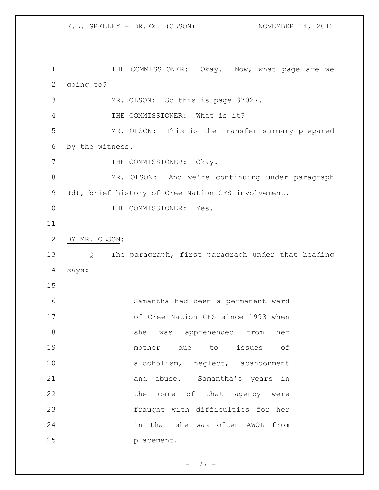1 THE COMMISSIONER: Okay. Now, what page are we going to? MR. OLSON: So this is page 37027. THE COMMISSIONER: What is it? MR. OLSON: This is the transfer summary prepared by the witness. 7 THE COMMISSIONER: Okay. MR. OLSON: And we're continuing under paragraph (d), brief history of Cree Nation CFS involvement. 10 THE COMMISSIONER: Yes. BY MR. OLSON: Q The paragraph, first paragraph under that heading says: Samantha had been a permanent ward of Cree Nation CFS since 1993 when she was apprehended from her mother due to issues of alcoholism, neglect, abandonment 21 and abuse. Samantha's years in 22 the care of that agency were fraught with difficulties for her in that she was often AWOL from placement.

- 177 -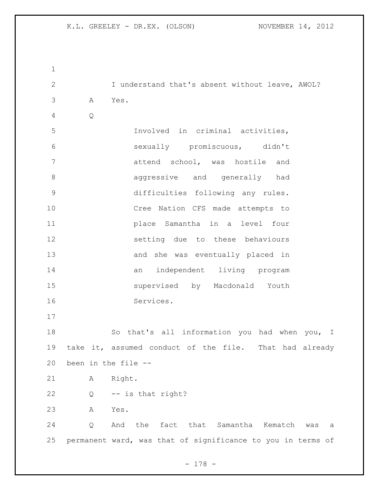| $\mathbf 1$    |              |                                                             |
|----------------|--------------|-------------------------------------------------------------|
| $\mathbf{2}$   |              | I understand that's absent without leave, AWOL?             |
| 3              | Α            | Yes.                                                        |
| $\overline{4}$ | $\mathsf{Q}$ |                                                             |
| 5              |              | Involved in criminal activities,                            |
| 6              |              | sexually promiscuous, didn't                                |
| 7              |              | attend school, was hostile and                              |
| 8              |              | aggressive and generally had                                |
| $\mathsf 9$    |              | difficulties following any rules.                           |
| 10             |              | Cree Nation CFS made attempts to                            |
| 11             |              | place Samantha in a level four                              |
| 12             |              | setting due to these behaviours                             |
| 13             |              | and she was eventually placed in                            |
| 14             |              | an independent living program                               |
| 15             |              | supervised by Macdonald Youth                               |
| 16             |              | Services.                                                   |
| 17             |              |                                                             |
| 18             |              | So that's all information you had when you, I               |
| 19             |              | take it, assumed conduct of the file. That had already      |
| 20             |              | been in the file --                                         |
| 21             | Α            | Right.                                                      |
| 22             | Q            | -- is that right?                                           |
| 23             | Α            | Yes.                                                        |
| 24             | Q            | the fact that Samantha<br>And<br>Kematch was<br>a           |
| 25             |              | permanent ward, was that of significance to you in terms of |

- 178 -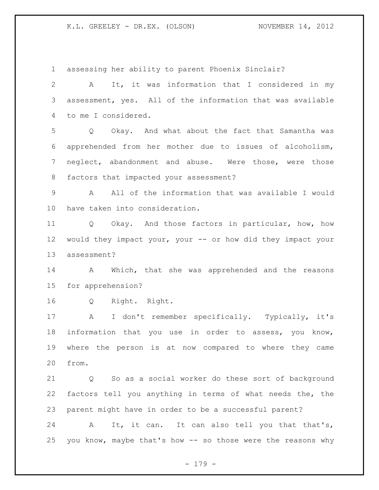assessing her ability to parent Phoenix Sinclair? A It, it was information that I considered in my assessment, yes. All of the information that was available to me I considered. Q Okay. And what about the fact that Samantha was apprehended from her mother due to issues of alcoholism, neglect, abandonment and abuse. Were those, were those factors that impacted your assessment? A All of the information that was available I would have taken into consideration. Q Okay. And those factors in particular, how, how would they impact your, your -- or how did they impact your assessment? 14 A Which, that she was apprehended and the reasons for apprehension? Q Right. Right. A I don't remember specifically. Typically, it's information that you use in order to assess, you know, where the person is at now compared to where they came from. Q So as a social worker do these sort of background factors tell you anything in terms of what needs the, the parent might have in order to be a successful parent? 24 A It, it can. It can also tell you that that's, you know, maybe that's how -- so those were the reasons why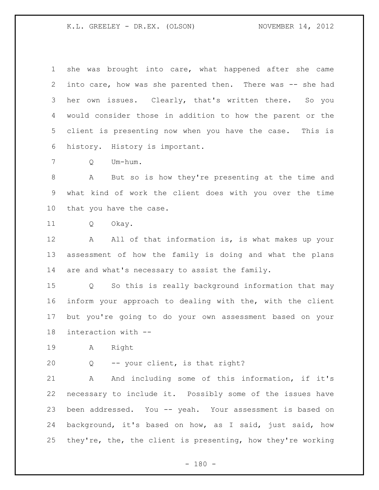she was brought into care, what happened after she came into care, how was she parented then. There was -- she had her own issues. Clearly, that's written there. So you would consider those in addition to how the parent or the client is presenting now when you have the case. This is history. History is important.

Q Um-hum.

 A But so is how they're presenting at the time and what kind of work the client does with you over the time that you have the case.

Q Okay.

12 A All of that information is, is what makes up your assessment of how the family is doing and what the plans are and what's necessary to assist the family.

 Q So this is really background information that may inform your approach to dealing with the, with the client but you're going to do your own assessment based on your interaction with --

A Right

Q -- your client, is that right?

21 A And including some of this information, if it's necessary to include it. Possibly some of the issues have been addressed. You -- yeah. Your assessment is based on background, it's based on how, as I said, just said, how they're, the, the client is presenting, how they're working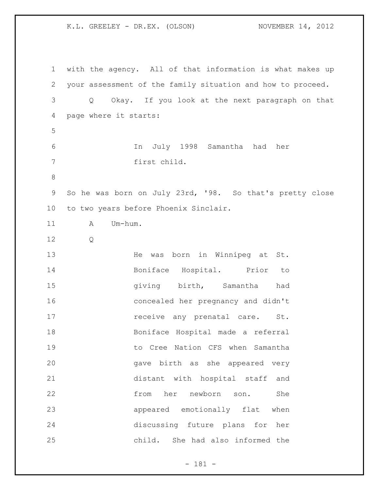with the agency. All of that information is what makes up your assessment of the family situation and how to proceed. Q Okay. If you look at the next paragraph on that page where it starts: In July 1998 Samantha had her first child. So he was born on July 23rd, '98. So that's pretty close to two years before Phoenix Sinclair. 11 A Um-hum. Q He was born in Winnipeg at St. Boniface Hospital. Prior to giving birth, Samantha had concealed her pregnancy and didn't **receive any prenatal care.** St. Boniface Hospital made a referral to Cree Nation CFS when Samantha gave birth as she appeared very distant with hospital staff and from her newborn son. She appeared emotionally flat when discussing future plans for her child. She had also informed the

- 181 -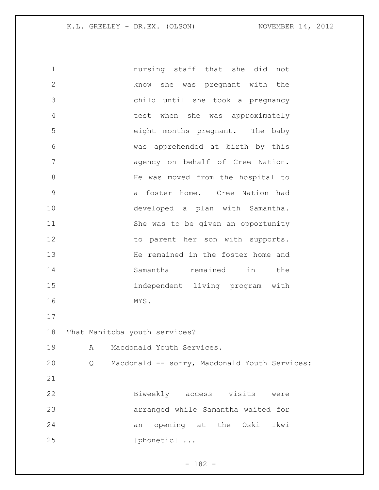nursing staff that she did not know she was pregnant with the child until she took a pregnancy test when she was approximately eight months pregnant. The baby was apprehended at birth by this agency on behalf of Cree Nation. 8 He was moved from the hospital to a foster home. Cree Nation had developed a plan with Samantha. She was to be given an opportunity 12 to parent her son with supports. 13 He remained in the foster home and Samantha remained in the independent living program with MYS. That Manitoba youth services? A Macdonald Youth Services. Q Macdonald -- sorry, Macdonald Youth Services: Biweekly access visits were arranged while Samantha waited for an opening at the Oski Ikwi [phonetic] ...

- 182 -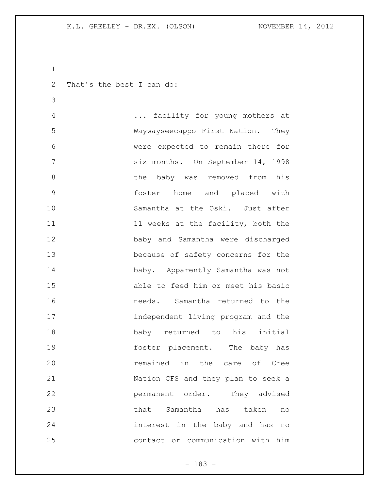```
1
```
That's the best I can do:

 ... facility for young mothers at Waywayseecappo First Nation. They were expected to remain there for six months. On September 14, 1998 8 6 the baby was removed from his foster home and placed with Samantha at the Oski. Just after 11 11 weeks at the facility, both the baby and Samantha were discharged because of safety concerns for the baby. Apparently Samantha was not able to feed him or meet his basic needs. Samantha returned to the independent living program and the baby returned to his initial foster placement. The baby has remained in the care of Cree Nation CFS and they plan to seek a permanent order. They advised that Samantha has taken no interest in the baby and has no contact or communication with him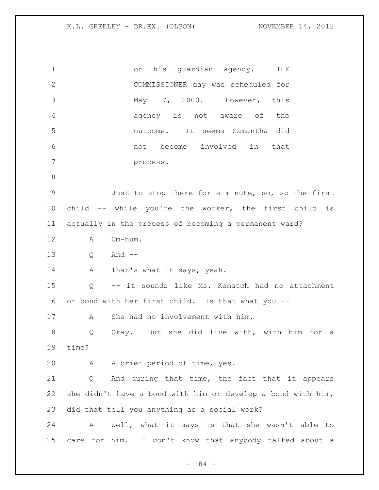| $\mathbf 1$  | or his quardian agency. THE                                 |
|--------------|-------------------------------------------------------------|
| $\mathbf{2}$ | COMMISSIONER day was scheduled for                          |
| 3            | May 17, 2000. However, this                                 |
| 4            | agency is not aware of the                                  |
| 5            | outcome. It seems Samantha did                              |
| 6            | not become involved in that                                 |
| 7            | process.                                                    |
| $8\,$        |                                                             |
| $\mathsf 9$  | Just to stop there for a minute, so, so the first           |
| 10           | child -- while you're the worker, the first child is        |
| 11           | actually in the process of becoming a permanent ward?       |
| 12           | Um-hum.<br>Α                                                |
| 13           | And $--$<br>Q                                               |
| 14           | A That's what it says, yeah.                                |
| 15           | -- it sounds like Ms. Kematch had no attachment<br>Q        |
| 16           | or bond with her first child. Is that what you --           |
| 17           | She had no involvement with him.<br>A                       |
| 18           | Okay. But she did live with, with him for a<br>Q            |
| 19           | time?                                                       |
| 20           | A brief period of time, yes.<br>Α                           |
| 21           | And during that time, the fact that it appears<br>Q         |
| 22           | she didn't have a bond with him or develop a bond with him, |
| 23           | did that tell you anything as a social work?                |
| 24           | Well, what it says is that she wasn't able to<br>A          |
| 25           | care for him. I don't know that anybody talked about a      |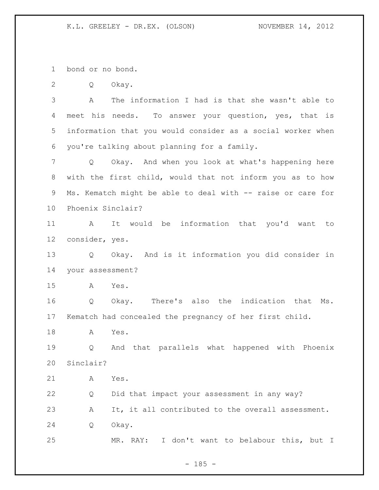bond or no bond.

Q Okay.

 A The information I had is that she wasn't able to 4 meet his needs. To answer your question, yes, that is information that you would consider as a social worker when you're talking about planning for a family.

 Q Okay. And when you look at what's happening here with the first child, would that not inform you as to how Ms. Kematch might be able to deal with -- raise or care for Phoenix Sinclair?

 A It would be information that you'd want to consider, yes.

 Q Okay. And is it information you did consider in your assessment?

A Yes.

 Q Okay. There's also the indication that Ms. Kematch had concealed the pregnancy of her first child.

A Yes.

 Q And that parallels what happened with Phoenix Sinclair?

A Yes.

 Q Did that impact your assessment in any way? A It, it all contributed to the overall assessment. Q Okay. MR. RAY: I don't want to belabour this, but I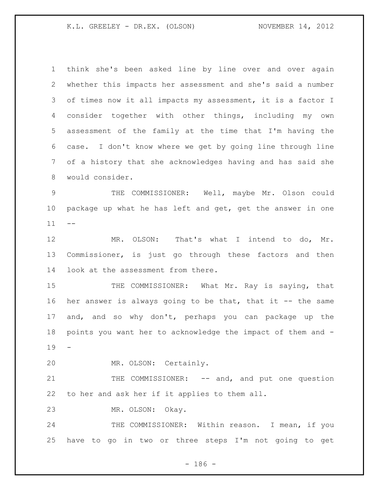think she's been asked line by line over and over again whether this impacts her assessment and she's said a number of times now it all impacts my assessment, it is a factor I consider together with other things, including my own assessment of the family at the time that I'm having the case. I don't know where we get by going line through line of a history that she acknowledges having and has said she would consider. THE COMMISSIONER: Well, maybe Mr. Olson could package up what he has left and get, get the answer in one 12 MR. OLSON: That's what I intend to do, Mr. Commissioner, is just go through these factors and then look at the assessment from there. 15 THE COMMISSIONER: What Mr. Ray is saying, that her answer is always going to be that, that it -- the same and, and so why don't, perhaps you can package up the points you want her to acknowledge the impact of them and - MR. OLSON: Certainly. 21 THE COMMISSIONER: -- and, and put one question to her and ask her if it applies to them all. MR. OLSON: Okay. 24 THE COMMISSIONER: Within reason. I mean, if you have to go in two or three steps I'm not going to get

- 186 -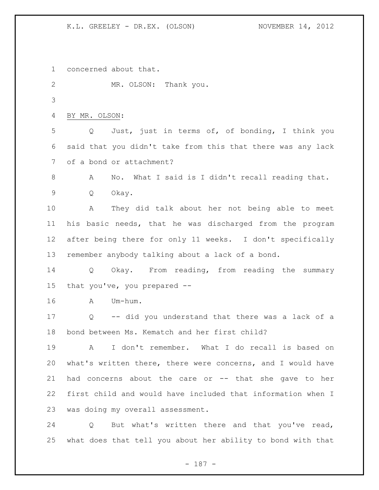concerned about that.

MR. OLSON: Thank you.

BY MR. OLSON:

 Q Just, just in terms of, of bonding, I think you said that you didn't take from this that there was any lack of a bond or attachment?

A No. What I said is I didn't recall reading that.

Q Okay.

 A They did talk about her not being able to meet his basic needs, that he was discharged from the program after being there for only 11 weeks. I don't specifically remember anybody talking about a lack of a bond.

 Q Okay. From reading, from reading the summary that you've, you prepared --

A Um-hum.

 Q -- did you understand that there was a lack of a bond between Ms. Kematch and her first child?

 A I don't remember. What I do recall is based on what's written there, there were concerns, and I would have had concerns about the care or -- that she gave to her first child and would have included that information when I was doing my overall assessment.

 Q But what's written there and that you've read, what does that tell you about her ability to bond with that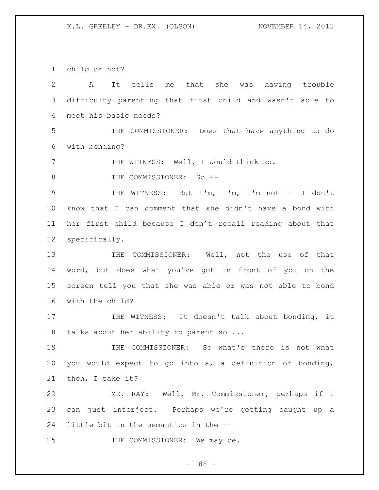child or not?

| $\overline{2}$ | It tells me that she was having trouble<br>A              |
|----------------|-----------------------------------------------------------|
| 3              | difficulty parenting that first child and wasn't able to  |
| 4              | meet his basic needs?                                     |
| 5              | THE COMMISSIONER: Does that have anything to do           |
| 6              | with bonding?                                             |
| 7              | THE WITNESS: Well, I would think so.                      |
| 8              | THE COMMISSIONER: So --                                   |
| $\mathcal{G}$  | THE WITNESS: But I'm, I'm, I'm not -- I don't             |
| 10             | know that I can comment that she didn't have a bond with  |
| 11             | her first child because I don't recall reading about that |
| 12             | specifically.                                             |
| 13             | THE COMMISSIONER: Well, not the use of that               |
| 14             | word, but does what you've got in front of you on the     |
| 15             | screen tell you that she was able or was not able to bond |
| 16             | with the child?                                           |
| 17             | THE WITNESS: It doesn't talk about bonding, it            |
| 18             | talks about her ability to parent so                      |
| 19             | COMMISSIONER: So what's there is not what<br>THE          |
| 20             | you would expect to go into a, a definition of bonding,   |
| 21             | then, I take it?                                          |
| 22             | MR. RAY: Well, Mr. Commissioner, perhaps if I             |
| 23             | can just interject. Perhaps we're getting caught up a     |
| 24             | little bit in the semantics in the --                     |
| 25             | THE COMMISSIONER: We may be.                              |

- 188 -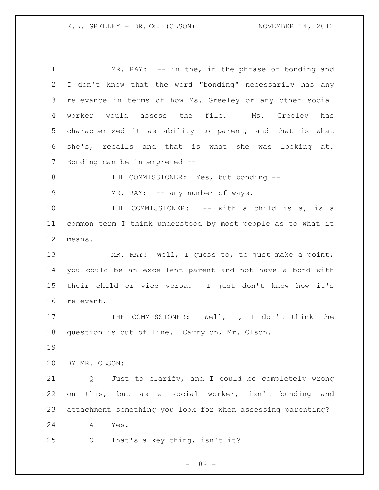1 MR. RAY: -- in the, in the phrase of bonding and I don't know that the word "bonding" necessarily has any relevance in terms of how Ms. Greeley or any other social worker would assess the file. Ms. Greeley has characterized it as ability to parent, and that is what she's, recalls and that is what she was looking at. Bonding can be interpreted -- 8 THE COMMISSIONER: Yes, but bonding --9 MR. RAY: -- any number of ways. 10 THE COMMISSIONER: -- with a child is a, is a common term I think understood by most people as to what it means. MR. RAY: Well, I guess to, to just make a point, you could be an excellent parent and not have a bond with their child or vice versa. I just don't know how it's relevant. 17 THE COMMISSIONER: Well, I, I don't think the question is out of line. Carry on, Mr. Olson. BY MR. OLSON: Q Just to clarify, and I could be completely wrong on this, but as a social worker, isn't bonding and attachment something you look for when assessing parenting? A Yes. Q That's a key thing, isn't it?

- 189 -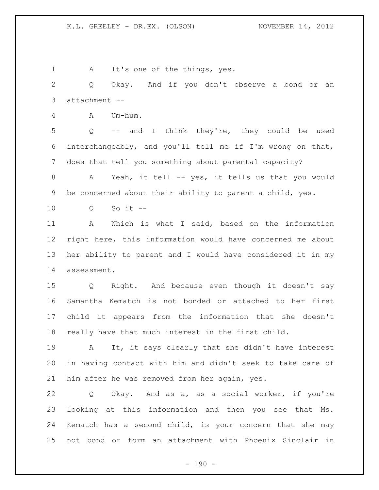1 A It's one of the things, yes. Q Okay. And if you don't observe a bond or an attachment -- A Um-hum. Q -- and I think they're, they could be used interchangeably, and you'll tell me if I'm wrong on that, does that tell you something about parental capacity? A Yeah, it tell -- yes, it tells us that you would be concerned about their ability to parent a child, yes. Q So it -- A Which is what I said, based on the information right here, this information would have concerned me about her ability to parent and I would have considered it in my assessment. Q Right. And because even though it doesn't say Samantha Kematch is not bonded or attached to her first child it appears from the information that she doesn't really have that much interest in the first child. A It, it says clearly that she didn't have interest in having contact with him and didn't seek to take care of him after he was removed from her again, yes.

 Q Okay. And as a, as a social worker, if you're looking at this information and then you see that Ms. Kematch has a second child, is your concern that she may not bond or form an attachment with Phoenix Sinclair in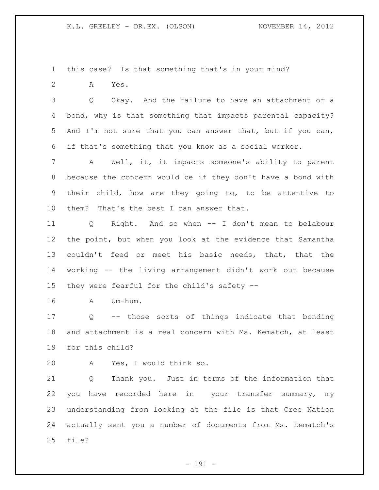this case? Is that something that's in your mind?

A Yes.

 Q Okay. And the failure to have an attachment or a bond, why is that something that impacts parental capacity? And I'm not sure that you can answer that, but if you can, if that's something that you know as a social worker.

 A Well, it, it impacts someone's ability to parent because the concern would be if they don't have a bond with their child, how are they going to, to be attentive to them? That's the best I can answer that.

 Q Right. And so when -- I don't mean to belabour the point, but when you look at the evidence that Samantha couldn't feed or meet his basic needs, that, that the working -- the living arrangement didn't work out because they were fearful for the child's safety --

A Um-hum.

 Q -- those sorts of things indicate that bonding and attachment is a real concern with Ms. Kematch, at least for this child?

A Yes, I would think so.

 Q Thank you. Just in terms of the information that you have recorded here in your transfer summary, my understanding from looking at the file is that Cree Nation actually sent you a number of documents from Ms. Kematch's file?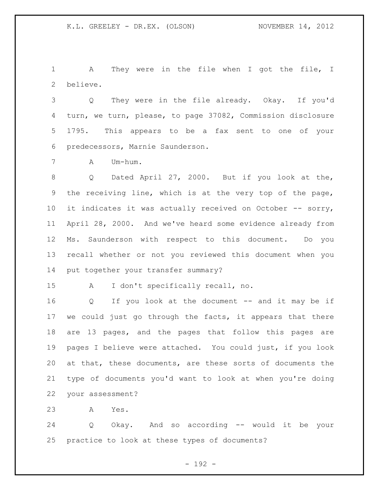A They were in the file when I got the file, I believe.

 Q They were in the file already. Okay. If you'd turn, we turn, please, to page 37082, Commission disclosure 1795. This appears to be a fax sent to one of your predecessors, Marnie Saunderson.

A Um-hum.

8 Q Dated April 27, 2000. But if you look at the, the receiving line, which is at the very top of the page, 10 it indicates it was actually received on October -- sorry, April 28, 2000. And we've heard some evidence already from Ms. Saunderson with respect to this document. Do you recall whether or not you reviewed this document when you put together your transfer summary?

A I don't specifically recall, no.

16 Q If you look at the document -- and it may be if we could just go through the facts, it appears that there are 13 pages, and the pages that follow this pages are pages I believe were attached. You could just, if you look at that, these documents, are these sorts of documents the type of documents you'd want to look at when you're doing your assessment?

A Yes.

 Q Okay. And so according -- would it be your practice to look at these types of documents?

- 192 -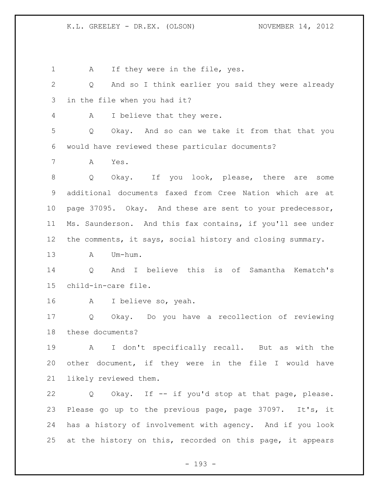1 A If they were in the file, yes. Q And so I think earlier you said they were already in the file when you had it? A I believe that they were. Q Okay. And so can we take it from that that you would have reviewed these particular documents? A Yes. Q Okay. If you look, please, there are some additional documents faxed from Cree Nation which are at page 37095. Okay. And these are sent to your predecessor, Ms. Saunderson. And this fax contains, if you'll see under the comments, it says, social history and closing summary. A Um-hum. Q And I believe this is of Samantha Kematch's child-in-care file. A I believe so, yeah. Q Okay. Do you have a recollection of reviewing these documents? A I don't specifically recall. But as with the other document, if they were in the file I would have likely reviewed them. Q Okay. If -- if you'd stop at that page, please. Please go up to the previous page, page 37097. It's, it has a history of involvement with agency. And if you look at the history on this, recorded on this page, it appears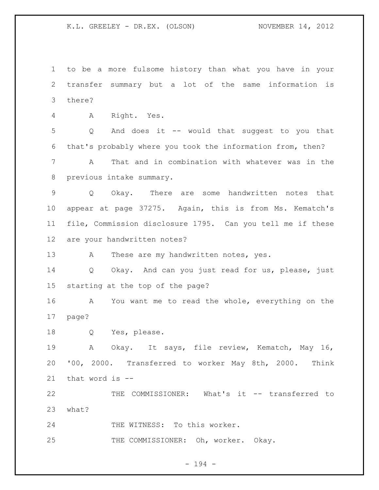to be a more fulsome history than what you have in your transfer summary but a lot of the same information is there?

A Right. Yes.

 Q And does it -- would that suggest to you that that's probably where you took the information from, then? A That and in combination with whatever was in the previous intake summary.

 Q Okay. There are some handwritten notes that appear at page 37275. Again, this is from Ms. Kematch's file, Commission disclosure 1795. Can you tell me if these are your handwritten notes?

13 A These are my handwritten notes, yes.

 Q Okay. And can you just read for us, please, just starting at the top of the page?

 A You want me to read the whole, everything on the page?

Q Yes, please.

 A Okay. It says, file review, Kematch, May 16, '00, 2000. Transferred to worker May 8th, 2000. Think that word is --

 THE COMMISSIONER: What's it -- transferred to what?

24 THE WITNESS: To this worker.

25 THE COMMISSIONER: Oh, worker. Okay.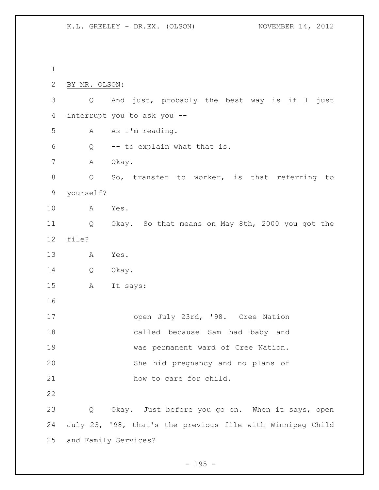BY MR. OLSON: Q And just, probably the best way is if I just interrupt you to ask you -- A As I'm reading. Q -- to explain what that is. 7 A Okay. 8 Q So, transfer to worker, is that referring to yourself? A Yes. Q Okay. So that means on May 8th, 2000 you got the file? A Yes. Q Okay. A It says: 17 open July 23rd, '98. Cree Nation called because Sam had baby and was permanent ward of Cree Nation. She hid pregnancy and no plans of 21 how to care for child. Q Okay. Just before you go on. When it says, open July 23, '98, that's the previous file with Winnipeg Child and Family Services?

 $- 195 -$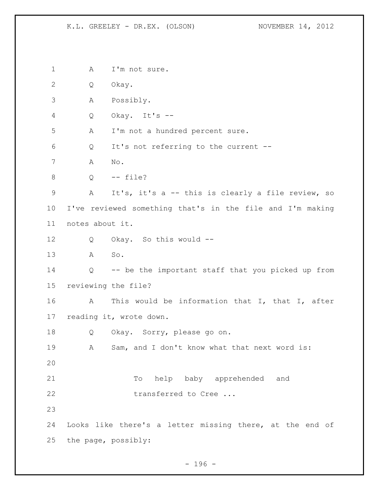1 A I'm not sure. Q Okay. A Possibly. Q Okay. It's -- A I'm not a hundred percent sure. Q It's not referring to the current -- A No. Q -- file? A It's, it's a -- this is clearly a file review, so I've reviewed something that's in the file and I'm making notes about it. Q Okay. So this would -- A So. Q -- be the important staff that you picked up from reviewing the file? A This would be information that I, that I, after reading it, wrote down. Q Okay. Sorry, please go on. A Sam, and I don't know what that next word is: To help baby apprehended and 22 transferred to Cree ... Looks like there's a letter missing there, at the end of the page, possibly:

- 196 -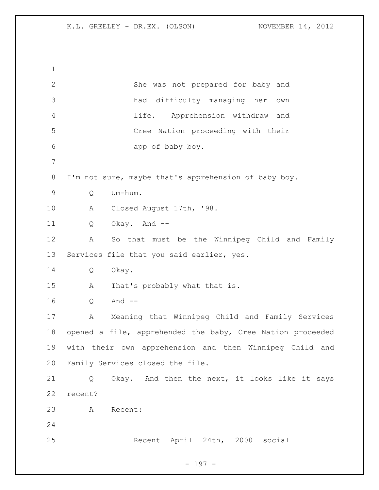| $\mathbf 1$    |                                                            |
|----------------|------------------------------------------------------------|
| $\mathbf{2}$   | She was not prepared for baby and                          |
| 3              | had difficulty managing her<br>own                         |
| $\overline{4}$ | Apprehension withdraw and<br>life.                         |
| 5              | Cree Nation proceeding with their                          |
| 6              | app of baby boy.                                           |
| 7              |                                                            |
| $8\,$          | I'm not sure, maybe that's apprehension of baby boy.       |
| $\mathsf 9$    | Um-hum.<br>Q                                               |
| 10             | Closed August 17th, '98.<br>Α                              |
| 11             | Okay. And --<br>Q                                          |
| 12             | So that must be the Winnipeg Child and Family<br>Α         |
| 13             | Services file that you said earlier, yes.                  |
| 14             | Okay.<br>Q                                                 |
| 15             | That's probably what that is.<br>Α                         |
| 16             | And $--$<br>Q                                              |
| 17             | Meaning that Winnipeg Child and Family Services<br>Α       |
| 18             | opened a file, apprehended the baby, Cree Nation proceeded |
| 19             | with their own apprehension and then Winnipeg Child and    |
| 20             | Family Services closed the file.                           |
| 21             | Okay. And then the next, it looks like it says<br>Q        |
| 22             | recent?                                                    |
| 23             | A<br>Recent:                                               |
| 24             |                                                            |
| 25             | Recent April 24th, 2000<br>social                          |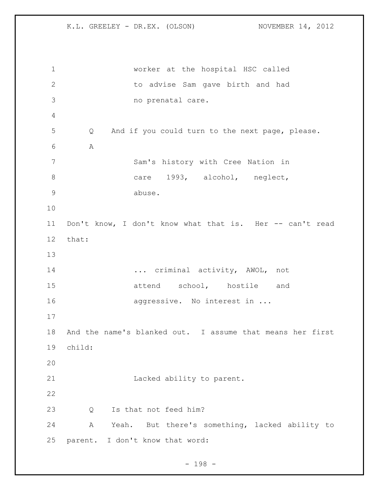worker at the hospital HSC called to advise Sam gave birth and had no prenatal care. Q And if you could turn to the next page, please. A Sam's history with Cree Nation in 8 care 1993, alcohol, neglect, abuse. Don't know, I don't know what that is. Her -- can't read that: ... criminal activity, AWOL, not 15 attend school, hostile and 16 aggressive. No interest in ... And the name's blanked out. I assume that means her first child: Lacked ability to parent. Q Is that not feed him? A Yeah. But there's something, lacked ability to parent. I don't know that word:

- 198 -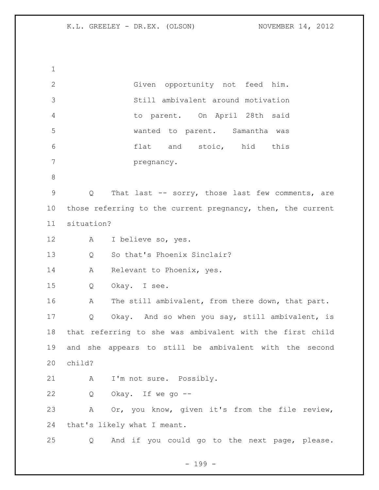Given opportunity not feed him. Still ambivalent around motivation to parent. On April 28th said wanted to parent. Samantha was flat and stoic, hid this pregnancy. Q That last -- sorry, those last few comments, are 10 those referring to the current pregnancy, then, the current situation? A I believe so, yes. Q So that's Phoenix Sinclair? 14 A Relevant to Phoenix, yes. Q Okay. I see. 16 A The still ambivalent, from there down, that part. Q Okay. And so when you say, still ambivalent, is that referring to she was ambivalent with the first child and she appears to still be ambivalent with the second child? 21 A I'm not sure. Possibly. Q Okay. If we go -- A Or, you know, given it's from the file review, that's likely what I meant. Q And if you could go to the next page, please.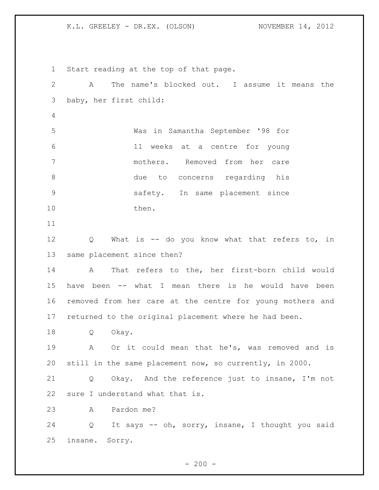Start reading at the top of that page. A The name's blocked out. I assume it means the baby, her first child: Was in Samantha September '98 for 11 weeks at a centre for young mothers. Removed from her care due to concerns regarding his safety. In same placement since 10 then. Q What is -- do you know what that refers to, in same placement since then? A That refers to the, her first-born child would have been -- what I mean there is he would have been removed from her care at the centre for young mothers and returned to the original placement where he had been. Q Okay. A Or it could mean that he's, was removed and is still in the same placement now, so currently, in 2000. Q Okay. And the reference just to insane, I'm not sure I understand what that is. A Pardon me? Q It says -- oh, sorry, insane, I thought you said insane. Sorry.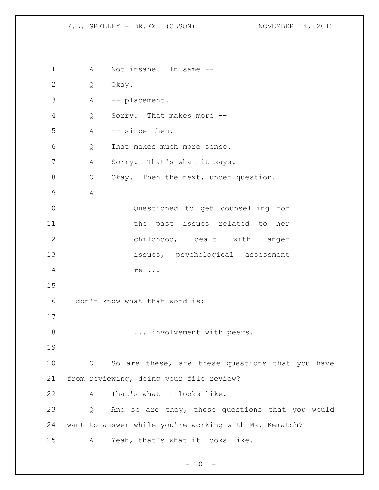1 A Not insane. In same -- Q Okay. A -- placement. Q Sorry. That makes more -- A -- since then. Q That makes much more sense. A Sorry. That's what it says. Q Okay. Then the next, under question. A Questioned to get counselling for the past issues related to her 12 childhood, dealt with anger issues, psychological assessment 14 re ... I don't know what that word is: 18 ... involvement with peers. Q So are these, are these questions that you have from reviewing, doing your file review? A That's what it looks like. Q And so are they, these questions that you would want to answer while you're working with Ms. Kematch? A Yeah, that's what it looks like.

 $- 201 -$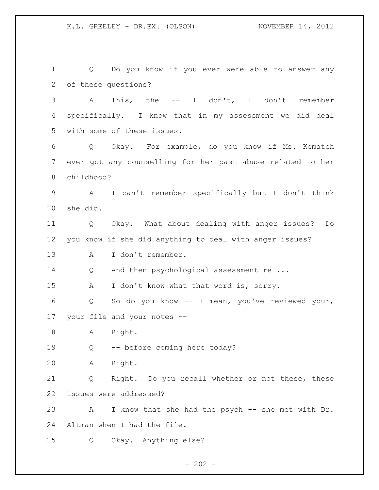Q Do you know if you ever were able to answer any of these questions? A This, the -- I don't, I don't remember specifically. I know that in my assessment we did deal with some of these issues. Q Okay. For example, do you know if Ms. Kematch ever got any counselling for her past abuse related to her childhood? A I can't remember specifically but I don't think she did. Q Okay. What about dealing with anger issues? Do you know if she did anything to deal with anger issues? A I don't remember. 14 Q And then psychological assessment re ... 15 A I don't know what that word is, sorry. Q So do you know -- I mean, you've reviewed your, your file and your notes -- A Right. Q -- before coming here today? A Right. Q Right. Do you recall whether or not these, these issues were addressed? A I know that she had the psych -- she met with Dr. Altman when I had the file. Q Okay. Anything else?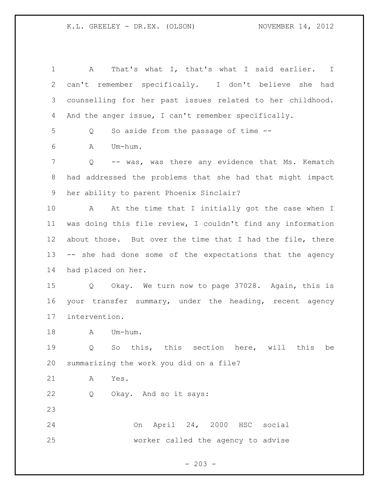| 1            | That's what I, that's what I said earlier. I<br>A             |
|--------------|---------------------------------------------------------------|
| $\mathbf{2}$ | can't remember specifically. I don't believe she had          |
| 3            | counselling for her past issues related to her childhood.     |
| 4            | And the anger issue, I can't remember specifically.           |
| 5            | So aside from the passage of time --<br>Q                     |
| 6            | Um-hum.<br>A                                                  |
| 7            | -- was, was there any evidence that Ms. Kematch<br>Q          |
| $8\,$        | had addressed the problems that she had that might impact     |
| 9            | her ability to parent Phoenix Sinclair?                       |
| 10           | At the time that I initially got the case when I<br>A         |
| 11           | was doing this file review, I couldn't find any information   |
| 12           | about those. But over the time that I had the file, there     |
| 13           | -- she had done some of the expectations that the agency      |
| 14           | had placed on her.                                            |
| 15           | Q Okay. We turn now to page 37028. Again, this is             |
| 16           | your transfer summary, under the heading, recent agency       |
| 17           | intervention.                                                 |
| 18           | Um-hum.<br>A                                                  |
| 19           | So this, this section here, will this<br>$\overline{Q}$<br>be |
| 20           | summarizing the work you did on a file?                       |
| 21           | Yes.<br>Α                                                     |
| 22           | Okay. And so it says:<br>Q                                    |
| 23           |                                                               |
| 24           | On April 24, 2000 HSC social                                  |
| 25           | worker called the agency to advise                            |

 $- 203 -$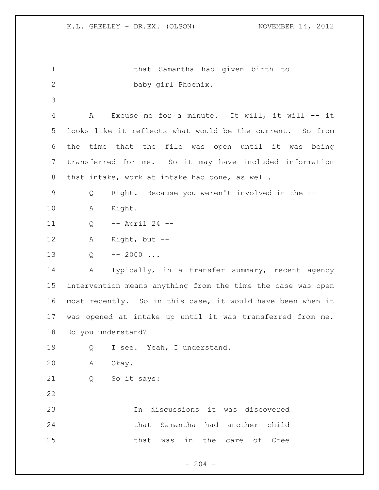```
1 that Samantha had given birth to 
2 baby girl Phoenix.
3
4 A Excuse me for a minute. It will, it will -- it 
5 looks like it reflects what would be the current. So from 
6 the time that the file was open until it was being 
7 transferred for me. So it may have included information 
8 that intake, work at intake had done, as well.
9 Q Right. Because you weren't involved in the --
10 A Right.
11 Q -- April 24 --
12 A Right, but --
13 Q -- 2000 ...
14 A Typically, in a transfer summary, recent agency 
15 intervention means anything from the time the case was open 
16 most recently. So in this case, it would have been when it 
17 was opened at intake up until it was transferred from me. 
18 Do you understand?
19 Q I see. Yeah, I understand.
20 A Okay.
21 Q So it says: 
22
23 In discussions it was discovered 
24 that Samantha had another child 
25 blue that was in the care of Cree
```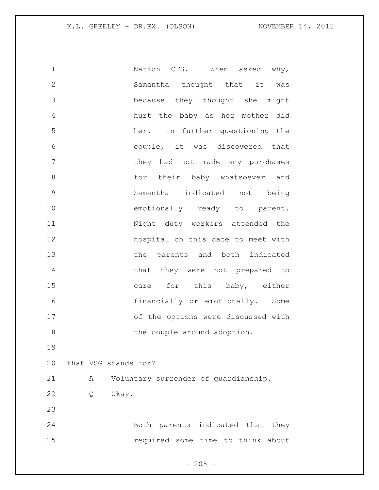1 1 Nation CFS. When asked why, Samantha thought that it was because they thought she might hurt the baby as her mother did her. In further questioning the couple, it was discovered that **1** they had not made any purchases 8 for their baby whatsoever and Samantha indicated not being 10 emotionally ready to parent. Night duty workers attended the hospital on this date to meet with 13 the parents and both indicated 14 that they were not prepared to 15 care for this baby, either 16 financially or emotionally. Some of the options were discussed with 18 the couple around adoption. that VSG stands for? A Voluntary surrender of guardianship. Q Okay. Both parents indicated that they required some time to think about

 $- 205 -$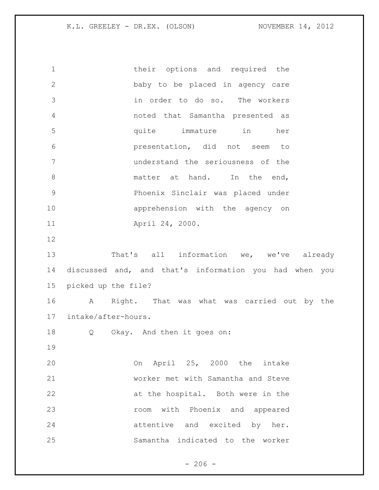1 their options and required the baby to be placed in agency care in order to do so. The workers noted that Samantha presented as quite immature in her presentation, did not seem to understand the seriousness of the 8 matter at hand. In the end, Phoenix Sinclair was placed under apprehension with the agency on April 24, 2000. 13 That's all information we, we've already discussed and, and that's information you had when you picked up the file? A Right. That was what was carried out by the intake/after-hours. Q Okay. And then it goes on: On April 25, 2000 the intake worker met with Samantha and Steve at the hospital. Both were in the room with Phoenix and appeared 24 attentive and excited by her. Samantha indicated to the worker

 $-206 -$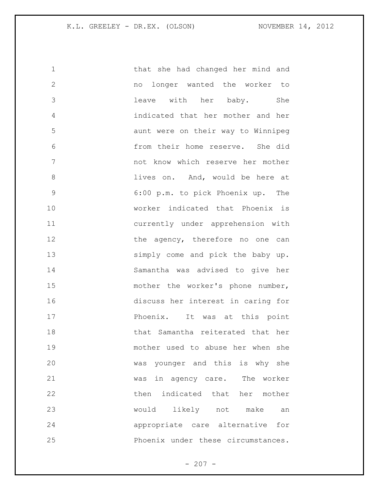that she had changed her mind and no longer wanted the worker to leave with her baby. She indicated that her mother and her aunt were on their way to Winnipeg from their home reserve. She did not know which reserve her mother **and i** lives on. And, would be here at 6:00 p.m. to pick Phoenix up. The worker indicated that Phoenix is currently under apprehension with 12 the agency, therefore no one can 13 simply come and pick the baby up. Samantha was advised to give her 15 mother the worker's phone number, discuss her interest in caring for **Phoenix.** It was at this point that Samantha reiterated that her mother used to abuse her when she was younger and this is why she was in agency care. The worker then indicated that her mother would likely not make an appropriate care alternative for Phoenix under these circumstances.

 $- 207 -$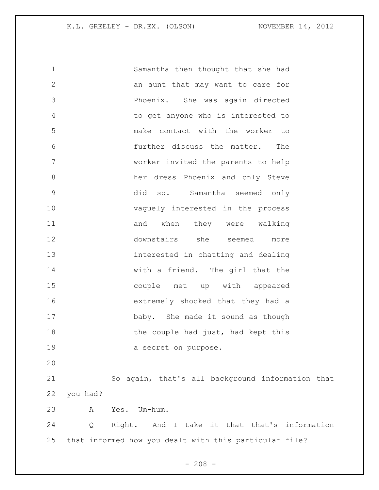Samantha then thought that she had an aunt that may want to care for Phoenix. She was again directed to get anyone who is interested to make contact with the worker to further discuss the matter. The worker invited the parents to help her dress Phoenix and only Steve did so. Samantha seemed only vaguely interested in the process 11 and when they were walking downstairs she seemed more interested in chatting and dealing with a friend. The girl that the couple met up with appeared extremely shocked that they had a 17 baby. She made it sound as though 18 the couple had just, had kept this 19 a secret on purpose. So again, that's all background information that you had? A Yes. Um-hum. Q Right. And I take it that that's information that informed how you dealt with this particular file?

 $- 208 -$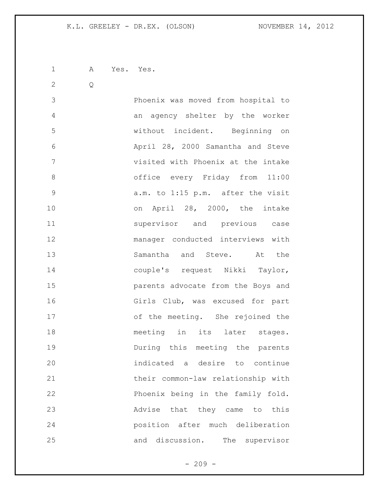A Yes. Yes.

Q

 Phoenix was moved from hospital to an agency shelter by the worker without incident. Beginning on April 28, 2000 Samantha and Steve visited with Phoenix at the intake office every Friday from 11:00 a.m. to 1:15 p.m. after the visit 10 on April 28, 2000, the intake supervisor and previous case manager conducted interviews with Samantha and Steve. At the couple's request Nikki Taylor, parents advocate from the Boys and Girls Club, was excused for part of the meeting. She rejoined the 18 meeting in its later stages. During this meeting the parents indicated a desire to continue their common-law relationship with Phoenix being in the family fold. Advise that they came to this position after much deliberation and discussion. The supervisor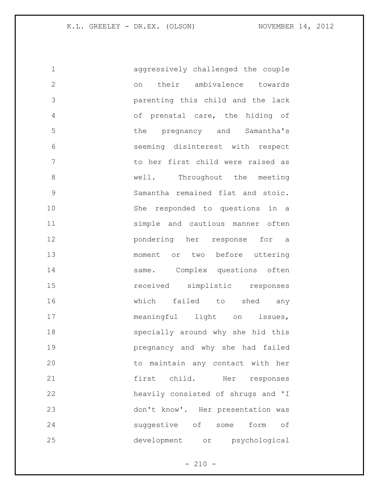aggressively challenged the couple on their ambivalence towards parenting this child and the lack of prenatal care, the hiding of the pregnancy and Samantha's seeming disinterest with respect to her first child were raised as 8 well. Throughout the meeting Samantha remained flat and stoic. She responded to questions in a simple and cautious manner often pondering her response for a moment or two before uttering 14 same. Complex questions often received simplistic responses which failed to shed any 17 meaningful light on issues, specially around why she hid this pregnancy and why she had failed to maintain any contact with her first child. Her responses heavily consisted of shrugs and 'I don't know'. Her presentation was suggestive of some form of development or psychological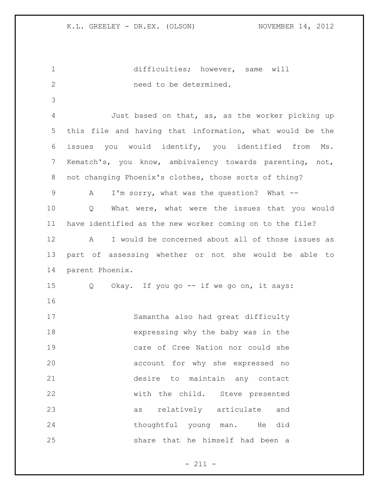difficulties; however, same will need to be determined. Just based on that, as, as the worker picking up this file and having that information, what would be the issues you would identify, you identified from Ms. Kematch's, you know, ambivalency towards parenting, not, not changing Phoenix's clothes, those sorts of thing? A I'm sorry, what was the question? What -- Q What were, what were the issues that you would have identified as the new worker coming on to the file? A I would be concerned about all of those issues as part of assessing whether or not she would be able to parent Phoenix. Q Okay. If you go -- if we go on, it says: Samantha also had great difficulty expressing why the baby was in the care of Cree Nation nor could she account for why she expressed no desire to maintain any contact with the child. Steve presented as relatively articulate and thoughtful young man. He did share that he himself had been a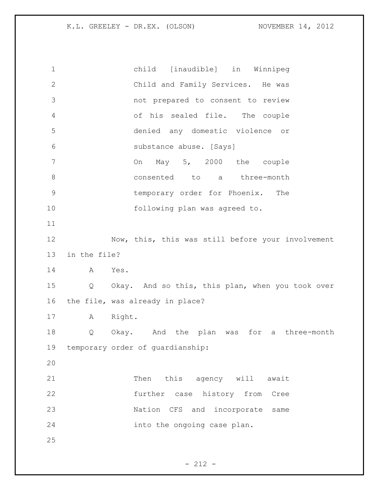child [inaudible] in Winnipeg Child and Family Services. He was not prepared to consent to review of his sealed file. The couple denied any domestic violence or substance abuse. [Says] On May 5, 2000 the couple consented to a three-month temporary order for Phoenix. The 10 following plan was agreed to. Now, this, this was still before your involvement in the file? A Yes. Q Okay. And so this, this plan, when you took over the file, was already in place? A Right. Q Okay. And the plan was for a three-month temporary order of guardianship: 21 Then this agency will await further case history from Cree Nation CFS and incorporate same into the ongoing case plan.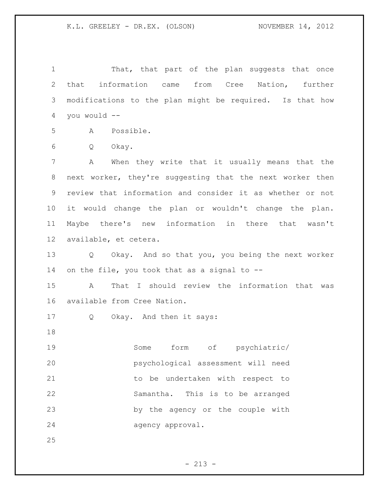1 That, that part of the plan suggests that once that information came from Cree Nation, further modifications to the plan might be required. Is that how you would --

A Possible.

Q Okay.

 A When they write that it usually means that the next worker, they're suggesting that the next worker then review that information and consider it as whether or not it would change the plan or wouldn't change the plan. Maybe there's new information in there that wasn't available, et cetera.

 Q Okay. And so that you, you being the next worker on the file, you took that as a signal to --

 A That I should review the information that was available from Cree Nation.

Q Okay. And then it says:

 Some form of psychiatric/ psychological assessment will need 21 to be undertaken with respect to Samantha. This is to be arranged by the agency or the couple with agency approval.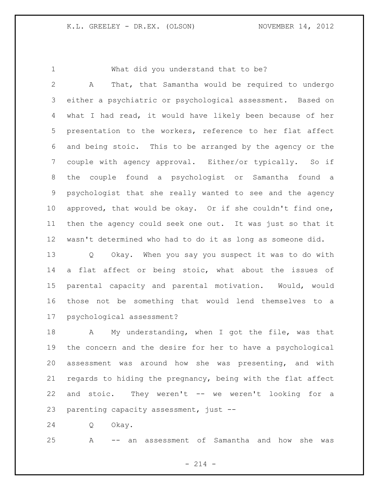What did you understand that to be?

 A That, that Samantha would be required to undergo either a psychiatric or psychological assessment. Based on what I had read, it would have likely been because of her presentation to the workers, reference to her flat affect and being stoic. This to be arranged by the agency or the couple with agency approval. Either/or typically. So if the couple found a psychologist or Samantha found a psychologist that she really wanted to see and the agency approved, that would be okay. Or if she couldn't find one, then the agency could seek one out. It was just so that it wasn't determined who had to do it as long as someone did.

 Q Okay. When you say you suspect it was to do with a flat affect or being stoic, what about the issues of parental capacity and parental motivation. Would, would those not be something that would lend themselves to a psychological assessment?

18 A My understanding, when I got the file, was that the concern and the desire for her to have a psychological assessment was around how she was presenting, and with regards to hiding the pregnancy, being with the flat affect and stoic. They weren't -- we weren't looking for a parenting capacity assessment, just --

Q Okay.

A -- an assessment of Samantha and how she was

 $- 214 -$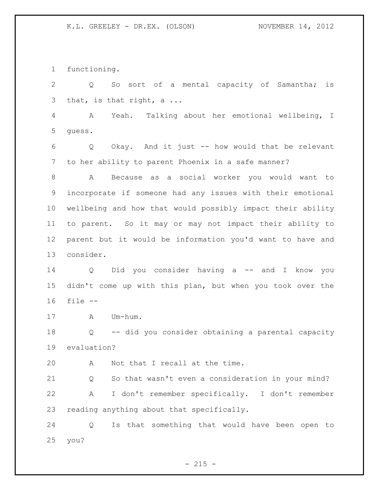functioning.

 Q So sort of a mental capacity of Samantha; is that, is that right, a ...

 A Yeah. Talking about her emotional wellbeing, I guess.

 Q Okay. And it just -- how would that be relevant to her ability to parent Phoenix in a safe manner?

 A Because as a social worker you would want to incorporate if someone had any issues with their emotional wellbeing and how that would possibly impact their ability to parent. So it may or may not impact their ability to parent but it would be information you'd want to have and consider.

 Q Did you consider having a -- and I know you didn't come up with this plan, but when you took over the file --

A Um-hum.

 Q -- did you consider obtaining a parental capacity evaluation?

A Not that I recall at the time.

 Q So that wasn't even a consideration in your mind? A I don't remember specifically. I don't remember reading anything about that specifically.

 Q Is that something that would have been open to you?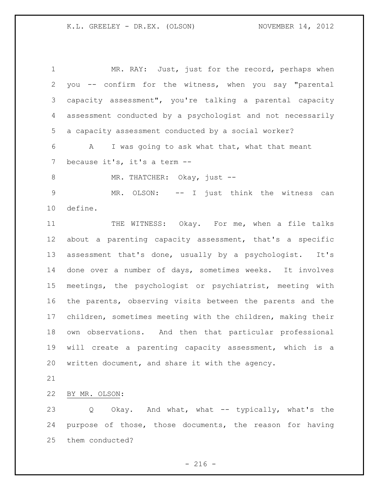1 MR. RAY: Just, just for the record, perhaps when you -- confirm for the witness, when you say "parental capacity assessment", you're talking a parental capacity assessment conducted by a psychologist and not necessarily a capacity assessment conducted by a social worker? A I was going to ask what that, what that meant because it's, it's a term -- 8 MR. THATCHER: Okay, just -- MR. OLSON: -- I just think the witness can define. THE WITNESS: Okay. For me, when a file talks about a parenting capacity assessment, that's a specific assessment that's done, usually by a psychologist. It's done over a number of days, sometimes weeks. It involves meetings, the psychologist or psychiatrist, meeting with the parents, observing visits between the parents and the children, sometimes meeting with the children, making their own observations. And then that particular professional will create a parenting capacity assessment, which is a written document, and share it with the agency. BY MR. OLSON:

 Q Okay. And what, what -- typically, what's the purpose of those, those documents, the reason for having them conducted?

 $- 216 -$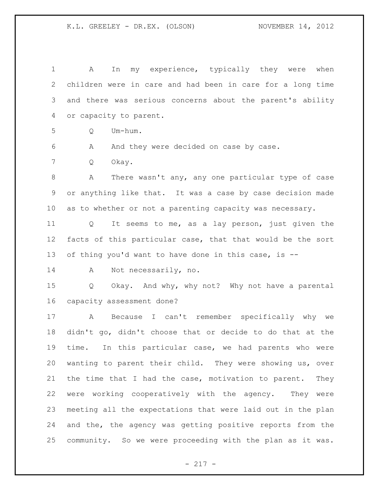A In my experience, typically they were when children were in care and had been in care for a long time and there was serious concerns about the parent's ability or capacity to parent. Q Um-hum. A And they were decided on case by case. Q Okay. A There wasn't any, any one particular type of case or anything like that. It was a case by case decision made as to whether or not a parenting capacity was necessary. Q It seems to me, as a lay person, just given the facts of this particular case, that that would be the sort of thing you'd want to have done in this case, is -- 14 A Not necessarily, no. Q Okay. And why, why not? Why not have a parental capacity assessment done? A Because I can't remember specifically why we didn't go, didn't choose that or decide to do that at the time. In this particular case, we had parents who were wanting to parent their child. They were showing us, over the time that I had the case, motivation to parent. They were working cooperatively with the agency. They were meeting all the expectations that were laid out in the plan and the, the agency was getting positive reports from the community. So we were proceeding with the plan as it was.

 $- 217 -$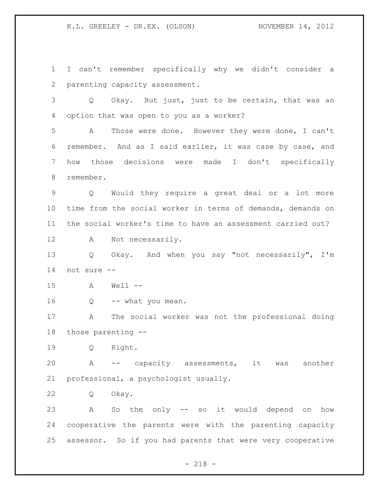K.L. GREELEY - DR.EX. (OLSON) NOVEMBER 14, 2012

 I can't remember specifically why we didn't consider a parenting capacity assessment. Q Okay. But just, just to be certain, that was an option that was open to you as a worker? A Those were done. However they were done, I can't remember. And as I said earlier, it was case by case, and how those decisions were made I don't specifically remember. Q Would they require a great deal or a lot more time from the social worker in terms of demands, demands on the social worker's time to have an assessment carried out? A Not necessarily. Q Okay. And when you say "not necessarily", I'm not sure -- A Well -- 16 Q -- what you mean. A The social worker was not the professional doing those parenting -- Q Right. A -- capacity assessments, it was another professional, a psychologist usually. Q Okay. A So the only -- so it would depend on how cooperative the parents were with the parenting capacity

assessor. So if you had parents that were very cooperative

- 218 -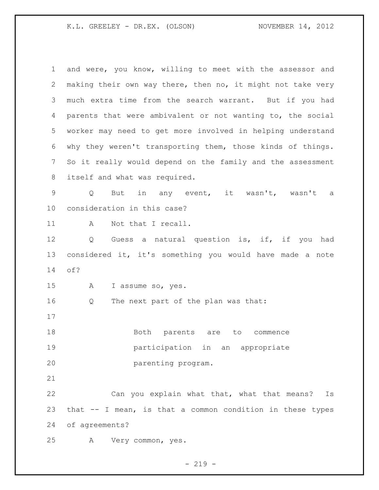K.L. GREELEY - DR.EX. (OLSON) NOVEMBER 14, 2012

 and were, you know, willing to meet with the assessor and making their own way there, then no, it might not take very much extra time from the search warrant. But if you had parents that were ambivalent or not wanting to, the social worker may need to get more involved in helping understand why they weren't transporting them, those kinds of things. So it really would depend on the family and the assessment 8 itself and what was required. Q But in any event, it wasn't, wasn't a consideration in this case? 11 A Not that I recall. Q Guess a natural question is, if, if you had considered it, it's something you would have made a note of? A I assume so, yes. Q The next part of the plan was that: 18 Both parents are to commence participation in an appropriate parenting program. Can you explain what that, what that means? Is that -- I mean, is that a common condition in these types of agreements? A Very common, yes.

 $-219 -$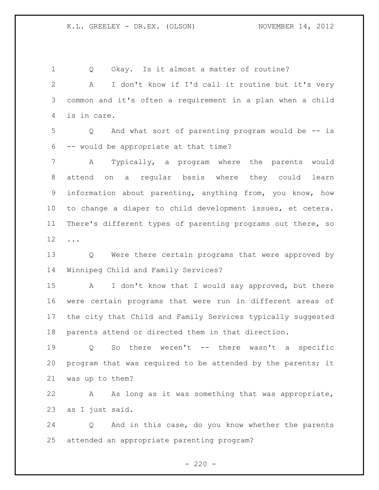Q Okay. Is it almost a matter of routine? A I don't know if I'd call it routine but it's very common and it's often a requirement in a plan when a child is in care.

 Q And what sort of parenting program would be -- is -- would be appropriate at that time?

 A Typically, a program where the parents would attend on a regular basis where they could learn information about parenting, anything from, you know, how to change a diaper to child development issues, et cetera. There's different types of parenting programs out there, so ...

 Q Were there certain programs that were approved by Winnipeg Child and Family Services?

15 A I don't know that I would say approved, but there were certain programs that were run in different areas of the city that Child and Family Services typically suggested parents attend or directed them in that direction.

 Q So there weren't -- there wasn't a specific 20 program that was required to be attended by the parents; it was up to them?

 A As long as it was something that was appropriate, as I just said.

 Q And in this case, do you know whether the parents attended an appropriate parenting program?

 $- 220 -$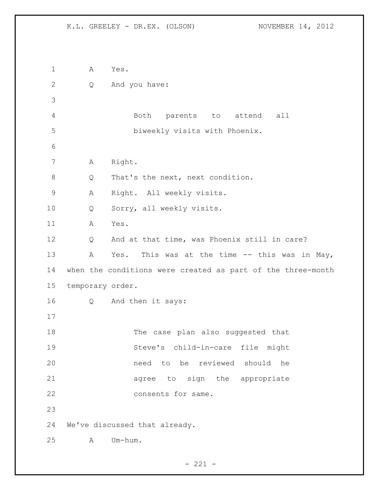A Yes. Q And you have: Both parents to attend all biweekly visits with Phoenix. A Right. 8 Q That's the next, next condition. A Right. All weekly visits. Q Sorry, all weekly visits. A Yes. Q And at that time, was Phoenix still in care? 13 A Yes. This was at the time -- this was in May, when the conditions were created as part of the three-month temporary order. Q And then it says: The case plan also suggested that Steve's child-in-care file might need to be reviewed should he 21 agree to sign the appropriate 22 consents for same. We've discussed that already. A Um-hum.

 $- 221 -$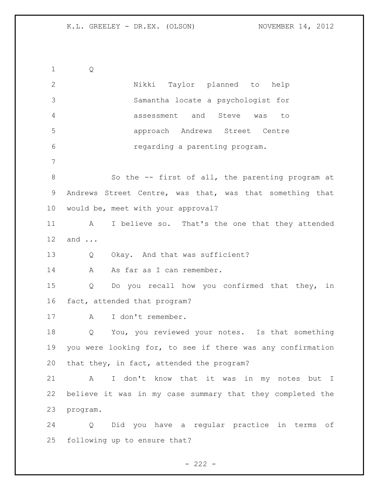Q Nikki Taylor planned to help Samantha locate a psychologist for assessment and Steve was to approach Andrews Street Centre regarding a parenting program. 8 So the -- first of all, the parenting program at Andrews Street Centre, was that, was that something that would be, meet with your approval? A I believe so. That's the one that they attended and ... Q Okay. And that was sufficient? 14 A As far as I can remember. Q Do you recall how you confirmed that they, in fact, attended that program? A I don't remember. Q You, you reviewed your notes. Is that something you were looking for, to see if there was any confirmation that they, in fact, attended the program? A I don't know that it was in my notes but I believe it was in my case summary that they completed the program. Q Did you have a regular practice in terms of following up to ensure that?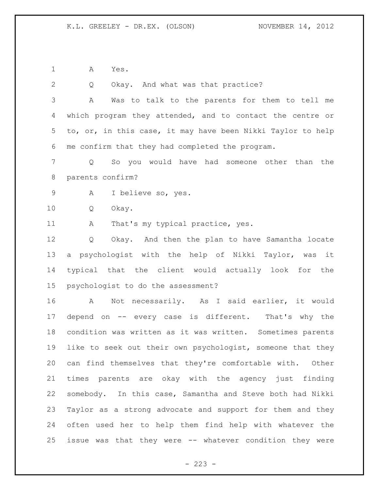Q Okay. And what was that practice?

A Yes.

 A Was to talk to the parents for them to tell me which program they attended, and to contact the centre or to, or, in this case, it may have been Nikki Taylor to help me confirm that they had completed the program. Q So you would have had someone other than the parents confirm? A I believe so, yes. Q Okay. 11 A That's my typical practice, yes. Q Okay. And then the plan to have Samantha locate a psychologist with the help of Nikki Taylor, was it typical that the client would actually look for the psychologist to do the assessment? A Not necessarily. As I said earlier, it would depend on -- every case is different. That's why the condition was written as it was written. Sometimes parents like to seek out their own psychologist, someone that they can find themselves that they're comfortable with. Other times parents are okay with the agency just finding somebody. In this case, Samantha and Steve both had Nikki Taylor as a strong advocate and support for them and they often used her to help them find help with whatever the issue was that they were -- whatever condition they were

 $- 223 -$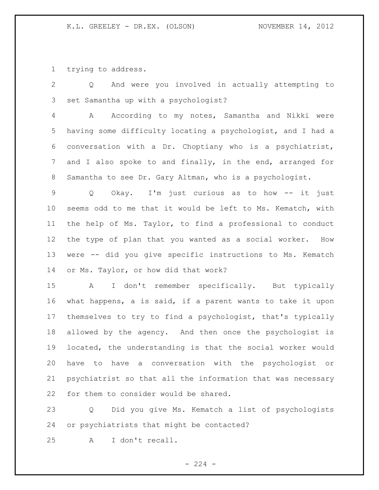trying to address.

 Q And were you involved in actually attempting to set Samantha up with a psychologist?

 A According to my notes, Samantha and Nikki were having some difficulty locating a psychologist, and I had a conversation with a Dr. Choptiany who is a psychiatrist, and I also spoke to and finally, in the end, arranged for Samantha to see Dr. Gary Altman, who is a psychologist.

 Q Okay. I'm just curious as to how -- it just seems odd to me that it would be left to Ms. Kematch, with the help of Ms. Taylor, to find a professional to conduct the type of plan that you wanted as a social worker. How were -- did you give specific instructions to Ms. Kematch or Ms. Taylor, or how did that work?

 A I don't remember specifically. But typically what happens, a is said, if a parent wants to take it upon themselves to try to find a psychologist, that's typically allowed by the agency. And then once the psychologist is located, the understanding is that the social worker would have to have a conversation with the psychologist or psychiatrist so that all the information that was necessary for them to consider would be shared.

 Q Did you give Ms. Kematch a list of psychologists or psychiatrists that might be contacted?

A I don't recall.

 $-224 -$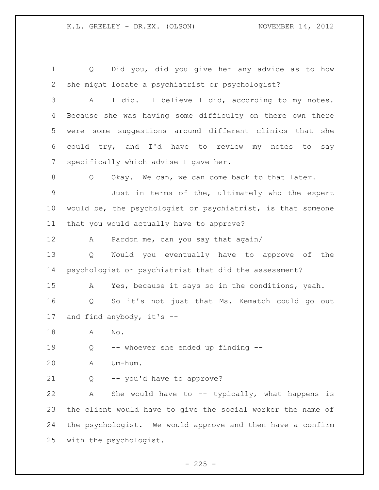Q Did you, did you give her any advice as to how she might locate a psychiatrist or psychologist? A I did. I believe I did, according to my notes. Because she was having some difficulty on there own there were some suggestions around different clinics that she could try, and I'd have to review my notes to say specifically which advise I gave her. 8 Q Okay. We can, we can come back to that later. Just in terms of the, ultimately who the expert would be, the psychologist or psychiatrist, is that someone that you would actually have to approve? A Pardon me, can you say that again/ Q Would you eventually have to approve of the psychologist or psychiatrist that did the assessment? A Yes, because it says so in the conditions, yeah. Q So it's not just that Ms. Kematch could go out and find anybody, it's -- A No. Q -- whoever she ended up finding -- A Um-hum. Q -- you'd have to approve? 22 A She would have to -- typically, what happens is the client would have to give the social worker the name of the psychologist. We would approve and then have a confirm with the psychologist.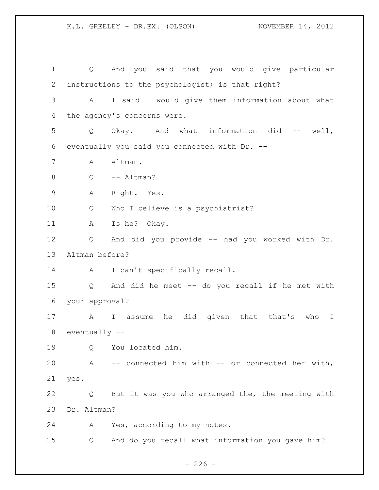Q And you said that you would give particular instructions to the psychologist; is that right? A I said I would give them information about what the agency's concerns were. Q Okay. And what information did -- well, eventually you said you connected with Dr. -- A Altman. 8 Q -- Altman? A Right. Yes. Q Who I believe is a psychiatrist? A Is he? Okay. Q And did you provide -- had you worked with Dr. Altman before? A I can't specifically recall. Q And did he meet -- do you recall if he met with your approval? A I assume he did given that that's who I eventually -- Q You located him. A -- connected him with -- or connected her with, yes. Q But it was you who arranged the, the meeting with Dr. Altman? A Yes, according to my notes. Q And do you recall what information you gave him?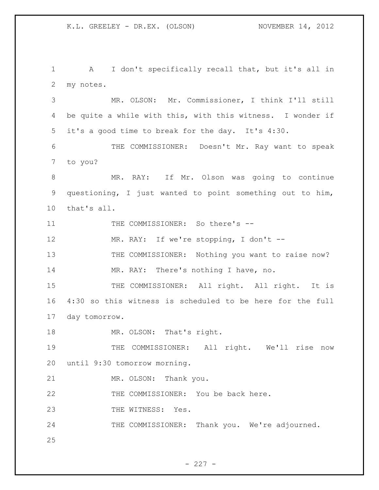1 A I don't specifically recall that, but it's all in 2 my notes. 3 MR. OLSON: Mr. Commissioner, I think I'll still 4 be quite a while with this, with this witness. I wonder if 5 it's a good time to break for the day. It's 4:30. 6 THE COMMISSIONER: Doesn't Mr. Ray want to speak 7 to you? 8 MR. RAY: If Mr. Olson was going to continue 9 questioning, I just wanted to point something out to him, 10 that's all. 11 THE COMMISSIONER: So there's --12 MR. RAY: If we're stopping, I don't --13 THE COMMISSIONER: Nothing you want to raise now? 14 MR. RAY: There's nothing I have, no. 15 THE COMMISSIONER: All right. All right. It is 16 4:30 so this witness is scheduled to be here for the full 17 day tomorrow. 18 MR. OLSON: That's right. 19 THE COMMISSIONER: All right. We'll rise now 20 until 9:30 tomorrow morning. 21 MR. OLSON: Thank you. 22 THE COMMISSIONER: You be back here. 23 THE WITNESS: Yes. 24 THE COMMISSIONER: Thank you. We're adjourned. 25